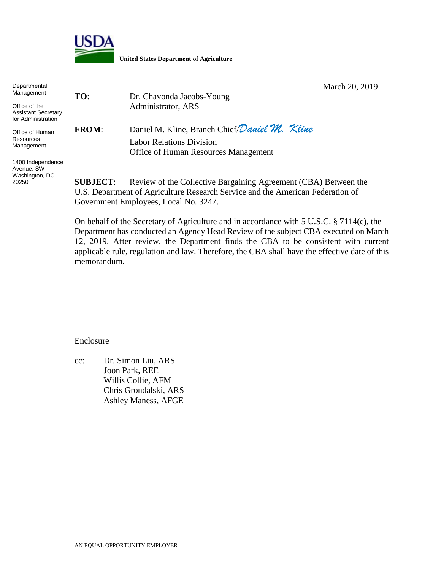

**United States Department of Agriculture**

 March 20, 2019 **TO**: Dr. Chavonda Jacobs-Young Administrator, ARS **FROM**: Daniel M. Kline, Branch Chief/*Daniel M. Kline* Labor Relations Division Office of Human Resources Management **Departmental** Management Office of the Assistant Secretary for Administration

> **SUBJECT:** Review of the Collective Bargaining Agreement (CBA) Between the U.S. Department of Agriculture Research Service and the American Federation of Government Employees, Local No. 3247.

On behalf of the Secretary of Agriculture and in accordance with 5 U.S.C. § 7114(c), the Department has conducted an Agency Head Review of the subject CBA executed on March 12, 2019. After review, the Department finds the CBA to be consistent with current applicable rule, regulation and law. Therefore, the CBA shall have the effective date of this memorandum.

Enclosure

cc: Dr. Simon Liu, ARS Joon Park, REE Willis Collie, AFM Chris Grondalski, ARS Ashley Maness, AFGE

Office of Human **Resources** Management

1400 Independence Avenue, SW Washington, DC 20250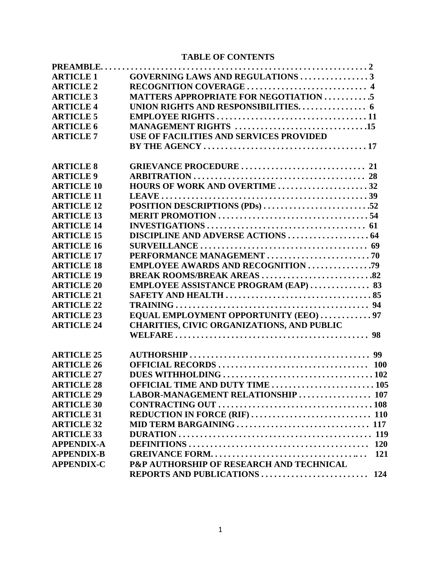# **TABLE OF CONTENTS**

| <b>ARTICLE 1</b>  | <b>GOVERNING LAWS AND REGULATIONS 3</b>           |
|-------------------|---------------------------------------------------|
| <b>ARTICLE 2</b>  |                                                   |
| <b>ARTICLE 3</b>  | <b>MATTERS APPROPRIATE FOR NEGOTIATION 5</b>      |
| <b>ARTICLE 4</b>  |                                                   |
| <b>ARTICLE 5</b>  |                                                   |
| <b>ARTICLE 6</b>  |                                                   |
| <b>ARTICLE 7</b>  | USE OF FACILITIES AND SERVICES PROVIDED           |
|                   |                                                   |
| <b>ARTICLE 8</b>  |                                                   |
| <b>ARTICLE 9</b>  |                                                   |
| <b>ARTICLE 10</b> | HOURS OF WORK AND OVERTIME 32                     |
| <b>ARTICLE 11</b> |                                                   |
| <b>ARTICLE 12</b> | POSITION DESCRIPTIONS (PDs) 52                    |
| <b>ARTICLE 13</b> |                                                   |
| <b>ARTICLE 14</b> |                                                   |
| <b>ARTICLE 15</b> |                                                   |
| <b>ARTICLE 16</b> |                                                   |
| <b>ARTICLE 17</b> |                                                   |
| <b>ARTICLE 18</b> |                                                   |
| <b>ARTICLE 19</b> |                                                   |
| <b>ARTICLE 20</b> | <b>EMPLOYEE ASSISTANCE PROGRAM (EAP)  83</b>      |
| <b>ARTICLE 21</b> |                                                   |
| <b>ARTICLE 22</b> |                                                   |
| <b>ARTICLE 23</b> | EQUAL EMPLOYMENT OPPORTUNITY (EEO)  97            |
| <b>ARTICLE 24</b> | <b>CHARITIES, CIVIC ORGANIZATIONS, AND PUBLIC</b> |
|                   |                                                   |
| <b>ARTICLE 25</b> |                                                   |
| <b>ARTICLE 26</b> |                                                   |
| <b>ARTICLE 27</b> |                                                   |
| <b>ARTICLE 28</b> | <b>OFFICIAL TIME AND DUTY TIME  105</b>           |
| <b>ARTICLE 29</b> | LABOR-MANAGEMENT RELATIONSHIP  107                |
| <b>ARTICLE 30</b> |                                                   |
| <b>ARTICLE 31</b> |                                                   |
| <b>ARTICLE 32</b> |                                                   |
| <b>ARTICLE 33</b> |                                                   |
| <b>APPENDIX-A</b> |                                                   |
| <b>APPENDIX-B</b> |                                                   |
| <b>APPENDIX-C</b> | P&P AUTHORSHIP OF RESEARCH AND TECHNICAL          |
|                   |                                                   |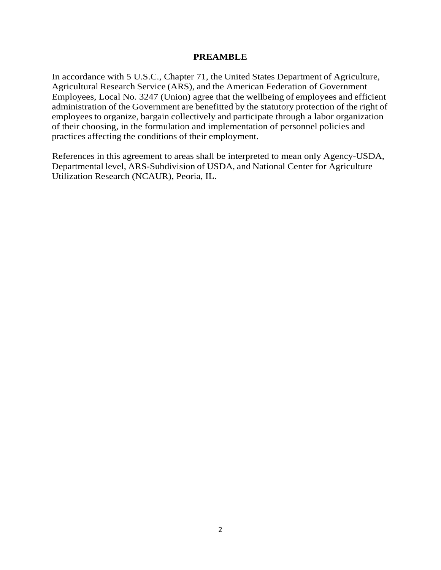#### **PREAMBLE**

In accordance with 5 U.S.C., Chapter 71, the United States Department of Agriculture, Agricultural Research Service (ARS), and the American Federation of Government Employees, Local No. 3247 (Union) agree that the wellbeing of employees and efficient administration of the Government are benefitted by the statutory protection of the right of employees to organize, bargain collectively and participate through a labor organization of their choosing, in the formulation and implementation of personnel policies and practices affecting the conditions of their employment.

References in this agreement to areas shall be interpreted to mean only Agency-USDA, Departmental level, ARS-Subdivision of USDA, and National Center for Agriculture Utilization Research (NCAUR), Peoria, IL.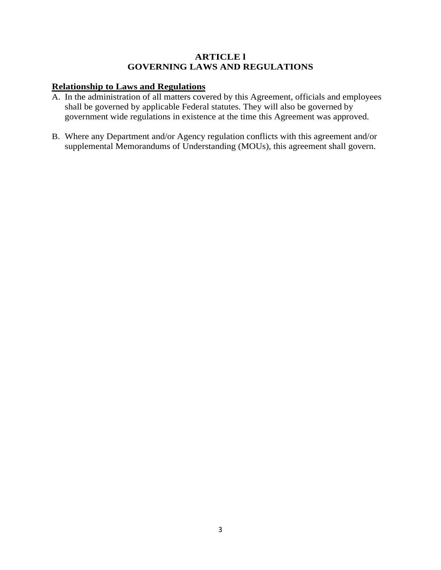### **ARTICLE l GOVERNING LAWS AND REGULATIONS**

# **Relationship to Laws and Regulations**

- A. In the administration of all matters covered by this Agreement, officials and employees shall be governed by applicable Federal statutes. They will also be governed by government wide regulations in existence at the time this Agreement was approved.
- B. Where any Department and/or Agency regulation conflicts with this agreement and/or supplemental Memorandums of Understanding (MOUs), this agreement shall govern.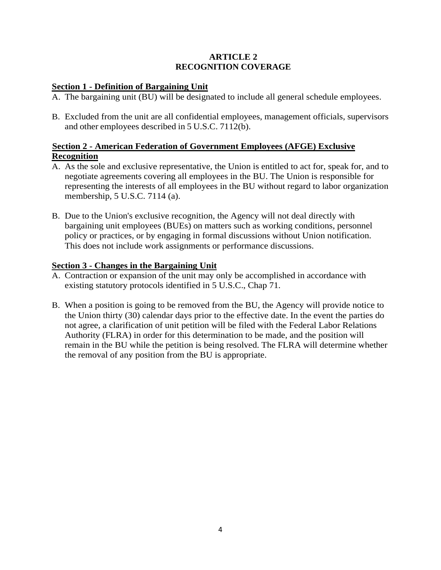### **ARTICLE 2 RECOGNITION COVERAGE**

## **Section 1 - Definition of Bargaining Unit**

- A. The bargaining unit (BU) will be designated to include all general schedule employees.
- B. Excluded from the unit are all confidential employees, management officials, supervisors and other employees described in 5 U.S.C. 7112(b).

## **Section 2 - American Federation of Government Employees (AFGE) Exclusive Recognition**

- A. As the sole and exclusive representative, the Union is entitled to act for, speak for, and to negotiate agreements covering all employees in the BU. The Union is responsible for representing the interests of all employees in the BU without regard to labor organization membership, 5 U.S.C. 7114 (a).
- B. Due to the Union's exclusive recognition, the Agency will not deal directly with bargaining unit employees (BUEs) on matters such as working conditions, personnel policy or practices, or by engaging in formal discussions without Union notification. This does not include work assignments or performance discussions.

### **Section 3 - Changes in the Bargaining Unit**

- A. Contraction or expansion of the unit may only be accomplished in accordance with existing statutory protocols identified in 5 U.S.C., Chap 71.
- B. When a position is going to be removed from the BU, the Agency will provide notice to the Union thirty (30) calendar days prior to the effective date. In the event the parties do not agree, a clarification of unit petition will be filed with the Federal Labor Relations Authority (FLRA) in order for this determination to be made, and the position will remain in the BU while the petition is being resolved. The FLRA will determine whether the removal of any position from the BU is appropriate.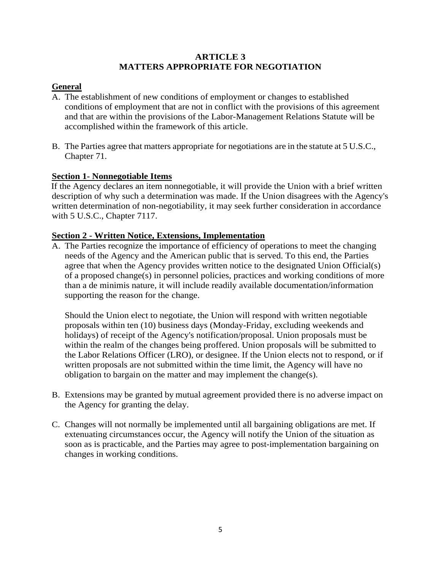### **ARTICLE 3 MATTERS APPROPRIATE FOR NEGOTIATION**

## **General**

- A. The establishment of new conditions of employment or changes to established conditions of employment that are not in conflict with the provisions of this agreement and that are within the provisions of the Labor-Management Relations Statute will be accomplished within the framework of this article.
- B. The Parties agree that matters appropriate for negotiations are in the statute at 5 U.S.C., Chapter 71.

## **Section 1- Nonnegotiable Items**

If the Agency declares an item nonnegotiable, it will provide the Union with a brief written description of why such a determination was made. If the Union disagrees with the Agency's written determination of non-negotiability, it may seek further consideration in accordance with 5 U.S.C., Chapter 7117.

### **Section 2 - Written Notice, Extensions, Implementation**

A. The Parties recognize the importance of efficiency of operations to meet the changing needs of the Agency and the American public that is served. To this end, the Parties agree that when the Agency provides written notice to the designated Union Official(s) of a proposed change(s) in personnel policies, practices and working conditions of more than a de minimis nature, it will include readily available documentation/information supporting the reason for the change.

Should the Union elect to negotiate, the Union will respond with written negotiable proposals within ten (10) business days (Monday-Friday, excluding weekends and holidays) of receipt of the Agency's notification/proposal. Union proposals must be within the realm of the changes being proffered. Union proposals will be submitted to the Labor Relations Officer (LRO), or designee. If the Union elects not to respond, or if written proposals are not submitted within the time limit, the Agency will have no obligation to bargain on the matter and may implement the change(s).

- B. Extensions may be granted by mutual agreement provided there is no adverse impact on the Agency for granting the delay.
- C. Changes will not normally be implemented until all bargaining obligations are met. If extenuating circumstances occur, the Agency will notify the Union of the situation as soon as is practicable, and the Parties may agree to post-implementation bargaining on changes in working conditions.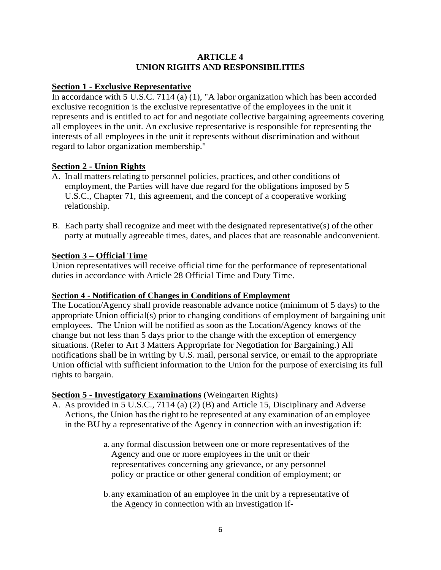## **ARTICLE 4 UNION RIGHTS AND RESPONSIBILITIES**

# **Section 1 - Exclusive Representative**

In accordance with 5 U.S.C. 7114 (a)  $(1)$ , "A labor organization which has been accorded exclusive recognition is the exclusive representative of the employees in the unit it represents and is entitled to act for and negotiate collective bargaining agreements covering all employees in the unit. An exclusive representative is responsible for representing the interests of all employees in the unit it represents without discrimination and without regard to labor organization membership."

## **Section 2 - Union Rights**

- A. Inall matters relating to personnel policies, practices, and other conditions of employment, the Parties will have due regard for the obligations imposed by 5 U.S.C., Chapter 71, this agreement, and the concept of a cooperative working relationship.
- B. Each party shall recognize and meet with the designated representative(s) of the other party at mutually agreeable times, dates, and places that are reasonable andconvenient.

## **Section 3 – Official Time**

Union representatives will receive official time for the performance of representational duties in accordance with Article 28 Official Time and Duty Time.

## **Section 4 - Notification of Changes in Conditions of Employment**

The Location/Agency shall provide reasonable advance notice (minimum of 5 days) to the appropriate Union official(s) prior to changing conditions of employment of bargaining unit employees. The Union will be notified as soon as the Location/Agency knows of the change but not less than 5 days prior to the change with the exception of emergency situations. (Refer to Art 3 Matters Appropriate for Negotiation for Bargaining.) All notifications shall be in writing by U.S. mail, personal service, or email to the appropriate Union official with sufficient information to the Union for the purpose of exercising its full rights to bargain.

# **Section 5 - Investigatory Examinations** (Weingarten Rights)

- A. As provided in 5 U.S.C., 7114 (a) (2) (B) and Article 15, Disciplinary and Adverse Actions, the Union hasthe right to be represented at any examination of an employee in the BU by a representative of the Agency in connection with an investigation if:
	- a. any formal discussion between one or more representatives of the Agency and one or more employees in the unit or their representatives concerning any grievance, or any personnel policy or practice or other general condition of employment; or
	- b.any examination of an employee in the unit by a representative of the Agency in connection with an investigation if-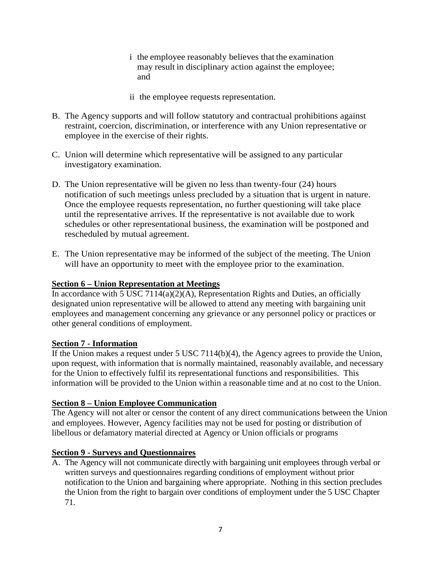- i the employee reasonably believes that the examination may result in disciplinary action against the employee; and
- ii the employee requests representation.
- B. The Agency supports and will follow statutory and contractual prohibitions against restraint, coercion, discrimination, or interference with any Union representative or employee in the exercise of their rights.
- C. Union will determine which representative will be assigned to any particular investigatory examination.
- D. The Union representative will be given no less than twenty-four (24) hours notification of such meetings unless precluded by a situation that is urgent in nature. Once the employee requests representation, no further questioning will take place until the representative arrives. If the representative is not available due to work schedules or other representational business, the examination will be postponed and rescheduled by mutual agreement.
- E. The Union representative may be informed of the subject of the meeting. The Union will have an opportunity to meet with the employee prior to the examination.

## **Section 6 – Union Representation at Meetings**

In accordance with 5 USC 7114(a)(2)(A), Representation Rights and Duties, an officially designated union representative will be allowed to attend any meeting with bargaining unit employees and management concerning any grievance or any personnel policy or practices or other general conditions of employment.

#### **Section 7 - Information**

If the Union makes a request under 5 USC 7114(b)(4), the Agency agrees to provide the Union, upon request, with information that is normally maintained, reasonably available, and necessary for the Union to effectively fulfil its representational functions and responsibilities. This information will be provided to the Union within a reasonable time and at no cost to the Union.

#### **Section 8 – Union Employee Communication**

The Agency will not alter or censor the content of any direct communications between the Union and employees. However, Agency facilities may not be used for posting or distribution of libellous or defamatory material directed at Agency or Union officials or programs

## **Section 9 - Surveys and Questionnaires**

A. The Agency will not communicate directly with bargaining unit employees through verbal or written surveys and questionnaires regarding conditions of employment without prior notification to the Union and bargaining where appropriate. Nothing in this section precludes the Union from the right to bargain over conditions of employment under the 5 USC Chapter 71.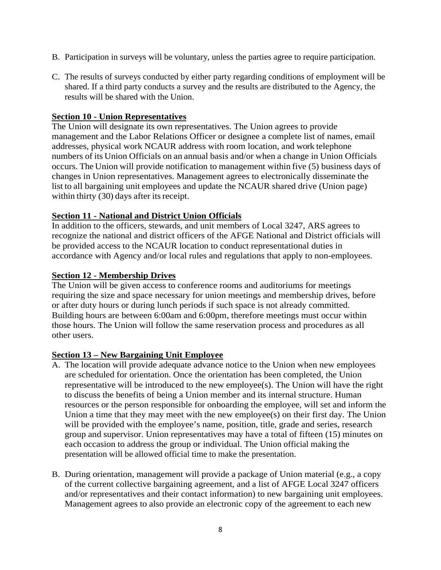- B. Participation in surveys will be voluntary, unless the parties agree to require participation.
- C. The results of surveys conducted by either party regarding conditions of employment will be shared. If a third party conducts a survey and the results are distributed to the Agency, the results will be shared with the Union.

### **Section 10 - Union Representatives**

The Union will designate its own representatives. The Union agrees to provide management and the Labor Relations Officer or designee a complete list of names, email addresses, physical work NCAUR address with room location, and work telephone numbers of its Union Officials on an annual basis and/or when a change in Union Officials occurs. The Union will provide notification to management within five (5) business days of changes in Union representatives. Management agrees to electronically disseminate the list to all bargaining unit employees and update the NCAUR shared drive (Union page) within thirty (30) days after its receipt.

## **Section 11 - National and District Union Officials**

In addition to the officers, stewards, and unit members of Local 3247, ARS agrees to recognize the national and district officers of the AFGE National and District officials will be provided access to the NCAUR location to conduct representational duties in accordance with Agency and/or local rules and regulations that apply to non-employees.

#### **Section 12 - Membership Drives**

The Union will be given access to conference rooms and auditoriums for meetings requiring the size and space necessary for union meetings and membership drives, before or after duty hours or during lunch periods if such space is not already committed. Building hours are between 6:00am and 6:00pm, therefore meetings must occur within those hours. The Union will follow the same reservation process and procedures as all other users.

#### **Section 13 – New Bargaining Unit Employee**

- A. The location will provide adequate advance notice to the Union when new employees are scheduled for orientation. Once the orientation has been completed, the Union representative will be introduced to the new employee(s). The Union will have the right to discuss the benefits of being a Union member and its internal structure. Human resources or the person responsible for onboarding the employee, will set and inform the Union a time that they may meet with the new employee(s) on their first day. The Union will be provided with the employee's name, position, title, grade and series, research group and supervisor. Union representatives may have a total of fifteen (15) minutes on each occasion to address the group or individual. The Union official making the presentation will be allowed official time to make the presentation.
- B. During orientation, management will provide a package of Union material (e.g., a copy of the current collective bargaining agreement, and a list of AFGE Local 3247 officers and/or representatives and their contact information) to new bargaining unit employees. Management agrees to also provide an electronic copy of the agreement to each new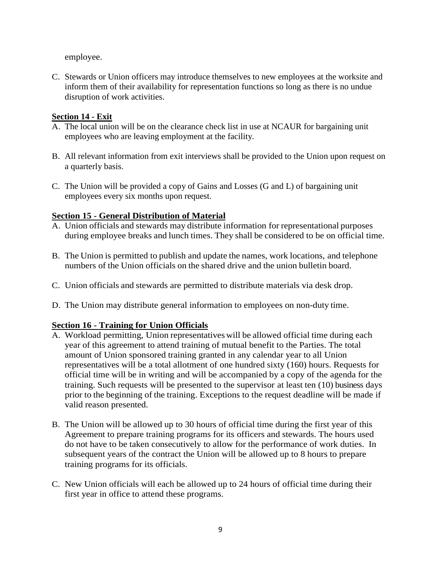employee.

C. Stewards or Union officers may introduce themselves to new employees at the worksite and inform them of their availability for representation functions so long as there is no undue disruption of work activities.

### **Section 14 - Exit**

- A. The local union will be on the clearance check list in use at NCAUR for bargaining unit employees who are leaving employment at the facility.
- B. All relevant information from exit interviews shall be provided to the Union upon request on a quarterly basis.
- C. The Union will be provided a copy of Gains and Losses (G and L) of bargaining unit employees every six months upon request.

## **Section 15 - General Distribution of Material**

- A. Union officials and stewards may distribute information for representational purposes during employee breaks and lunch times. They shall be considered to be on official time.
- B. The Union is permitted to publish and update the names, work locations, and telephone numbers of the Union officials on the shared drive and the union bulletin board.
- C. Union officials and stewards are permitted to distribute materials via desk drop.
- D. The Union may distribute general information to employees on non-duty time.

## **Section 16 - Training for Union Officials**

- A. Workload permitting, Union representatives will be allowed official time during each year of this agreement to attend training of mutual benefit to the Parties. The total amount of Union sponsored training granted in any calendar year to all Union representatives will be a total allotment of one hundred sixty (160) hours. Requests for official time will be in writing and will be accompanied by a copy of the agenda for the training. Such requests will be presented to the supervisor at least ten (10) business days prior to the beginning of the training. Exceptions to the request deadline will be made if valid reason presented.
- B. The Union will be allowed up to 30 hours of official time during the first year of this Agreement to prepare training programs for its officers and stewards. The hours used do not have to be taken consecutively to allow for the performance of work duties. In subsequent years of the contract the Union will be allowed up to 8 hours to prepare training programs for its officials.
- C. New Union officials will each be allowed up to 24 hours of official time during their first year in office to attend these programs.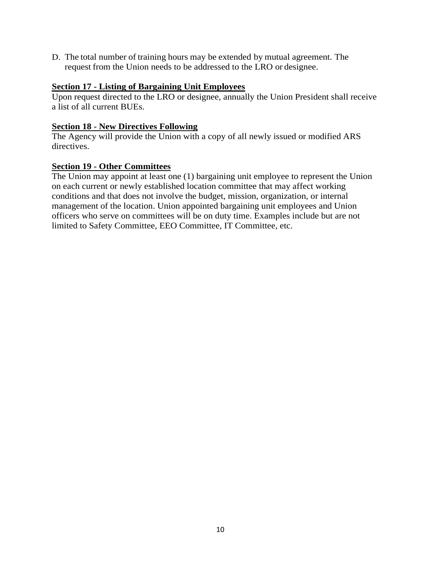D. The total number of training hours may be extended by mutual agreement. The request from the Union needs to be addressed to the LRO or designee.

# **Section 17 - Listing of Bargaining Unit Employees**

Upon request directed to the LRO or designee, annually the Union President shall receive a list of all current BUEs.

### **Section 18 - New Directives Following**

The Agency will provide the Union with a copy of all newly issued or modified ARS directives.

### **Section 19 - Other Committees**

The Union may appoint at least one (1) bargaining unit employee to represent the Union on each current or newly established location committee that may affect working conditions and that does not involve the budget, mission, organization, or internal management of the location. Union appointed bargaining unit employees and Union officers who serve on committees will be on duty time. Examples include but are not limited to Safety Committee, EEO Committee, IT Committee, etc.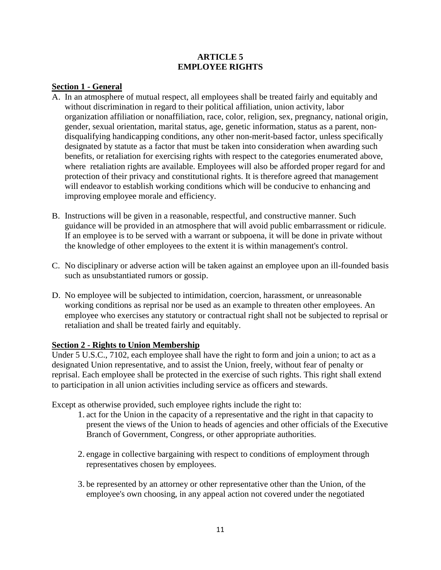### **ARTICLE 5 EMPLOYEE RIGHTS**

### **Section 1 - General**

- A. In an atmosphere of mutual respect, all employees shall be treated fairly and equitably and without discrimination in regard to their political affiliation, union activity, labor organization affiliation or nonaffiliation, race, color, religion, sex, pregnancy, national origin, gender, sexual orientation, marital status, age, genetic information, status as a parent, nondisqualifying handicapping conditions, any other non-merit-based factor, unless specifically designated by statute as a factor that must be taken into consideration when awarding such benefits, or retaliation for exercising rights with respect to the categories enumerated above, where retaliation rights are available. Employees will also be afforded proper regard for and protection of their privacy and constitutional rights. It is therefore agreed that management will endeavor to establish working conditions which will be conducive to enhancing and improving employee morale and efficiency.
- B. Instructions will be given in a reasonable, respectful, and constructive manner. Such guidance will be provided in an atmosphere that will avoid public embarrassment or ridicule. If an employee is to be served with a warrant or subpoena, it will be done in private without the knowledge of other employees to the extent it is within management's control.
- C. No disciplinary or adverse action will be taken against an employee upon an ill-founded basis such as unsubstantiated rumors or gossip.
- D. No employee will be subjected to intimidation, coercion, harassment, or unreasonable working conditions as reprisal nor be used as an example to threaten other employees. An employee who exercises any statutory or contractual right shall not be subjected to reprisal or retaliation and shall be treated fairly and equitably.

#### **Section 2 - Rights to Union Membership**

Under 5 U.S.C., 7102, each employee shall have the right to form and join a union; to act as a designated Union representative, and to assist the Union, freely, without fear of penalty or reprisal. Each employee shall be protected in the exercise of such rights. This right shall extend to participation in all union activities including service as officers and stewards.

Except as otherwise provided, such employee rights include the right to:

- 1. act for the Union in the capacity of a representative and the right in that capacity to present the views of the Union to heads of agencies and other officials of the Executive Branch of Government, Congress, or other appropriate authorities.
- 2. engage in collective bargaining with respect to conditions of employment through representatives chosen by employees.
- 3. be represented by an attorney or other representative other than the Union, of the employee's own choosing, in any appeal action not covered under the negotiated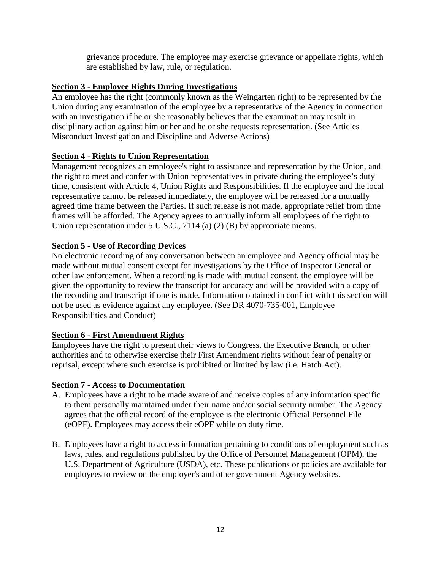grievance procedure. The employee may exercise grievance or appellate rights, which are established by law, rule, or regulation.

### **Section 3 - Employee Rights During Investigations**

An employee has the right (commonly known as the Weingarten right) to be represented by the Union during any examination of the employee by a representative of the Agency in connection with an investigation if he or she reasonably believes that the examination may result in disciplinary action against him or her and he or she requests representation. (See Articles Misconduct Investigation and Discipline and Adverse Actions)

### **Section 4 - Rights to Union Representation**

Management recognizes an employee's right to assistance and representation by the Union, and the right to meet and confer with Union representatives in private during the employee's duty time, consistent with Article 4, Union Rights and Responsibilities. If the employee and the local representative cannot be released immediately, the employee will be released for a mutually agreed time frame between the Parties. If such release is not made, appropriate relief from time frames will be afforded. The Agency agrees to annually inform all employees of the right to Union representation under 5 U.S.C., 7114 (a) (2) (B) by appropriate means.

## **Section 5 - Use of Recording Devices**

No electronic recording of any conversation between an employee and Agency official may be made without mutual consent except for investigations by the Office of Inspector General or other law enforcement. When a recording is made with mutual consent, the employee will be given the opportunity to review the transcript for accuracy and will be provided with a copy of the recording and transcript if one is made. Information obtained in conflict with this section will not be used as evidence against any employee. (See DR 4070-735-001, Employee Responsibilities and Conduct)

## **Section 6 - First Amendment Rights**

Employees have the right to present their views to Congress, the Executive Branch, or other authorities and to otherwise exercise their First Amendment rights without fear of penalty or reprisal, except where such exercise is prohibited or limited by law (i.e. Hatch Act).

#### **Section 7 - Access to Documentation**

- A. Employees have a right to be made aware of and receive copies of any information specific to them personally maintained under their name and/or social security number. The Agency agrees that the official record of the employee is the electronic Official Personnel File (eOPF). Employees may access their eOPF while on duty time.
- B. Employees have a right to access information pertaining to conditions of employment such as laws, rules, and regulations published by the Office of Personnel Management (OPM), the U.S. Department of Agriculture (USDA), etc. These publications or policies are available for employees to review on the employer's and other government Agency websites.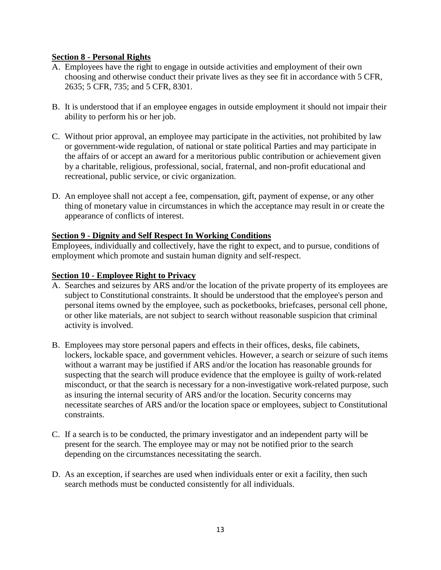## **Section 8 - Personal Rights**

- A. Employees have the right to engage in outside activities and employment of their own choosing and otherwise conduct their private lives as they see fit in accordance with 5 CFR, 2635; 5 CFR, 735; and 5 CFR, 8301.
- B. It is understood that if an employee engages in outside employment it should not impair their ability to perform his or her job.
- C. Without prior approval, an employee may participate in the activities, not prohibited by law or government-wide regulation, of national or state political Parties and may participate in the affairs of or accept an award for a meritorious public contribution or achievement given by a charitable, religious, professional, social, fraternal, and non-profit educational and recreational, public service, or civic organization.
- D. An employee shall not accept a fee, compensation, gift, payment of expense, or any other thing of monetary value in circumstances in which the acceptance may result in or create the appearance of conflicts of interest.

### **Section 9 - Dignity and Self Respect In Working Conditions**

Employees, individually and collectively, have the right to expect, and to pursue, conditions of employment which promote and sustain human dignity and self-respect.

### **Section 10 - Employee Right to Privacy**

- A. Searches and seizures by ARS and/or the location of the private property of its employees are subject to Constitutional constraints. It should be understood that the employee's person and personal items owned by the employee, such as pocketbooks, briefcases, personal cell phone, or other like materials, are not subject to search without reasonable suspicion that criminal activity is involved.
- B. Employees may store personal papers and effects in their offices, desks, file cabinets, lockers, lockable space, and government vehicles. However, a search or seizure of such items without a warrant may be justified if ARS and/or the location has reasonable grounds for suspecting that the search will produce evidence that the employee is guilty of work-related misconduct, or that the search is necessary for a non-investigative work-related purpose, such as insuring the internal security of ARS and/or the location. Security concerns may necessitate searches of ARS and/or the location space or employees, subject to Constitutional constraints.
- C. If a search is to be conducted, the primary investigator and an independent party will be present for the search. The employee may or may not be notified prior to the search depending on the circumstances necessitating the search.
- D. As an exception, if searches are used when individuals enter or exit a facility, then such search methods must be conducted consistently for all individuals.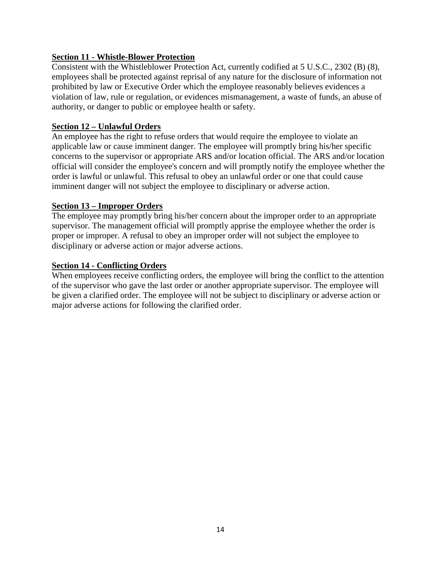## **Section 11 - Whistle-Blower Protection**

Consistent with the Whistleblower Protection Act, currently codified at 5 U.S.C., 2302 (B) (8), employees shall be protected against reprisal of any nature for the disclosure of information not prohibited by law or Executive Order which the employee reasonably believes evidences a violation of law, rule or regulation, or evidences mismanagement, a waste of funds, an abuse of authority, or danger to public or employee health or safety.

### **Section 12 – Unlawful Orders**

An employee has the right to refuse orders that would require the employee to violate an applicable law or cause imminent danger. The employee will promptly bring his/her specific concerns to the supervisor or appropriate ARS and/or location official. The ARS and/or location official will consider the employee's concern and will promptly notify the employee whether the order is lawful or unlawful. This refusal to obey an unlawful order or one that could cause imminent danger will not subject the employee to disciplinary or adverse action.

#### **Section 13 – Improper Orders**

The employee may promptly bring his/her concern about the improper order to an appropriate supervisor. The management official will promptly apprise the employee whether the order is proper or improper. A refusal to obey an improper order will not subject the employee to disciplinary or adverse action or major adverse actions.

#### **Section 14 - Conflicting Orders**

When employees receive conflicting orders, the employee will bring the conflict to the attention of the supervisor who gave the last order or another appropriate supervisor. The employee will be given a clarified order. The employee will not be subject to disciplinary or adverse action or major adverse actions for following the clarified order.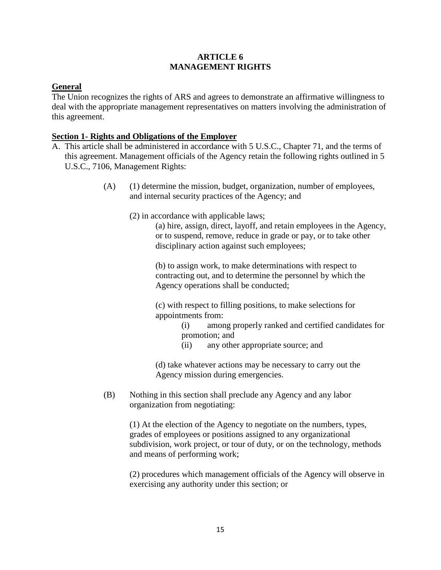### **ARTICLE 6 MANAGEMENT RIGHTS**

## **General**

The Union recognizes the rights of ARS and agrees to demonstrate an affirmative willingness to deal with the appropriate management representatives on matters involving the administration of this agreement.

### **Section 1- Rights and Obligations of the Employer**

- A. This article shall be administered in accordance with 5 U.S.C., Chapter 71, and the terms of this agreement. Management officials of the Agency retain the following rights outlined in 5 U.S.C., 7106, Management Rights:
	- (A) (1) determine the mission, budget, organization, number of employees, and internal security practices of the Agency; and
		- (2) in accordance with applicable laws;

(a) hire, assign, direct, layoff, and retain employees in the Agency, or to suspend, remove, reduce in grade or pay, or to take other disciplinary action against such employees;

(b) to assign work, to make determinations with respect to contracting out, and to determine the personnel by which the Agency operations shall be conducted;

(c) with respect to filling positions, to make selections for appointments from:

> (i) among properly ranked and certified candidates for promotion; and

(ii) any other appropriate source; and

(d) take whatever actions may be necessary to carry out the Agency mission during emergencies.

(B) Nothing in this section shall preclude any Agency and any labor organization from negotiating:

> (1) At the election of the Agency to negotiate on the numbers, types, grades of employees or positions assigned to any organizational subdivision, work project, or tour of duty, or on the technology, methods and means of performing work;

(2) procedures which management officials of the Agency will observe in exercising any authority under this section; or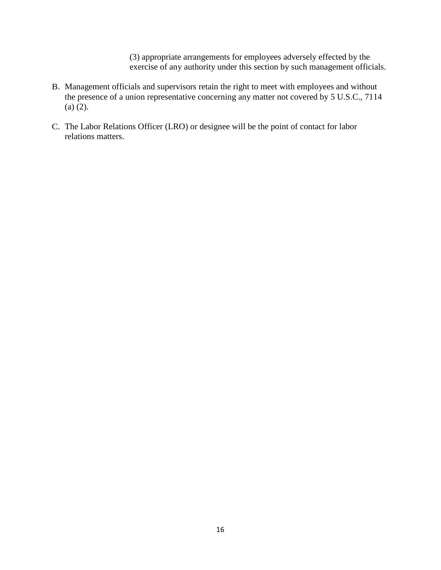(3) appropriate arrangements for employees adversely effected by the exercise of any authority under this section by such management officials.

- B. Management officials and supervisors retain the right to meet with employees and without the presence of a union representative concerning any matter not covered by 5 U.S.C., 7114 (a) (2).
- C. The Labor Relations Officer (LRO) or designee will be the point of contact for labor relations matters.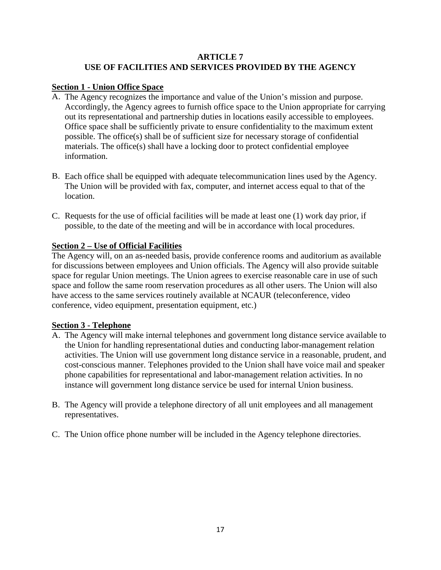### **ARTICLE 7 USE OF FACILITIES AND SERVICES PROVIDED BY THE AGENCY**

## **Section 1 - Union Office Space**

- A. The Agency recognizes the importance and value of the Union's mission and purpose. Accordingly, the Agency agrees to furnish office space to the Union appropriate for carrying out its representational and partnership duties in locations easily accessible to employees. Office space shall be sufficiently private to ensure confidentiality to the maximum extent possible. The office(s) shall be of sufficient size for necessary storage of confidential materials. The office(s) shall have a locking door to protect confidential employee information.
- B. Each office shall be equipped with adequate telecommunication lines used by the Agency. The Union will be provided with fax, computer, and internet access equal to that of the location.
- C. Requests for the use of official facilities will be made at least one (1) work day prior, if possible, to the date of the meeting and will be in accordance with local procedures.

## **Section 2 – Use of Official Facilities**

The Agency will, on an as-needed basis, provide conference rooms and auditorium as available for discussions between employees and Union officials. The Agency will also provide suitable space for regular Union meetings. The Union agrees to exercise reasonable care in use of such space and follow the same room reservation procedures as all other users. The Union will also have access to the same services routinely available at NCAUR (teleconference, video conference, video equipment, presentation equipment, etc.)

## **Section 3 - Telephone**

- A. The Agency will make internal telephones and government long distance service available to the Union for handling representational duties and conducting labor-management relation activities. The Union will use government long distance service in a reasonable, prudent, and cost-conscious manner. Telephones provided to the Union shall have voice mail and speaker phone capabilities for representational and labor-management relation activities. In no instance will government long distance service be used for internal Union business.
- B. The Agency will provide a telephone directory of all unit employees and all management representatives.
- C. The Union office phone number will be included in the Agency telephone directories.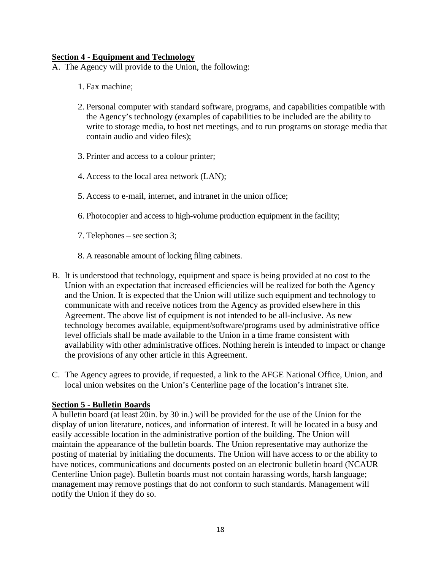### **Section 4 - Equipment and Technology**

- A. The Agency will provide to the Union, the following:
	- 1. Fax machine;
	- 2. Personal computer with standard software, programs, and capabilities compatible with the Agency's technology (examples of capabilities to be included are the ability to write to storage media, to host net meetings, and to run programs on storage media that contain audio and video files);
	- 3. Printer and access to a colour printer;
	- 4. Access to the local area network (LAN);
	- 5. Access to e-mail, internet, and intranet in the union office;
	- 6. Photocopier and access to high-volume production equipment in the facility;
	- 7. Telephones see section 3;
	- 8. A reasonable amount of locking filing cabinets.
- B. It is understood that technology, equipment and space is being provided at no cost to the Union with an expectation that increased efficiencies will be realized for both the Agency and the Union. It is expected that the Union will utilize such equipment and technology to communicate with and receive notices from the Agency as provided elsewhere in this Agreement. The above list of equipment is not intended to be all-inclusive. As new technology becomes available, equipment/software/programs used by administrative office level officials shall be made available to the Union in a time frame consistent with availability with other administrative offices. Nothing herein is intended to impact or change the provisions of any other article in this Agreement.
- C. The Agency agrees to provide, if requested, a link to the AFGE National Office, Union, and local union websites on the Union's Centerline page of the location's intranet site.

#### **Section 5 - Bulletin Boards**

A bulletin board (at least 20in. by 30 in.) will be provided for the use of the Union for the display of union literature, notices, and information of interest. It will be located in a busy and easily accessible location in the administrative portion of the building. The Union will maintain the appearance of the bulletin boards. The Union representative may authorize the posting of material by initialing the documents. The Union will have access to or the ability to have notices, communications and documents posted on an electronic bulletin board (NCAUR Centerline Union page). Bulletin boards must not contain harassing words, harsh language; management may remove postings that do not conform to such standards. Management will notify the Union if they do so.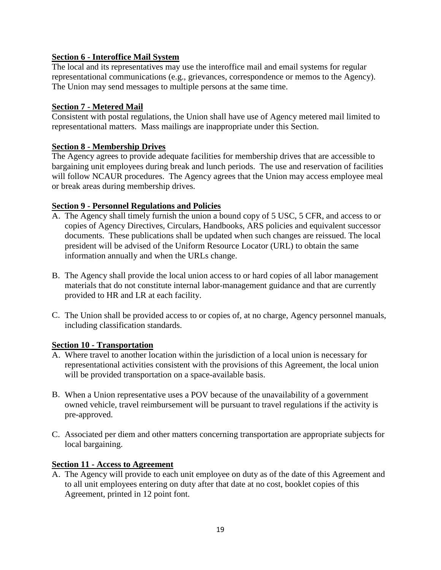## **Section 6 - Interoffice Mail System**

The local and its representatives may use the interoffice mail and email systems for regular representational communications (e.g., grievances, correspondence or memos to the Agency). The Union may send messages to multiple persons at the same time.

## **Section 7 - Metered Mail**

Consistent with postal regulations, the Union shall have use of Agency metered mail limited to representational matters. Mass mailings are inappropriate under this Section.

## **Section 8 - Membership Drives**

The Agency agrees to provide adequate facilities for membership drives that are accessible to bargaining unit employees during break and lunch periods. The use and reservation of facilities will follow NCAUR procedures. The Agency agrees that the Union may access employee meal or break areas during membership drives.

## **Section 9 - Personnel Regulations and Policies**

- A. The Agency shall timely furnish the union a bound copy of 5 USC, 5 CFR, and access to or copies of Agency Directives, Circulars, Handbooks, ARS policies and equivalent successor documents. These publications shall be updated when such changes are reissued. The local president will be advised of the Uniform Resource Locator (URL) to obtain the same information annually and when the URLs change.
- B. The Agency shall provide the local union access to or hard copies of all labor management materials that do not constitute internal labor-management guidance and that are currently provided to HR and LR at each facility.
- C. The Union shall be provided access to or copies of, at no charge, Agency personnel manuals, including classification standards.

## **Section 10 - Transportation**

- A. Where travel to another location within the jurisdiction of a local union is necessary for representational activities consistent with the provisions of this Agreement, the local union will be provided transportation on a space-available basis.
- B. When a Union representative uses a POV because of the unavailability of a government owned vehicle, travel reimbursement will be pursuant to travel regulations if the activity is pre-approved.
- C. Associated per diem and other matters concerning transportation are appropriate subjects for local bargaining.

## **Section 11 - Access to Agreement**

A. The Agency will provide to each unit employee on duty as of the date of this Agreement and to all unit employees entering on duty after that date at no cost, booklet copies of this Agreement, printed in 12 point font.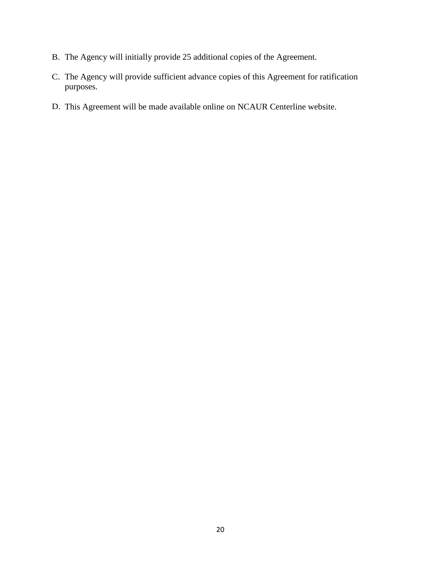- B. The Agency will initially provide 25 additional copies of the Agreement.
- C. The Agency will provide sufficient advance copies of this Agreement for ratification purposes.
- D. This Agreement will be made available online on NCAUR Centerline website.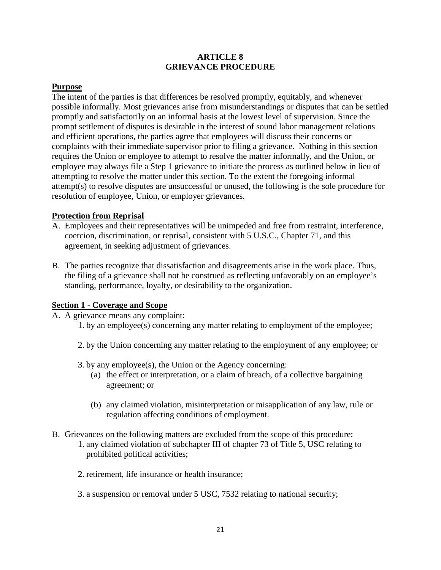### **ARTICLE 8 GRIEVANCE PROCEDURE**

### **Purpose**

The intent of the parties is that differences be resolved promptly, equitably, and whenever possible informally. Most grievances arise from misunderstandings or disputes that can be settled promptly and satisfactorily on an informal basis at the lowest level of supervision. Since the prompt settlement of disputes is desirable in the interest of sound labor management relations and efficient operations, the parties agree that employees will discuss their concerns or complaints with their immediate supervisor prior to filing a grievance. Nothing in this section requires the Union or employee to attempt to resolve the matter informally, and the Union, or employee may always file a Step 1 grievance to initiate the process as outlined below in lieu of attempting to resolve the matter under this section. To the extent the foregoing informal attempt(s) to resolve disputes are unsuccessful or unused, the following is the sole procedure for resolution of employee, Union, or employer grievances.

## **Protection from Reprisal**

- A. Employees and their representatives will be unimpeded and free from restraint, interference, coercion, discrimination, or reprisal, consistent with 5 U.S.C., Chapter 71, and this agreement, in seeking adjustment of grievances.
- B. The parties recognize that dissatisfaction and disagreements arise in the work place. Thus, the filing of a grievance shall not be construed as reflecting unfavorably on an employee's standing, performance, loyalty, or desirability to the organization.

#### **Section 1 - Coverage and Scope**

- A. A grievance means any complaint:
	- 1. by an employee(s) concerning any matter relating to employment of the employee;
	- 2. by the Union concerning any matter relating to the employment of any employee; or
	- 3. by any employee(s), the Union or the Agency concerning:
		- (a) the effect or interpretation, or a claim of breach, of a collective bargaining agreement; or
		- (b) any claimed violation, misinterpretation or misapplication of any law, rule or regulation affecting conditions of employment.
- B. Grievances on the following matters are excluded from the scope of this procedure: 1. any claimed violation of subchapter III of chapter 73 of Title 5, USC relating to
	- prohibited political activities;
	- 2. retirement, life insurance or health insurance;
	- 3. a suspension or removal under 5 USC, 7532 relating to national security;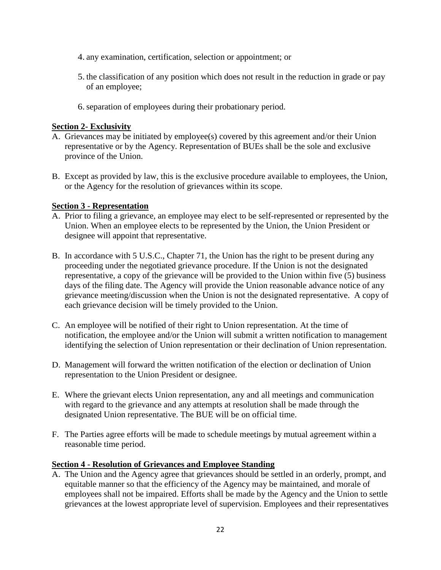- 4. any examination, certification, selection or appointment; or
- 5. the classification of any position which does not result in the reduction in grade or pay of an employee;
- 6.separation of employees during their probationary period.

### **Section 2- Exclusivity**

- A. Grievances may be initiated by employee(s) covered by this agreement and/or their Union representative or by the Agency. Representation of BUEs shall be the sole and exclusive province of the Union.
- B. Except as provided by law, this is the exclusive procedure available to employees, the Union, or the Agency for the resolution of grievances within its scope.

### **Section 3 - Representation**

- A. Prior to filing a grievance, an employee may elect to be self-represented or represented by the Union. When an employee elects to be represented by the Union, the Union President or designee will appoint that representative.
- B. In accordance with 5 U.S.C., Chapter 71, the Union has the right to be present during any proceeding under the negotiated grievance procedure. If the Union is not the designated representative, a copy of the grievance will be provided to the Union within five (5) business days of the filing date. The Agency will provide the Union reasonable advance notice of any grievance meeting/discussion when the Union is not the designated representative. A copy of each grievance decision will be timely provided to the Union.
- C. An employee will be notified of their right to Union representation. At the time of notification, the employee and/or the Union will submit a written notification to management identifying the selection of Union representation or their declination of Union representation.
- D. Management will forward the written notification of the election or declination of Union representation to the Union President or designee.
- E. Where the grievant elects Union representation, any and all meetings and communication with regard to the grievance and any attempts at resolution shall be made through the designated Union representative. The BUE will be on official time.
- F. The Parties agree efforts will be made to schedule meetings by mutual agreement within a reasonable time period.

#### **Section 4 - Resolution of Grievances and Employee Standing**

A. The Union and the Agency agree that grievances should be settled in an orderly, prompt, and equitable manner so that the efficiency of the Agency may be maintained, and morale of employees shall not be impaired. Efforts shall be made by the Agency and the Union to settle grievances at the lowest appropriate level of supervision. Employees and their representatives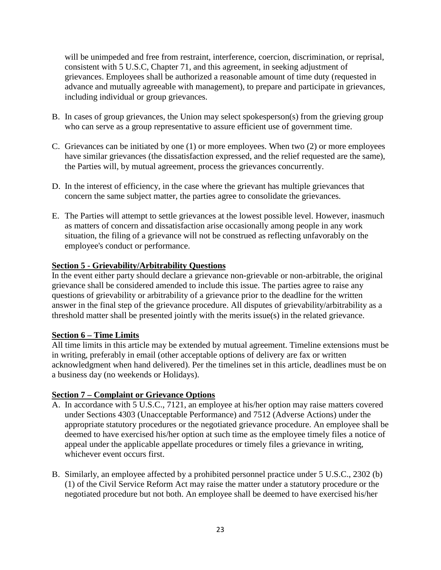will be unimpeded and free from restraint, interference, coercion, discrimination, or reprisal, consistent with 5 U.S.C, Chapter 71, and this agreement, in seeking adjustment of grievances. Employees shall be authorized a reasonable amount of time duty (requested in advance and mutually agreeable with management), to prepare and participate in grievances, including individual or group grievances.

- B. In cases of group grievances, the Union may select spokesperson(s) from the grieving group who can serve as a group representative to assure efficient use of government time.
- C. Grievances can be initiated by one (1) or more employees. When two (2) or more employees have similar grievances (the dissatisfaction expressed, and the relief requested are the same), the Parties will, by mutual agreement, process the grievances concurrently.
- D. In the interest of efficiency, in the case where the grievant has multiple grievances that concern the same subject matter, the parties agree to consolidate the grievances.
- E. The Parties will attempt to settle grievances at the lowest possible level. However, inasmuch as matters of concern and dissatisfaction arise occasionally among people in any work situation, the filing of a grievance will not be construed as reflecting unfavorably on the employee's conduct or performance.

## **Section 5 - Grievability/Arbitrability Questions**

In the event either party should declare a grievance non-grievable or non-arbitrable, the original grievance shall be considered amended to include this issue. The parties agree to raise any questions of grievability or arbitrability of a grievance prior to the deadline for the written answer in the final step of the grievance procedure. All disputes of grievability/arbitrability as a threshold matter shall be presented jointly with the merits issue(s) in the related grievance.

## **Section 6 – Time Limits**

All time limits in this article may be extended by mutual agreement. Timeline extensions must be in writing, preferably in email (other acceptable options of delivery are fax or written acknowledgment when hand delivered). Per the timelines set in this article, deadlines must be on a business day (no weekends or Holidays).

## **Section 7 – Complaint or Grievance Options**

- A. In accordance with 5 U.S.C., 7121, an employee at his/her option may raise matters covered under Sections 4303 (Unacceptable Performance) and 7512 (Adverse Actions) under the appropriate statutory procedures or the negotiated grievance procedure. An employee shall be deemed to have exercised his/her option at such time as the employee timely files a notice of appeal under the applicable appellate procedures or timely files a grievance in writing, whichever event occurs first.
- B. Similarly, an employee affected by a prohibited personnel practice under 5 U.S.C., 2302 (b) (1) of the Civil Service Reform Act may raise the matter under a statutory procedure or the negotiated procedure but not both. An employee shall be deemed to have exercised his/her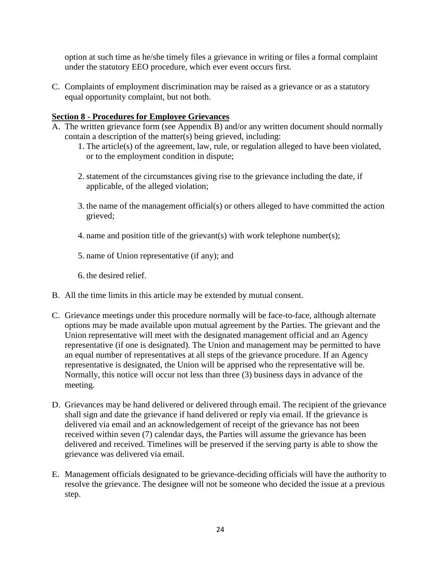option at such time as he/she timely files a grievance in writing or files a formal complaint under the statutory EEO procedure, which ever event occurs first.

C. Complaints of employment discrimination may be raised as a grievance or as a statutory equal opportunity complaint, but not both.

### **Section 8 - Procedures for Employee Grievances**

- A. The written grievance form (see Appendix B) and/or any written document should normally contain a description of the matter(s) being grieved, including:
	- 1. The article(s) of the agreement, law, rule, or regulation alleged to have been violated, or to the employment condition in dispute;
	- 2.statement of the circumstances giving rise to the grievance including the date, if applicable, of the alleged violation;
	- 3. the name of the management official(s) or others alleged to have committed the action grieved;
	- 4. name and position title of the grievant(s) with work telephone number(s);
	- 5. name of Union representative (if any); and
	- 6. the desired relief.
- B. All the time limits in this article may be extended by mutual consent.
- C. Grievance meetings under this procedure normally will be face-to-face, although alternate options may be made available upon mutual agreement by the Parties. The grievant and the Union representative will meet with the designated management official and an Agency representative (if one is designated). The Union and management may be permitted to have an equal number of representatives at all steps of the grievance procedure. If an Agency representative is designated, the Union will be apprised who the representative will be. Normally, this notice will occur not less than three (3) business days in advance of the meeting.
- D. Grievances may be hand delivered or delivered through email. The recipient of the grievance shall sign and date the grievance if hand delivered or reply via email. If the grievance is delivered via email and an acknowledgement of receipt of the grievance has not been received within seven (7) calendar days, the Parties will assume the grievance has been delivered and received. Timelines will be preserved if the serving party is able to show the grievance was delivered via email.
- E. Management officials designated to be grievance-deciding officials will have the authority to resolve the grievance. The designee will not be someone who decided the issue at a previous step.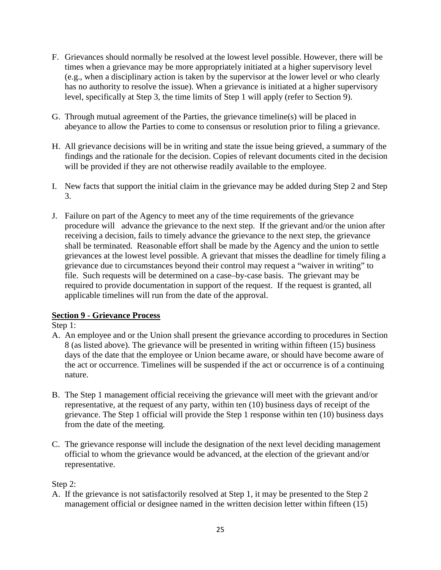- F. Grievances should normally be resolved at the lowest level possible. However, there will be times when a grievance may be more appropriately initiated at a higher supervisory level (e.g., when a disciplinary action is taken by the supervisor at the lower level or who clearly has no authority to resolve the issue). When a grievance is initiated at a higher supervisory level, specifically at Step 3, the time limits of Step 1 will apply (refer to Section 9).
- G. Through mutual agreement of the Parties, the grievance timeline(s) will be placed in abeyance to allow the Parties to come to consensus or resolution prior to filing a grievance.
- H. All grievance decisions will be in writing and state the issue being grieved, a summary of the findings and the rationale for the decision. Copies of relevant documents cited in the decision will be provided if they are not otherwise readily available to the employee.
- I. New facts that support the initial claim in the grievance may be added during Step 2 and Step 3.
- J. Failure on part of the Agency to meet any of the time requirements of the grievance procedure will advance the grievance to the next step. If the grievant and/or the union after receiving a decision, fails to timely advance the grievance to the next step, the grievance shall be terminated. Reasonable effort shall be made by the Agency and the union to settle grievances at the lowest level possible. A grievant that misses the deadline for timely filing a grievance due to circumstances beyond their control may request a "waiver in writing" to file. Such requests will be determined on a case–by-case basis. The grievant may be required to provide documentation in support of the request. If the request is granted, all applicable timelines will run from the date of the approval.

## **Section 9 - Grievance Process**

Step 1:

- A. An employee and or the Union shall present the grievance according to procedures in Section 8 (as listed above). The grievance will be presented in writing within fifteen (15) business days of the date that the employee or Union became aware, or should have become aware of the act or occurrence. Timelines will be suspended if the act or occurrence is of a continuing nature.
- B. The Step 1 management official receiving the grievance will meet with the grievant and/or representative, at the request of any party, within ten (10) business days of receipt of the grievance. The Step 1 official will provide the Step 1 response within ten (10) business days from the date of the meeting.
- C. The grievance response will include the designation of the next level deciding management official to whom the grievance would be advanced, at the election of the grievant and/or representative.

## Step 2:

A. If the grievance is not satisfactorily resolved at Step 1, it may be presented to the Step 2 management official or designee named in the written decision letter within fifteen (15)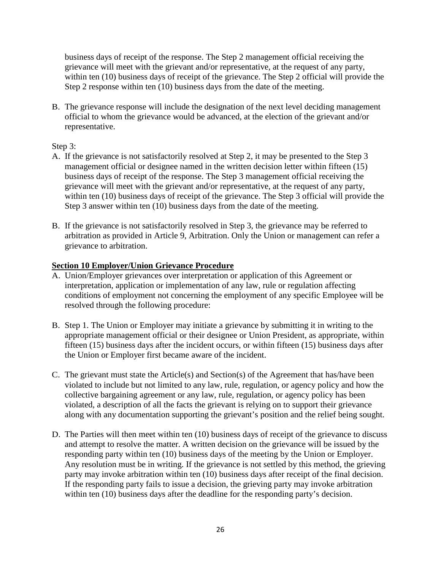business days of receipt of the response. The Step 2 management official receiving the grievance will meet with the grievant and/or representative, at the request of any party, within ten (10) business days of receipt of the grievance. The Step 2 official will provide the Step 2 response within ten (10) business days from the date of the meeting.

B. The grievance response will include the designation of the next level deciding management official to whom the grievance would be advanced, at the election of the grievant and/or representative.

### Step 3:

- A. If the grievance is not satisfactorily resolved at Step 2, it may be presented to the Step 3 management official or designee named in the written decision letter within fifteen (15) business days of receipt of the response. The Step 3 management official receiving the grievance will meet with the grievant and/or representative, at the request of any party, within ten (10) business days of receipt of the grievance. The Step 3 official will provide the Step 3 answer within ten (10) business days from the date of the meeting.
- B. If the grievance is not satisfactorily resolved in Step 3, the grievance may be referred to arbitration as provided in Article 9, Arbitration. Only the Union or management can refer a grievance to arbitration.

### **Section 10 Employer/Union Grievance Procedure**

- A. Union/Employer grievances over interpretation or application of this Agreement or interpretation, application or implementation of any law, rule or regulation affecting conditions of employment not concerning the employment of any specific Employee will be resolved through the following procedure:
- B. Step 1. The Union or Employer may initiate a grievance by submitting it in writing to the appropriate management official or their designee or Union President, as appropriate, within fifteen (15) business days after the incident occurs, or within fifteen (15) business days after the Union or Employer first became aware of the incident.
- C. The grievant must state the Article(s) and Section(s) of the Agreement that has/have been violated to include but not limited to any law, rule, regulation, or agency policy and how the collective bargaining agreement or any law, rule, regulation, or agency policy has been violated, a description of all the facts the grievant is relying on to support their grievance along with any documentation supporting the grievant's position and the relief being sought.
- D. The Parties will then meet within ten (10) business days of receipt of the grievance to discuss and attempt to resolve the matter. A written decision on the grievance will be issued by the responding party within ten (10) business days of the meeting by the Union or Employer. Any resolution must be in writing. If the grievance is not settled by this method, the grieving party may invoke arbitration within ten (10) business days after receipt of the final decision. If the responding party fails to issue a decision, the grieving party may invoke arbitration within ten (10) business days after the deadline for the responding party's decision.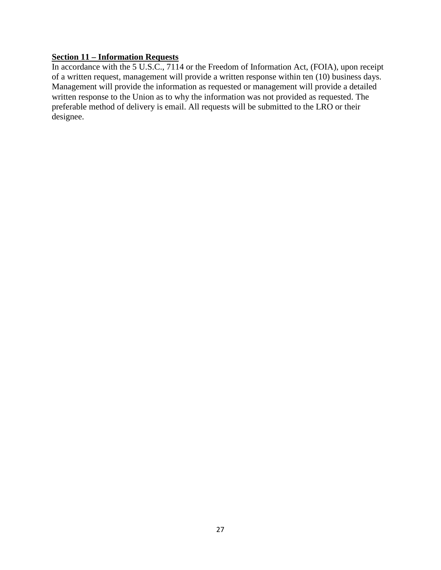## **Section 11 – Information Requests**

In accordance with the 5 U.S.C., 7114 or the Freedom of Information Act, (FOIA), upon receipt of a written request, management will provide a written response within ten (10) business days. Management will provide the information as requested or management will provide a detailed written response to the Union as to why the information was not provided as requested. The preferable method of delivery is email. All requests will be submitted to the LRO or their designee.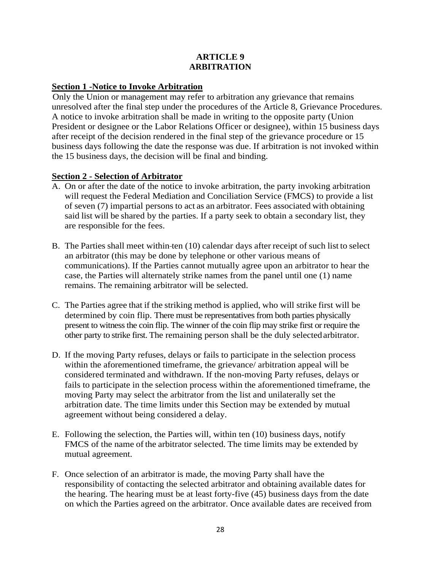### **ARTICLE 9 ARBITRATION**

### **Section 1 -Notice to Invoke Arbitration**

Only the Union or management may refer to arbitration any grievance that remains unresolved after the final step under the procedures of the Article 8, Grievance Procedures. A notice to invoke arbitration shall be made in writing to the opposite party (Union President or designee or the Labor Relations Officer or designee), within 15 business days after receipt of the decision rendered in the final step of the grievance procedure or 15 business days following the date the response was due. If arbitration is not invoked within the 15 business days, the decision will be final and binding.

### **Section 2 - Selection of Arbitrator**

- A. On or after the date of the notice to invoke arbitration, the party invoking arbitration will request the Federal Mediation and Conciliation Service (FMCS) to provide a list of seven (7) impartial persons to act as an arbitrator. Fees associated with obtaining said list will be shared by the parties. If a party seek to obtain a secondary list, they are responsible for the fees.
- B. The Parties shall meet within ten (10) calendar days after receipt of such list to select an arbitrator (this may be done by telephone or other various means of communications). If the Parties cannot mutually agree upon an arbitrator to hear the case, the Parties will alternately strike names from the panel until one (1) name remains. The remaining arbitrator will be selected.
- C. The Parties agree that if the striking method is applied, who will strike first will be determined by coin flip. There must be representatives from both parties physically present to witness the coin flip. The winner of the coin flip may strike first or require the other party to strike first. The remaining person shall be the duly selectedarbitrator.
- D. If the moving Party refuses, delays or fails to participate in the selection process within the aforementioned timeframe, the grievance/ arbitration appeal will be considered terminated and withdrawn. If the non-moving Party refuses, delays or fails to participate in the selection process within the aforementioned timeframe, the moving Party may select the arbitrator from the list and unilaterally set the arbitration date. The time limits under this Section may be extended by mutual agreement without being considered a delay.
- E. Following the selection, the Parties will, within ten (10) business days, notify FMCS of the name of the arbitrator selected. The time limits may be extended by mutual agreement.
- F. Once selection of an arbitrator is made, the moving Party shall have the responsibility of contacting the selected arbitrator and obtaining available dates for the hearing. The hearing must be at least forty-five (45) business days from the date on which the Parties agreed on the arbitrator. Once available dates are received from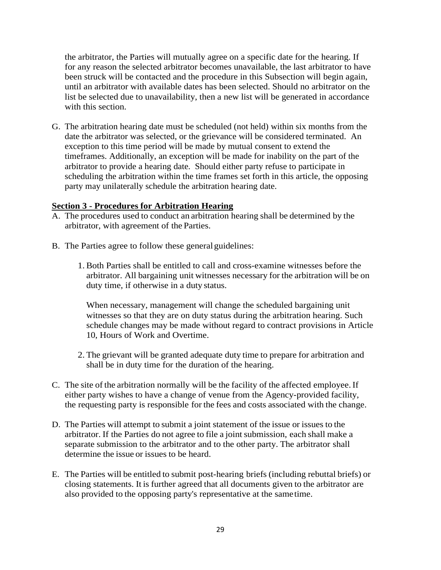the arbitrator, the Parties will mutually agree on a specific date for the hearing. If for any reason the selected arbitrator becomes unavailable, the last arbitrator to have been struck will be contacted and the procedure in this Subsection will begin again, until an arbitrator with available dates has been selected. Should no arbitrator on the list be selected due to unavailability, then a new list will be generated in accordance with this section.

G. The arbitration hearing date must be scheduled (not held) within six months from the date the arbitrator was selected, or the grievance will be considered terminated. An exception to this time period will be made by mutual consent to extend the timeframes. Additionally, an exception will be made for inability on the part of the arbitrator to provide a hearing date. Should either party refuse to participate in scheduling the arbitration within the time frames set forth in this article, the opposing party may unilaterally schedule the arbitration hearing date.

#### **Section 3 - Procedures for Arbitration Hearing**

- A. The procedures used to conduct an arbitration hearing shall be determined by the arbitrator, with agreement of the Parties.
- B. The Parties agree to follow these general guidelines:
	- 1. Both Parties shall be entitled to call and cross-examine witnesses before the arbitrator. All bargaining unit witnesses necessary for the arbitration will be on duty time, if otherwise in a duty status.

When necessary, management will change the scheduled bargaining unit witnesses so that they are on duty status during the arbitration hearing. Such schedule changes may be made without regard to contract provisions in Article 10, Hours of Work and Overtime.

- 2. The grievant will be granted adequate duty time to prepare for arbitration and shall be in duty time for the duration of the hearing.
- C. The site of the arbitration normally will be the facility of the affected employee. If either party wishes to have a change of venue from the Agency-provided facility, the requesting party is responsible for the fees and costs associated with the change.
- D. The Parties will attempt to submit a joint statement of the issue or issues to the arbitrator. If the Parties do not agree to file a joint submission, each shall make a separate submission to the arbitrator and to the other party. The arbitrator shall determine the issue or issues to be heard.
- E. The Parties will be entitled to submit post-hearing briefs (including rebuttal briefs) or closing statements. It is further agreed that all documents given to the arbitrator are also provided to the opposing party's representative at the sametime.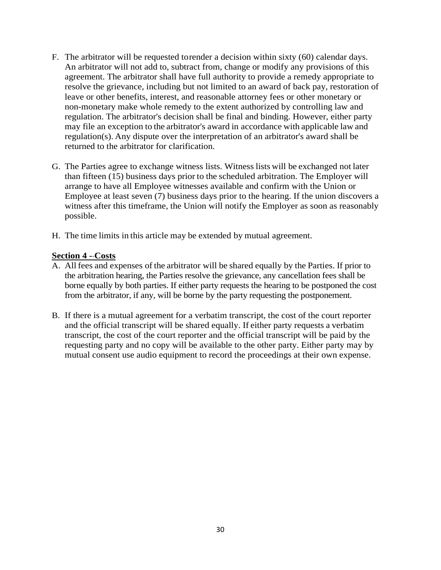- F. The arbitrator will be requested torender a decision within sixty (60) calendar days. An arbitrator will not add to, subtract from, change or modify any provisions of this agreement. The arbitrator shall have full authority to provide a remedy appropriate to resolve the grievance, including but not limited to an award of back pay, restoration of leave or other benefits, interest, and reasonable attorney fees or other monetary or non-monetary make whole remedy to the extent authorized by controlling law and regulation. The arbitrator's decision shall be final and binding. However, either party may file an exception to the arbitrator's award in accordance with applicable law and regulation(s). Any dispute over the interpretation of an arbitrator's award shall be returned to the arbitrator for clarification.
- G. The Parties agree to exchange witness lists. Witness lists will be exchanged not later than fifteen (15) business days prior to the scheduled arbitration. The Employer will arrange to have all Employee witnesses available and confirm with the Union or Employee at least seven (7) business days prior to the hearing. If the union discovers a witness after this timeframe, the Union will notify the Employer as soon as reasonably possible.
- H. The time limits in this article may be extended by mutual agreement.

### **Section 4 - Costs**

- A. All fees and expenses of the arbitrator will be shared equally by the Parties. If prior to the arbitration hearing, the Parties resolve the grievance, any cancellation fees shall be borne equally by both parties. If either party requests the hearing to be postponed the cost from the arbitrator, if any, will be borne by the party requesting the postponement.
- B. If there is a mutual agreement for a verbatim transcript, the cost of the court reporter and the official transcript will be shared equally. If either party requests a verbatim transcript, the cost of the court reporter and the official transcript will be paid by the requesting party and no copy will be available to the other party. Either party may by mutual consent use audio equipment to record the proceedings at their own expense.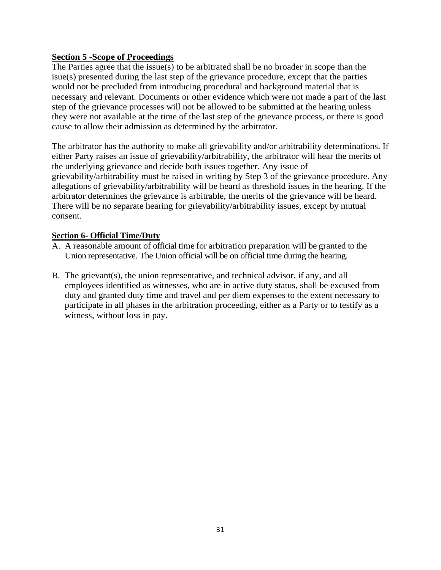## **Section 5 -Scope of Proceedings**

The Parties agree that the issue(s) to be arbitrated shall be no broader in scope than the isue(s) presented during the last step of the grievance procedure, except that the parties would not be precluded from introducing procedural and background material that is necessary and relevant. Documents or other evidence which were not made a part of the last step of the grievance processes will not be allowed to be submitted at the hearing unless they were not available at the time of the last step of the grievance process, or there is good cause to allow their admission as determined by the arbitrator.

The arbitrator has the authority to make all grievability and/or arbitrability determinations. If either Party raises an issue of grievability/arbitrability, the arbitrator will hear the merits of the underlying grievance and decide both issues together. Any issue of grievability/arbitrability must be raised in writing by Step 3 of the grievance procedure. Any allegations of grievability/arbitrability will be heard as threshold issues in the hearing. If the arbitrator determines the grievance is arbitrable, the merits of the grievance will be heard. There will be no separate hearing for grievability/arbitrability issues, except by mutual consent.

#### **Section 6- Official Time/Duty**

- A. A reasonable amount of official time for arbitration preparation will be granted to the Union representative. The Union official will be on official time during the hearing.
- B. The grievant(s), the union representative, and technical advisor, if any, and all employees identified as witnesses, who are in active duty status, shall be excused from duty and granted duty time and travel and per diem expenses to the extent necessary to participate in all phases in the arbitration proceeding, either as a Party or to testify as a witness, without loss in pay.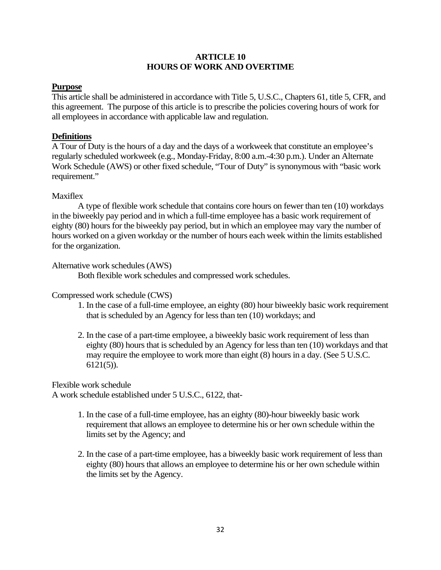### **ARTICLE 10 HOURS OF WORK AND OVERTIME**

### **Purpose**

This article shall be administered in accordance with Title 5, U.S.C., Chapters 61, title 5, CFR, and this agreement. The purpose of this article is to prescribe the policies covering hours of work for all employees in accordance with applicable law and regulation.

### **Definitions**

A Tour of Duty is the hours of a day and the days of a workweek that constitute an employee's regularly scheduled workweek (e.g., Monday-Friday, 8:00 a.m.-4:30 p.m.). Under an Alternate Work Schedule (AWS) or other fixed schedule, "Tour of Duty" is synonymous with "basic work requirement."

### Maxiflex

A type of flexible work schedule that contains core hours on fewer than ten (10) workdays in the biweekly pay period and in which a full-time employee has a basic work requirement of eighty (80) hours for the biweekly pay period, but in which an employee may vary the number of hours worked on a given workday or the number of hours each week within the limits established for the organization.

### Alternative work schedules (AWS)

Both flexible work schedules and compressed work schedules.

## Compressed work schedule (CWS)

- 1. In the case of a full-time employee, an eighty (80) hour biweekly basic work requirement that is scheduled by an Agency for less than ten (10) workdays; and
- 2. In the case of a part-time employee, a biweekly basic work requirement of less than eighty (80) hours that is scheduled by an Agency for less than ten (10) workdays and that may require the employee to work more than eight (8) hours in a day. (See 5 U.S.C. 6121(5)).

Flexible work schedule

A work schedule established under 5 U.S.C., 6122, that-

- 1. In the case of a full-time employee, has an eighty (80)-hour biweekly basic work requirement that allows an employee to determine his or her own schedule within the limits set by the Agency; and
- 2. In the case of a part-time employee, has a biweekly basic work requirement of less than eighty (80) hours that allows an employee to determine his or her own schedule within the limits set by the Agency.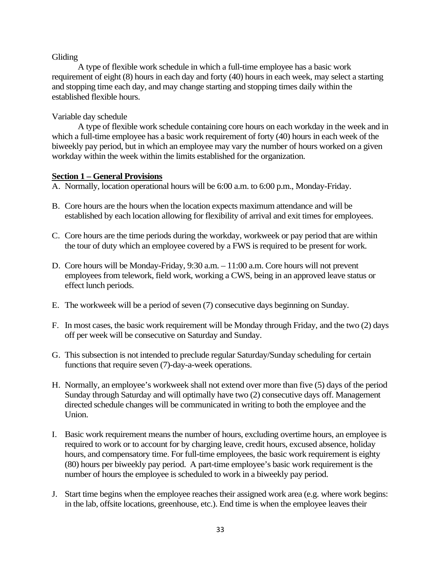#### Gliding

A type of flexible work schedule in which a full-time employee has a basic work requirement of eight (8) hours in each day and forty (40) hours in each week, may select a starting and stopping time each day, and may change starting and stopping times daily within the established flexible hours.

#### Variable day schedule

A type of flexible work schedule containing core hours on each workday in the week and in which a full-time employee has a basic work requirement of forty (40) hours in each week of the biweekly pay period, but in which an employee may vary the number of hours worked on a given workday within the week within the limits established for the organization.

#### **Section 1 – General Provisions**

- A. Normally, location operational hours will be 6:00 a.m. to 6:00 p.m., Monday-Friday.
- B. Core hours are the hours when the location expects maximum attendance and will be established by each location allowing for flexibility of arrival and exit times for employees.
- C. Core hours are the time periods during the workday, workweek or pay period that are within the tour of duty which an employee covered by a FWS is required to be present for work.
- D. Core hours will be Monday-Friday, 9:30 a.m. 11:00 a.m. Core hours will not prevent employees from telework, field work, working a CWS, being in an approved leave status or effect lunch periods.
- E. The workweek will be a period of seven (7) consecutive days beginning on Sunday.
- F. In most cases, the basic work requirement will be Monday through Friday, and the two (2) days off per week will be consecutive on Saturday and Sunday.
- G. This subsection is not intended to preclude regular Saturday/Sunday scheduling for certain functions that require seven (7)-day-a-week operations.
- H. Normally, an employee's workweek shall not extend over more than five (5) days of the period Sunday through Saturday and will optimally have two (2) consecutive days off. Management directed schedule changes will be communicated in writing to both the employee and the Union.
- I. Basic work requirement means the number of hours, excluding overtime hours, an employee is required to work or to account for by charging leave, credit hours, excused absence, holiday hours, and compensatory time. For full-time employees, the basic work requirement is eighty (80) hours per biweekly pay period. A part-time employee's basic work requirement is the number of hours the employee is scheduled to work in a biweekly pay period.
- J. Start time begins when the employee reaches their assigned work area (e.g. where work begins: in the lab, offsite locations, greenhouse, etc.). End time is when the employee leaves their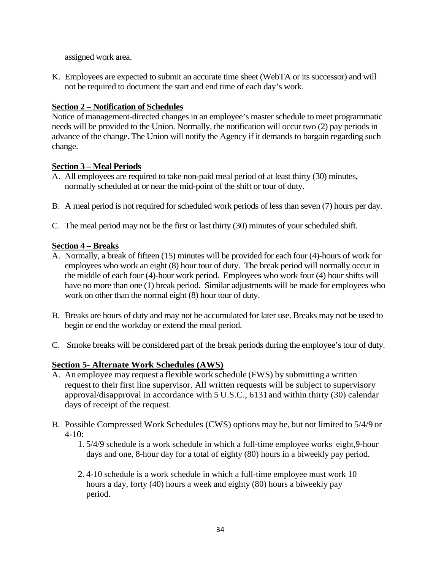assigned work area.

K. Employees are expected to submit an accurate time sheet (WebTA or its successor) and will not be required to document the start and end time of each day's work.

## **Section 2 – Notification of Schedules**

Notice of management-directed changes in an employee's master schedule to meet programmatic needs will be provided to the Union. Normally, the notification will occur two (2) pay periods in advance of the change. The Union will notify the Agency if it demands to bargain regarding such change.

## **Section 3 – Meal Periods**

- A. All employees are required to take non-paid meal period of at least thirty (30) minutes, normally scheduled at or near the mid-point of the shift or tour of duty.
- B. A meal period is not required for scheduled work periods of less than seven (7) hours per day.
- C. The meal period may not be the first or last thirty (30) minutes of your scheduled shift.

## **Section 4 – Breaks**

- A. Normally, a break of fifteen (15) minutes will be provided for each four (4)-hours of work for employees who work an eight (8) hour tour of duty. The break period will normally occur in the middle of each four (4)-hour work period. Employees who work four (4) hour shifts will have no more than one (1) break period. Similar adjustments will be made for employees who work on other than the normal eight (8) hour tour of duty.
- B. Breaks are hours of duty and may not be accumulated for later use. Breaks may not be used to begin or end the workday or extend the meal period.
- C. Smoke breaks will be considered part of the break periods during the employee's tour of duty.

# **Section 5- Alternate Work Schedules (AWS)**

- A. An employee may request a flexible work schedule (FWS) by submitting a written request to their first line supervisor. All written requests will be subject to supervisory approval/disapproval in accordance with 5 U.S.C., 6131and within thirty (30) calendar days of receipt of the request.
- B. Possible Compressed Work Schedules (CWS) options may be, but not limited to 5/4/9 or 4-10:
	- 1. 5/4/9 schedule is a work schedule in which a full-time employee works eight,9-hour days and one, 8-hour day for a total of eighty (80) hours in a biweekly pay period.
	- 2. 4-10 schedule is a work schedule in which a full-time employee must work 10 hours a day, forty (40) hours a week and eighty (80) hours a biweekly pay period.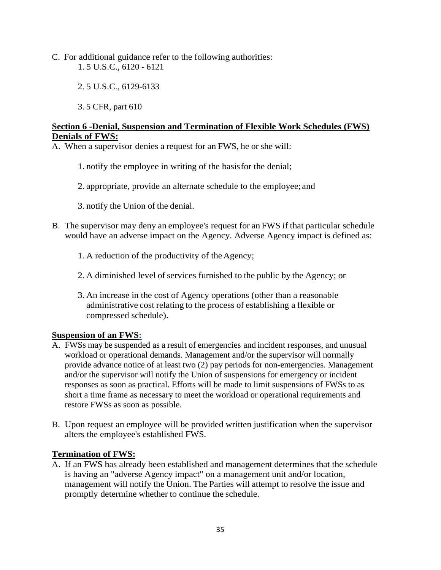- C. For additional guidance refer to the following authorities: 1. 5 U.S.C., 6120 - 6121
	- 2. 5 U.S.C., 6129-6133
	- 3. 5 CFR, part 610

## **Section 6 -Denial, Suspension and Termination of Flexible Work Schedules (FWS) Denials of FWS:**

A. When a supervisor denies a request for an FWS, he or she will:

- 1. notify the employee in writing of the basisfor the denial;
- 2. appropriate, provide an alternate schedule to the employee; and
- 3. notify the Union of the denial.
- B. The supervisor may deny an employee's request for an FWS if that particular schedule would have an adverse impact on the Agency. Adverse Agency impact is defined as:
	- 1. A reduction of the productivity of the Agency;
	- 2. A diminished level of services furnished to the public by the Agency; or
	- 3. An increase in the cost of Agency operations (other than a reasonable administrative cost relating to the process of establishing a flexible or compressed schedule).

# **Suspension of an FWS:**

- A. FWSs may be suspended as a result of emergencies and incident responses, and unusual workload or operational demands. Management and/or the supervisor will normally provide advance notice of at least two (2) pay periods for non-emergencies. Management and/or the supervisor will notify the Union of suspensions for emergency or incident responses as soon as practical. Efforts will be made to limit suspensions of FWSs to as short a time frame as necessary to meet the workload or operational requirements and restore FWSs as soon as possible.
- B. Upon request an employee will be provided written justification when the supervisor alters the employee's established FWS.

## **Termination of FWS:**

A. If an FWS has already been established and management determines that the schedule is having an "adverse Agency impact" on a management unit and/or location, management will notify the Union. The Parties will attempt to resolve the issue and promptly determine whether to continue the schedule.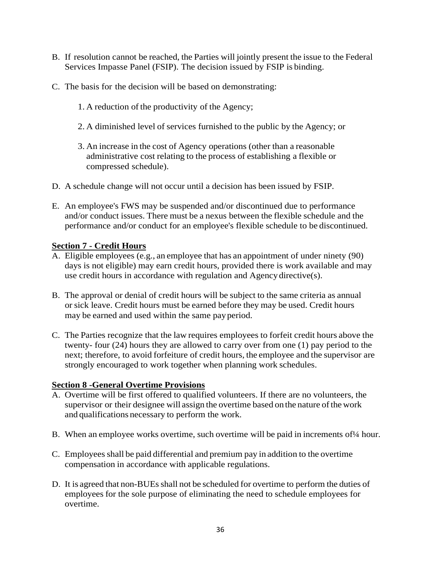- B. If resolution cannot be reached, the Parties will jointly present the issue to the Federal Services Impasse Panel (FSIP). The decision issued by FSIP is binding.
- C. The basis for the decision will be based on demonstrating:
	- 1. A reduction of the productivity of the Agency;
	- 2. A diminished level of services furnished to the public by the Agency; or
	- 3. An increase in the cost of Agency operations (other than a reasonable administrative cost relating to the process of establishing a flexible or compressed schedule).
- D. A schedule change will not occur until a decision has been issued by FSIP.
- E. An employee's FWS may be suspended and/or discontinued due to performance and/or conduct issues. There must be a nexus between the flexible schedule and the performance and/or conduct for an employee's flexible schedule to be discontinued.

### **Section 7 - Credit Hours**

- A. Eligible employees (e.g., an employee that has an appointment of under ninety (90) days is not eligible) may earn credit hours, provided there is work available and may use credit hours in accordance with regulation and Agency directive(s).
- B. The approval or denial of credit hours will be subject to the same criteria as annual or sick leave. Credit hours must be earned before they may be used. Credit hours may be earned and used within the same payperiod.
- C. The Parties recognize that the law requires employees to forfeit credit hours above the twenty- four (24) hours they are allowed to carry over from one (1) pay period to the next; therefore, to avoid forfeiture of credit hours, the employee and the supervisor are strongly encouraged to work together when planning work schedules.

### **Section 8 -General Overtime Provisions**

- A. Overtime will be first offered to qualified volunteers. If there are no volunteers, the supervisor or their designee will assign the overtime based on the nature of the work and qualifications necessary to perform the work.
- B. When an employee works overtime, such overtime will be paid in increments of 1/4 hour.
- C. Employees shall be paid differential and premium pay in addition to the overtime compensation in accordance with applicable regulations.
- D. It is agreed that non-BUEs shall not be scheduled for overtime to perform the duties of employees for the sole purpose of eliminating the need to schedule employees for overtime.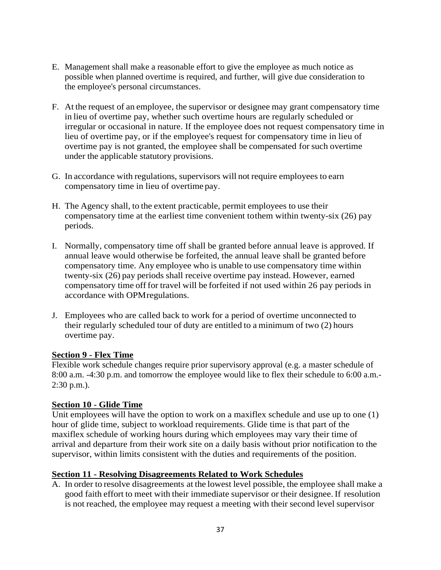- E. Management shall make a reasonable effort to give the employee as much notice as possible when planned overtime is required, and further, will give due consideration to the employee's personal circumstances.
- F. At the request of an employee, the supervisor or designee may grant compensatory time in lieu of overtime pay, whether such overtime hours are regularly scheduled or irregular or occasional in nature. If the employee does not request compensatory time in lieu of overtime pay, or if the employee's request for compensatory time in lieu of overtime pay is not granted, the employee shall be compensated for such overtime under the applicable statutory provisions.
- G. In accordance with regulations, supervisors will not require employees to earn compensatory time in lieu of overtime pay.
- H. The Agency shall, to the extent practicable, permit employees to use their compensatory time at the earliest time convenient tothem within twenty-six (26) pay periods.
- I. Normally, compensatory time off shall be granted before annual leave is approved. If annual leave would otherwise be forfeited, the annual leave shall be granted before compensatory time. Any employee who is unable to use compensatory time within twenty-six (26) pay periods shall receive overtime pay instead. However, earned compensatory time off for travel will be forfeited if not used within 26 pay periods in accordance with OPMregulations.
- J. Employees who are called back to work for a period of overtime unconnected to their regularly scheduled tour of duty are entitled to a minimum of two (2) hours overtime pay.

## **Section 9 - Flex Time**

Flexible work schedule changes require prior supervisory approval (e.g. a master schedule of 8:00 a.m. -4:30 p.m. and tomorrow the employee would like to flex their schedule to 6:00 a.m.- 2:30 p.m.).

## **Section 10 - Glide Time**

Unit employees will have the option to work on a maxiflex schedule and use up to one (1) hour of glide time, subject to workload requirements. Glide time is that part of the maxiflex schedule of working hours during which employees may vary their time of arrival and departure from their work site on a daily basis without prior notification to the supervisor, within limits consistent with the duties and requirements of the position.

### **Section 11 - Resolving Disagreements Related to Work Schedules**

A. In order to resolve disagreements at the lowest level possible, the employee shall make a good faith effort to meet with their immediate supervisor or their designee. If resolution is not reached, the employee may request a meeting with their second level supervisor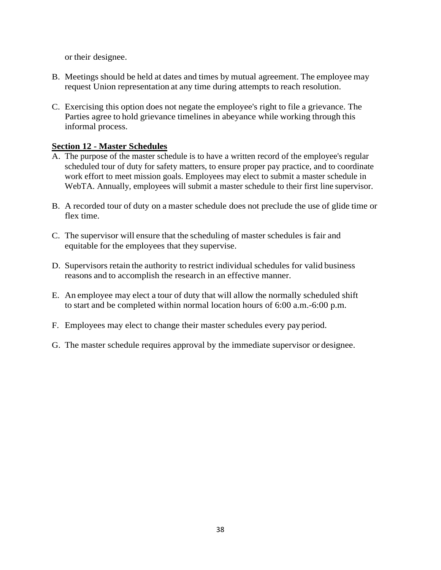or their designee.

- B. Meetings should be held at dates and times by mutual agreement. The employee may request Union representation at any time during attempts to reach resolution.
- C. Exercising this option does not negate the employee's right to file a grievance. The Parties agree to hold grievance timelines in abeyance while working through this informal process.

## **Section 12 - Master Schedules**

- A. The purpose of the master schedule is to have a written record of the employee's regular scheduled tour of duty for safety matters, to ensure proper pay practice, and to coordinate work effort to meet mission goals. Employees may elect to submit a master schedule in WebTA. Annually, employees will submit a master schedule to their first line supervisor.
- B. A recorded tour of duty on a master schedule does not preclude the use of glide time or flex time.
- C. The supervisor will ensure that the scheduling of master schedules is fair and equitable for the employees that they supervise.
- D. Supervisors retain the authority to restrict individual schedules for valid business reasons and to accomplish the research in an effective manner.
- E. An employee may elect a tour of duty that will allow the normally scheduled shift to start and be completed within normal location hours of 6:00 a.m.-6:00 p.m.
- F. Employees may elect to change their master schedules every pay period.
- G. The master schedule requires approval by the immediate supervisor or designee.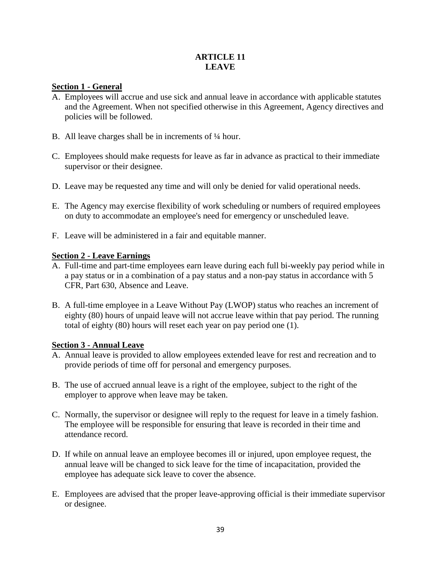## **ARTICLE 11 LEAVE**

## **Section 1 - General**

- A. Employees will accrue and use sick and annual leave in accordance with applicable statutes and the Agreement. When not specified otherwise in this Agreement, Agency directives and policies will be followed.
- B. All leave charges shall be in increments of ¼ hour.
- C. Employees should make requests for leave as far in advance as practical to their immediate supervisor or their designee.
- D. Leave may be requested any time and will only be denied for valid operational needs.
- E. The Agency may exercise flexibility of work scheduling or numbers of required employees on duty to accommodate an employee's need for emergency or unscheduled leave.
- F. Leave will be administered in a fair and equitable manner.

### **Section 2 - Leave Earnings**

- A. Full-time and part-time employees earn leave during each full bi-weekly pay period while in a pay status or in a combination of a pay status and a non-pay status in accordance with 5 CFR, Part 630, Absence and Leave.
- B. A full-time employee in a Leave Without Pay (LWOP) status who reaches an increment of eighty (80) hours of unpaid leave will not accrue leave within that pay period. The running total of eighty (80) hours will reset each year on pay period one (1).

### **Section 3 - Annual Leave**

- A. Annual leave is provided to allow employees extended leave for rest and recreation and to provide periods of time off for personal and emergency purposes.
- B. The use of accrued annual leave is a right of the employee, subject to the right of the employer to approve when leave may be taken.
- C. Normally, the supervisor or designee will reply to the request for leave in a timely fashion. The employee will be responsible for ensuring that leave is recorded in their time and attendance record.
- D. If while on annual leave an employee becomes ill or injured, upon employee request, the annual leave will be changed to sick leave for the time of incapacitation, provided the employee has adequate sick leave to cover the absence.
- E. Employees are advised that the proper leave-approving official is their immediate supervisor or designee.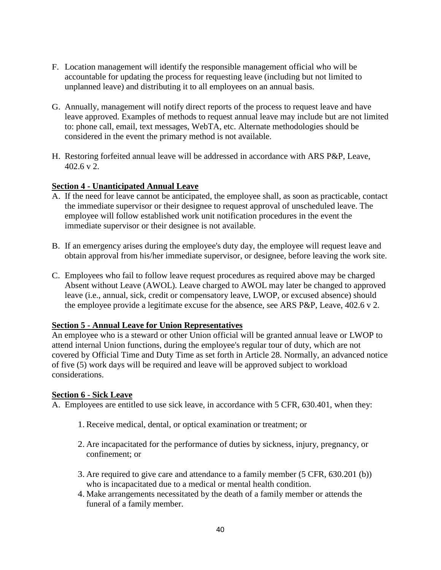- F. Location management will identify the responsible management official who will be accountable for updating the process for requesting leave (including but not limited to unplanned leave) and distributing it to all employees on an annual basis.
- G. Annually, management will notify direct reports of the process to request leave and have leave approved. Examples of methods to request annual leave may include but are not limited to: phone call, email, text messages, WebTA, etc. Alternate methodologies should be considered in the event the primary method is not available.
- H. Restoring forfeited annual leave will be addressed in accordance with ARS P&P, Leave, 402.6 v 2.

## **Section 4 - Unanticipated Annual Leave**

- A. If the need for leave cannot be anticipated, the employee shall, as soon as practicable, contact the immediate supervisor or their designee to request approval of unscheduled leave. The employee will follow established work unit notification procedures in the event the immediate supervisor or their designee is not available.
- B. If an emergency arises during the employee's duty day, the employee will request leave and obtain approval from his/her immediate supervisor, or designee, before leaving the work site.
- C. Employees who fail to follow leave request procedures as required above may be charged Absent without Leave (AWOL). Leave charged to AWOL may later be changed to approved leave (i.e., annual, sick, credit or compensatory leave, LWOP, or excused absence) should the employee provide a legitimate excuse for the absence, see ARS P&P, Leave, 402.6 v 2.

### **Section 5 - Annual Leave for Union Representatives**

An employee who is a steward or other Union official will be granted annual leave or LWOP to attend internal Union functions, during the employee's regular tour of duty, which are not covered by Official Time and Duty Time as set forth in Article 28. Normally, an advanced notice of five (5) work days will be required and leave will be approved subject to workload considerations.

### **Section 6 - Sick Leave**

A. Employees are entitled to use sick leave, in accordance with 5 CFR, 630.401, when they:

- 1. Receive medical, dental, or optical examination or treatment; or
- 2. Are incapacitated for the performance of duties by sickness, injury, pregnancy, or confinement; or
- 3. Are required to give care and attendance to a family member (5 CFR, 630.201 (b)) who is incapacitated due to a medical or mental health condition.
- 4. Make arrangements necessitated by the death of a family member or attends the funeral of a family member.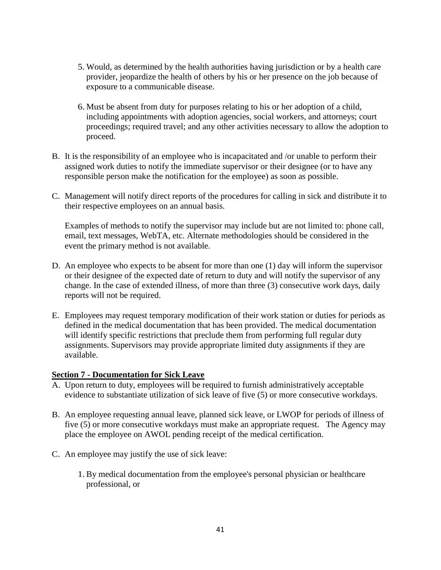- 5. Would, as determined by the health authorities having jurisdiction or by a health care provider, jeopardize the health of others by his or her presence on the job because of exposure to a communicable disease.
- 6. Must be absent from duty for purposes relating to his or her adoption of a child, including appointments with adoption agencies, social workers, and attorneys; court proceedings; required travel; and any other activities necessary to allow the adoption to proceed.
- B. It is the responsibility of an employee who is incapacitated and /or unable to perform their assigned work duties to notify the immediate supervisor or their designee (or to have any responsible person make the notification for the employee) as soon as possible.
- C. Management will notify direct reports of the procedures for calling in sick and distribute it to their respective employees on an annual basis.

Examples of methods to notify the supervisor may include but are not limited to: phone call, email, text messages, WebTA, etc. Alternate methodologies should be considered in the event the primary method is not available.

- D. An employee who expects to be absent for more than one (1) day will inform the supervisor or their designee of the expected date of return to duty and will notify the supervisor of any change. In the case of extended illness, of more than three (3) consecutive work days, daily reports will not be required.
- E. Employees may request temporary modification of their work station or duties for periods as defined in the medical documentation that has been provided. The medical documentation will identify specific restrictions that preclude them from performing full regular duty assignments. Supervisors may provide appropriate limited duty assignments if they are available.

### **Section 7 - Documentation for Sick Leave**

- A. Upon return to duty, employees will be required to furnish administratively acceptable evidence to substantiate utilization of sick leave of five (5) or more consecutive workdays.
- B. An employee requesting annual leave, planned sick leave, or LWOP for periods of illness of five (5) or more consecutive workdays must make an appropriate request. The Agency may place the employee on AWOL pending receipt of the medical certification.
- C. An employee may justify the use of sick leave:
	- 1. By medical documentation from the employee's personal physician or healthcare professional, or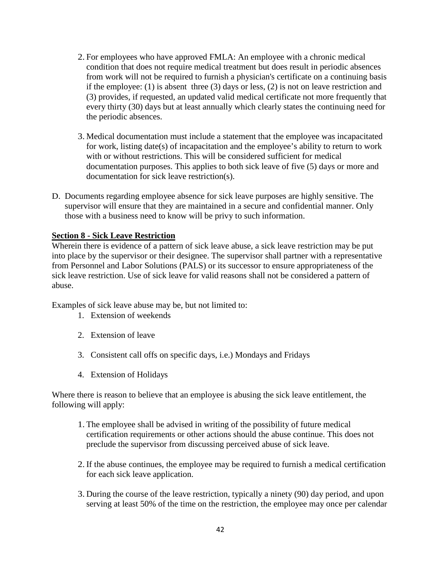- 2. For employees who have approved FMLA: An employee with a chronic medical condition that does not require medical treatment but does result in periodic absences from work will not be required to furnish a physician's certificate on a continuing basis if the employee: (1) is absent three (3) days or less, (2) is not on leave restriction and (3) provides, if requested, an updated valid medical certificate not more frequently that every thirty (30) days but at least annually which clearly states the continuing need for the periodic absences.
- 3. Medical documentation must include a statement that the employee was incapacitated for work, listing date(s) of incapacitation and the employee's ability to return to work with or without restrictions. This will be considered sufficient for medical documentation purposes. This applies to both sick leave of five (5) days or more and documentation for sick leave restriction(s).
- D. Documents regarding employee absence for sick leave purposes are highly sensitive. The supervisor will ensure that they are maintained in a secure and confidential manner. Only those with a business need to know will be privy to such information.

#### **Section 8 - Sick Leave Restriction**

Wherein there is evidence of a pattern of sick leave abuse, a sick leave restriction may be put into place by the supervisor or their designee. The supervisor shall partner with a representative from Personnel and Labor Solutions (PALS) or its successor to ensure appropriateness of the sick leave restriction. Use of sick leave for valid reasons shall not be considered a pattern of abuse.

Examples of sick leave abuse may be, but not limited to:

- 1. Extension of weekends
- 2. Extension of leave
- 3. Consistent call offs on specific days, i.e.) Mondays and Fridays
- 4. Extension of Holidays

Where there is reason to believe that an employee is abusing the sick leave entitlement, the following will apply:

- 1. The employee shall be advised in writing of the possibility of future medical certification requirements or other actions should the abuse continue. This does not preclude the supervisor from discussing perceived abuse of sick leave.
- 2. If the abuse continues, the employee may be required to furnish a medical certification for each sick leave application.
- 3. During the course of the leave restriction, typically a ninety (90) day period, and upon serving at least 50% of the time on the restriction, the employee may once per calendar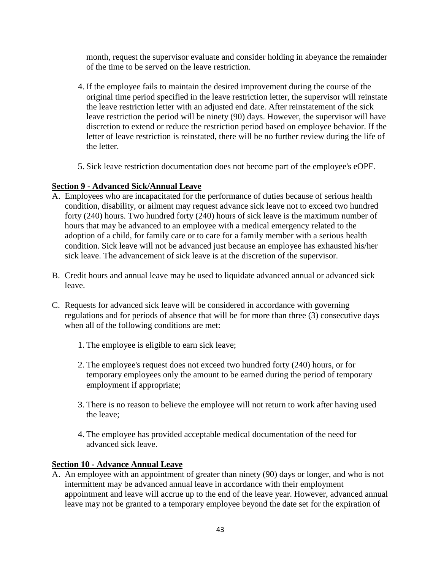month, request the supervisor evaluate and consider holding in abeyance the remainder of the time to be served on the leave restriction.

- 4. If the employee fails to maintain the desired improvement during the course of the original time period specified in the leave restriction letter, the supervisor will reinstate the leave restriction letter with an adjusted end date. After reinstatement of the sick leave restriction the period will be ninety (90) days. However, the supervisor will have discretion to extend or reduce the restriction period based on employee behavior. If the letter of leave restriction is reinstated, there will be no further review during the life of the letter.
- 5. Sick leave restriction documentation does not become part of the employee's eOPF.

# **Section 9 - Advanced Sick/Annual Leave**

- A. Employees who are incapacitated for the performance of duties because of serious health condition, disability, or ailment may request advance sick leave not to exceed two hundred forty (240) hours. Two hundred forty (240) hours of sick leave is the maximum number of hours that may be advanced to an employee with a medical emergency related to the adoption of a child, for family care or to care for a family member with a serious health condition. Sick leave will not be advanced just because an employee has exhausted his/her sick leave. The advancement of sick leave is at the discretion of the supervisor.
- B. Credit hours and annual leave may be used to liquidate advanced annual or advanced sick leave.
- C. Requests for advanced sick leave will be considered in accordance with governing regulations and for periods of absence that will be for more than three (3) consecutive days when all of the following conditions are met:
	- 1. The employee is eligible to earn sick leave;
	- 2. The employee's request does not exceed two hundred forty (240) hours, or for temporary employees only the amount to be earned during the period of temporary employment if appropriate;
	- 3. There is no reason to believe the employee will not return to work after having used the leave;
	- 4. The employee has provided acceptable medical documentation of the need for advanced sick leave.

### **Section 10 - Advance Annual Leave**

A. An employee with an appointment of greater than ninety (90) days or longer, and who is not intermittent may be advanced annual leave in accordance with their employment appointment and leave will accrue up to the end of the leave year. However, advanced annual leave may not be granted to a temporary employee beyond the date set for the expiration of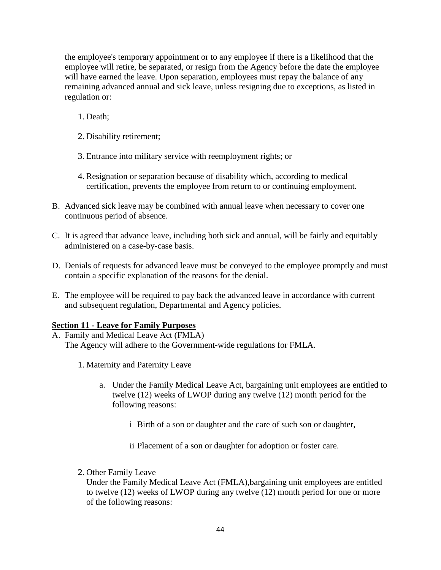the employee's temporary appointment or to any employee if there is a likelihood that the employee will retire, be separated, or resign from the Agency before the date the employee will have earned the leave. Upon separation, employees must repay the balance of any remaining advanced annual and sick leave, unless resigning due to exceptions, as listed in regulation or:

- 1. Death;
- 2. Disability retirement;
- 3. Entrance into military service with reemployment rights; or
- 4. Resignation or separation because of disability which, according to medical certification, prevents the employee from return to or continuing employment.
- B. Advanced sick leave may be combined with annual leave when necessary to cover one continuous period of absence.
- C. It is agreed that advance leave, including both sick and annual, will be fairly and equitably administered on a case-by-case basis.
- D. Denials of requests for advanced leave must be conveyed to the employee promptly and must contain a specific explanation of the reasons for the denial.
- E. The employee will be required to pay back the advanced leave in accordance with current and subsequent regulation, Departmental and Agency policies.

### **Section 11 - Leave for Family Purposes**

- A. Family and Medical Leave Act (FMLA) The Agency will adhere to the Government-wide regulations for FMLA.
	- 1. Maternity and Paternity Leave
		- a. Under the Family Medical Leave Act, bargaining unit employees are entitled to twelve (12) weeks of LWOP during any twelve (12) month period for the following reasons:
			- i Birth of a son or daughter and the care of such son or daughter,
			- ii Placement of a son or daughter for adoption or foster care.
	- 2. Other Family Leave

Under the Family Medical Leave Act (FMLA),bargaining unit employees are entitled to twelve (12) weeks of LWOP during any twelve (12) month period for one or more of the following reasons: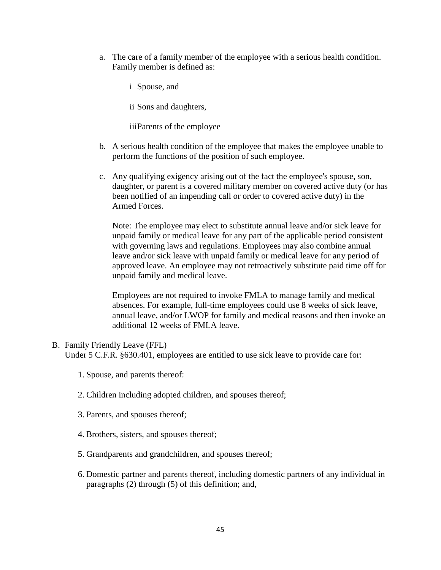a. The care of a family member of the employee with a serious health condition. Family member is defined as:

i Spouse, and

ii Sons and daughters,

iiiParents of the employee

- b. A serious health condition of the employee that makes the employee unable to perform the functions of the position of such employee.
- c. Any qualifying exigency arising out of the fact the employee's spouse, son, daughter, or parent is a covered military member on covered active duty (or has been notified of an impending call or order to covered active duty) in the Armed Forces.

Note: The employee may elect to substitute annual leave and/or sick leave for unpaid family or medical leave for any part of the applicable period consistent with governing laws and regulations. Employees may also combine annual leave and/or sick leave with unpaid family or medical leave for any period of approved leave. An employee may not retroactively substitute paid time off for unpaid family and medical leave.

Employees are not required to invoke FMLA to manage family and medical absences. For example, full-time employees could use 8 weeks of sick leave, annual leave, and/or LWOP for family and medical reasons and then invoke an additional 12 weeks of FMLA leave.

### B. Family Friendly Leave (FFL) Under 5 C.F.R. §630.401, employees are entitled to use sick leave to provide care for:

- 1. Spouse, and parents thereof:
- 2. Children including adopted children, and spouses thereof;
- 3. Parents, and spouses thereof;
- 4. Brothers, sisters, and spouses thereof;
- 5. Grandparents and grandchildren, and spouses thereof;
- 6. Domestic partner and parents thereof, including domestic partners of any individual in paragraphs (2) through (5) of this definition; and,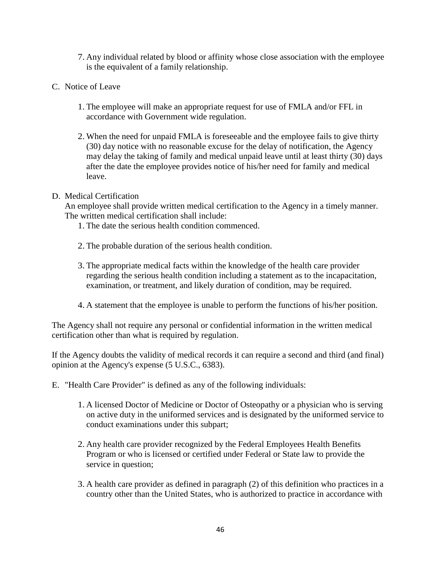- 7. Any individual related by blood or affinity whose close association with the employee is the equivalent of a family relationship.
- C. Notice of Leave
	- 1. The employee will make an appropriate request for use of FMLA and/or FFL in accordance with Government wide regulation.
	- 2. When the need for unpaid FMLA is foreseeable and the employee fails to give thirty (30) day notice with no reasonable excuse for the delay of notification, the Agency may delay the taking of family and medical unpaid leave until at least thirty (30) days after the date the employee provides notice of his/her need for family and medical leave.

### D. Medical Certification

An employee shall provide written medical certification to the Agency in a timely manner. The written medical certification shall include:

- 1. The date the serious health condition commenced.
- 2. The probable duration of the serious health condition.
- 3. The appropriate medical facts within the knowledge of the health care provider regarding the serious health condition including a statement as to the incapacitation, examination, or treatment, and likely duration of condition, may be required.
- 4. A statement that the employee is unable to perform the functions of his/her position.

The Agency shall not require any personal or confidential information in the written medical certification other than what is required by regulation.

If the Agency doubts the validity of medical records it can require a second and third (and final) opinion at the Agency's expense (5 U.S.C., 6383).

- E. "Health Care Provider" is defined as any of the following individuals:
	- 1. A licensed Doctor of Medicine or Doctor of Osteopathy or a physician who is serving on active duty in the uniformed services and is designated by the uniformed service to conduct examinations under this subpart;
	- 2. Any health care provider recognized by the Federal Employees Health Benefits Program or who is licensed or certified under Federal or State law to provide the service in question;
	- 3. A health care provider as defined in paragraph (2) of this definition who practices in a country other than the United States, who is authorized to practice in accordance with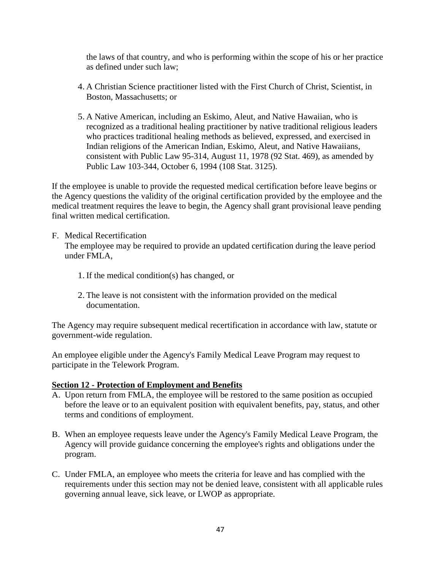the laws of that country, and who is performing within the scope of his or her practice as defined under such law;

- 4. A Christian Science practitioner listed with the First Church of Christ, Scientist, in Boston, Massachusetts; or
- 5. A Native American, including an Eskimo, Aleut, and Native Hawaiian, who is recognized as a traditional healing practitioner by native traditional religious leaders who practices traditional healing methods as believed, expressed, and exercised in Indian religions of the American Indian, Eskimo, Aleut, and Native Hawaiians, consistent with Public Law 95-314, August 11, 1978 (92 Stat. 469), as amended by Public Law 103-344, October 6, 1994 (108 Stat. 3125).

If the employee is unable to provide the requested medical certification before leave begins or the Agency questions the validity of the original certification provided by the employee and the medical treatment requires the leave to begin, the Agency shall grant provisional leave pending final written medical certification.

### F. Medical Recertification

The employee may be required to provide an updated certification during the leave period under FMLA,

- 1. If the medical condition(s) has changed, or
- 2. The leave is not consistent with the information provided on the medical documentation.

The Agency may require subsequent medical recertification in accordance with law, statute or government-wide regulation.

An employee eligible under the Agency's Family Medical Leave Program may request to participate in the Telework Program.

### **Section 12 - Protection of Employment and Benefits**

- A. Upon return from FMLA, the employee will be restored to the same position as occupied before the leave or to an equivalent position with equivalent benefits, pay, status, and other terms and conditions of employment.
- B. When an employee requests leave under the Agency's Family Medical Leave Program, the Agency will provide guidance concerning the employee's rights and obligations under the program.
- C. Under FMLA, an employee who meets the criteria for leave and has complied with the requirements under this section may not be denied leave, consistent with all applicable rules governing annual leave, sick leave, or LWOP as appropriate.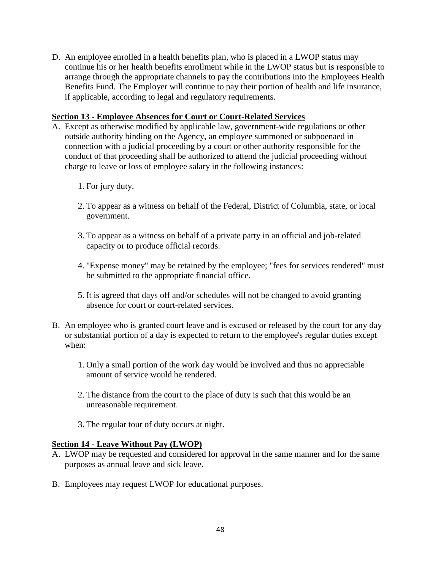D. An employee enrolled in a health benefits plan, who is placed in a LWOP status may continue his or her health benefits enrollment while in the LWOP status but is responsible to arrange through the appropriate channels to pay the contributions into the Employees Health Benefits Fund. The Employer will continue to pay their portion of health and life insurance, if applicable, according to legal and regulatory requirements.

### **Section 13 - Employee Absences for Court or Court-Related Services**

- A. Except as otherwise modified by applicable law, government-wide regulations or other outside authority binding on the Agency, an employee summoned or subpoenaed in connection with a judicial proceeding by a court or other authority responsible for the conduct of that proceeding shall be authorized to attend the judicial proceeding without charge to leave or loss of employee salary in the following instances:
	- 1. For jury duty.
	- 2. To appear as a witness on behalf of the Federal, District of Columbia, state, or local government.
	- 3. To appear as a witness on behalf of a private party in an official and job-related capacity or to produce official records.
	- 4. "Expense money" may be retained by the employee; "fees for services rendered" must be submitted to the appropriate financial office.
	- 5. It is agreed that days off and/or schedules will not be changed to avoid granting absence for court or court-related services.
- B. An employee who is granted court leave and is excused or released by the court for any day or substantial portion of a day is expected to return to the employee's regular duties except when:
	- 1. Only a small portion of the work day would be involved and thus no appreciable amount of service would be rendered.
	- 2. The distance from the court to the place of duty is such that this would be an unreasonable requirement.
	- 3. The regular tour of duty occurs at night.

### **Section 14 - Leave Without Pay (LWOP)**

- A. LWOP may be requested and considered for approval in the same manner and for the same purposes as annual leave and sick leave.
- B. Employees may request LWOP for educational purposes.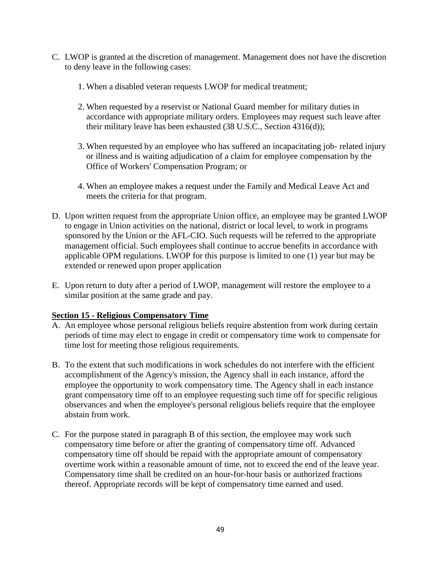- C. LWOP is granted at the discretion of management. Management does not have the discretion to deny leave in the following cases:
	- 1. When a disabled veteran requests LWOP for medical treatment;
	- 2. When requested by a reservist or National Guard member for military duties in accordance with appropriate military orders. Employees may request such leave after their military leave has been exhausted (38 U.S.C., Section 4316(d));
	- 3. When requested by an employee who has suffered an incapacitating job- related injury or illness and is waiting adjudication of a claim for employee compensation by the Office of Workers' Compensation Program; or
	- 4. When an employee makes a request under the Family and Medical Leave Act and meets the criteria for that program.
- D. Upon written request from the appropriate Union office, an employee may be granted LWOP to engage in Union activities on the national, district or local level, to work in programs sponsored by the Union or the AFL-CIO. Such requests will be referred to the appropriate management official. Such employees shall continue to accrue benefits in accordance with applicable OPM regulations. LWOP for this purpose is limited to one (1) year but may be extended or renewed upon proper application
- E. Upon return to duty after a period of LWOP, management will restore the employee to a similar position at the same grade and pay.

## **Section 15 - Religious Compensatory Time**

- A. An employee whose personal religious beliefs require abstention from work during certain periods of time may elect to engage in credit or compensatory time work to compensate for time lost for meeting those religious requirements.
- B. To the extent that such modifications in work schedules do not interfere with the efficient accomplishment of the Agency's mission, the Agency shall in each instance, afford the employee the opportunity to work compensatory time. The Agency shall in each instance grant compensatory time off to an employee requesting such time off for specific religious observances and when the employee's personal religious beliefs require that the employee abstain from work.
- C. For the purpose stated in paragraph B of this section, the employee may work such compensatory time before or after the granting of compensatory time off. Advanced compensatory time off should be repaid with the appropriate amount of compensatory overtime work within a reasonable amount of time, not to exceed the end of the leave year. Compensatory time shall be credited on an hour-for-hour basis or authorized fractions thereof. Appropriate records will be kept of compensatory time earned and used.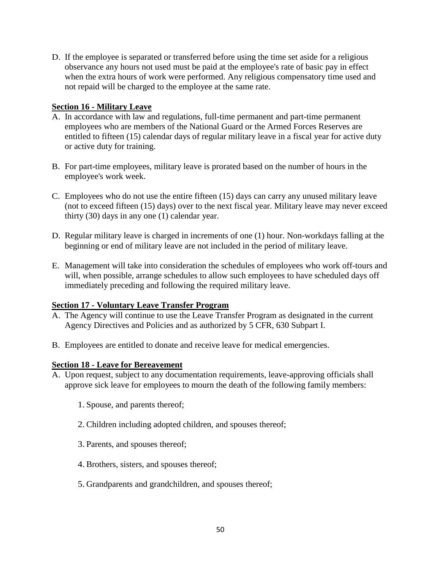D. If the employee is separated or transferred before using the time set aside for a religious observance any hours not used must be paid at the employee's rate of basic pay in effect when the extra hours of work were performed. Any religious compensatory time used and not repaid will be charged to the employee at the same rate.

## **Section 16 - Military Leave**

- A. In accordance with law and regulations, full-time permanent and part-time permanent employees who are members of the National Guard or the Armed Forces Reserves are entitled to fifteen (15) calendar days of regular military leave in a fiscal year for active duty or active duty for training.
- B. For part-time employees, military leave is prorated based on the number of hours in the employee's work week.
- C. Employees who do not use the entire fifteen (15) days can carry any unused military leave (not to exceed fifteen (15) days) over to the next fiscal year. Military leave may never exceed thirty (30) days in any one (1) calendar year.
- D. Regular military leave is charged in increments of one (1) hour. Non-workdays falling at the beginning or end of military leave are not included in the period of military leave.
- E. Management will take into consideration the schedules of employees who work off-tours and will, when possible, arrange schedules to allow such employees to have scheduled days off immediately preceding and following the required military leave.

### **Section 17 - Voluntary Leave Transfer Program**

- A. The Agency will continue to use the Leave Transfer Program as designated in the current Agency Directives and Policies and as authorized by 5 CFR, 630 Subpart I.
- B. Employees are entitled to donate and receive leave for medical emergencies.

### **Section 18 - Leave for Bereavement**

- A. Upon request, subject to any documentation requirements, leave-approving officials shall approve sick leave for employees to mourn the death of the following family members:
	- 1. Spouse, and parents thereof;
	- 2. Children including adopted children, and spouses thereof;
	- 3. Parents, and spouses thereof;
	- 4. Brothers, sisters, and spouses thereof;
	- 5. Grandparents and grandchildren, and spouses thereof;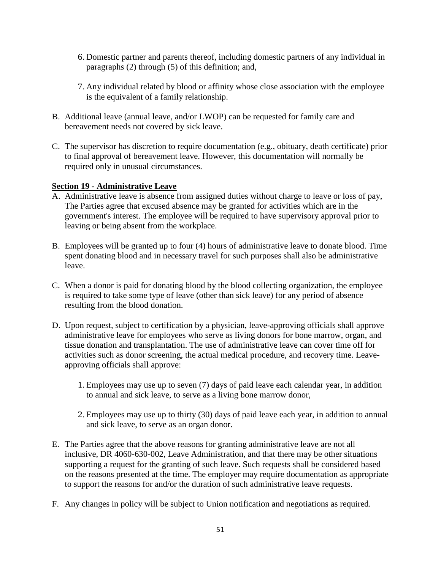- 6. Domestic partner and parents thereof, including domestic partners of any individual in paragraphs (2) through (5) of this definition; and,
- 7. Any individual related by blood or affinity whose close association with the employee is the equivalent of a family relationship.
- B. Additional leave (annual leave, and/or LWOP) can be requested for family care and bereavement needs not covered by sick leave.
- C. The supervisor has discretion to require documentation (e.g., obituary, death certificate) prior to final approval of bereavement leave. However, this documentation will normally be required only in unusual circumstances.

## **Section 19 - Administrative Leave**

- A. Administrative leave is absence from assigned duties without charge to leave or loss of pay, The Parties agree that excused absence may be granted for activities which are in the government's interest. The employee will be required to have supervisory approval prior to leaving or being absent from the workplace.
- B. Employees will be granted up to four (4) hours of administrative leave to donate blood. Time spent donating blood and in necessary travel for such purposes shall also be administrative leave.
- C. When a donor is paid for donating blood by the blood collecting organization, the employee is required to take some type of leave (other than sick leave) for any period of absence resulting from the blood donation.
- D. Upon request, subject to certification by a physician, leave-approving officials shall approve administrative leave for employees who serve as living donors for bone marrow, organ, and tissue donation and transplantation. The use of administrative leave can cover time off for activities such as donor screening, the actual medical procedure, and recovery time. Leaveapproving officials shall approve:
	- 1. Employees may use up to seven (7) days of paid leave each calendar year, in addition to annual and sick leave, to serve as a living bone marrow donor,
	- 2. Employees may use up to thirty (30) days of paid leave each year, in addition to annual and sick leave, to serve as an organ donor.
- E. The Parties agree that the above reasons for granting administrative leave are not all inclusive, DR 4060-630-002, Leave Administration, and that there may be other situations supporting a request for the granting of such leave. Such requests shall be considered based on the reasons presented at the time. The employer may require documentation as appropriate to support the reasons for and/or the duration of such administrative leave requests.
- F. Any changes in policy will be subject to Union notification and negotiations as required.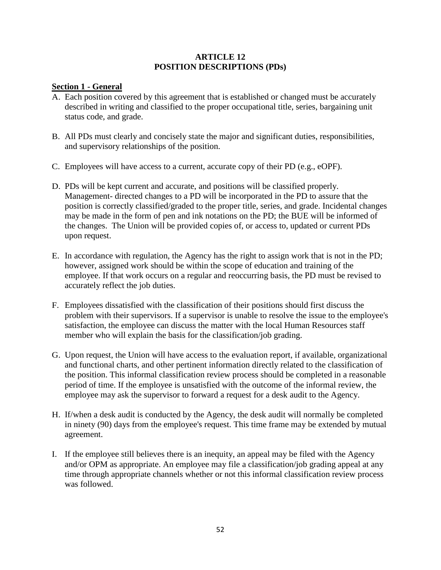### **ARTICLE 12 POSITION DESCRIPTIONS (PDs)**

### **Section 1 - General**

- A. Each position covered by this agreement that is established or changed must be accurately described in writing and classified to the proper occupational title, series, bargaining unit status code, and grade.
- B. All PDs must clearly and concisely state the major and significant duties, responsibilities, and supervisory relationships of the position.
- C. Employees will have access to a current, accurate copy of their PD (e.g., eOPF).
- D. PDs will be kept current and accurate, and positions will be classified properly. Management- directed changes to a PD will be incorporated in the PD to assure that the position is correctly classified/graded to the proper title, series, and grade. Incidental changes may be made in the form of pen and ink notations on the PD; the BUE will be informed of the changes. The Union will be provided copies of, or access to, updated or current PDs upon request.
- E. In accordance with regulation, the Agency has the right to assign work that is not in the PD; however, assigned work should be within the scope of education and training of the employee. If that work occurs on a regular and reoccurring basis, the PD must be revised to accurately reflect the job duties.
- F. Employees dissatisfied with the classification of their positions should first discuss the problem with their supervisors. If a supervisor is unable to resolve the issue to the employee's satisfaction, the employee can discuss the matter with the local Human Resources staff member who will explain the basis for the classification/job grading.
- G. Upon request, the Union will have access to the evaluation report, if available, organizational and functional charts, and other pertinent information directly related to the classification of the position. This informal classification review process should be completed in a reasonable period of time. If the employee is unsatisfied with the outcome of the informal review, the employee may ask the supervisor to forward a request for a desk audit to the Agency.
- H. If/when a desk audit is conducted by the Agency, the desk audit will normally be completed in ninety (90) days from the employee's request. This time frame may be extended by mutual agreement.
- I. If the employee still believes there is an inequity, an appeal may be filed with the Agency and/or OPM as appropriate. An employee may file a classification/job grading appeal at any time through appropriate channels whether or not this informal classification review process was followed.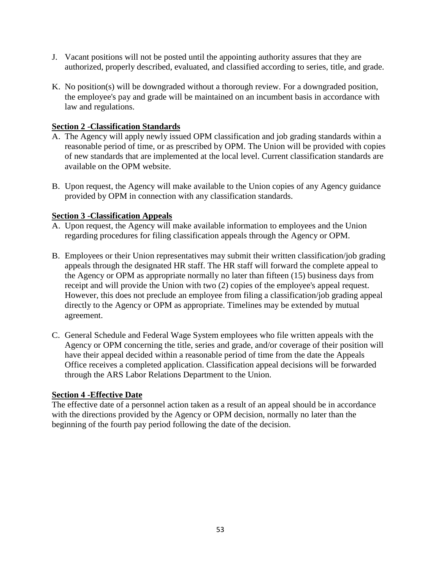- J. Vacant positions will not be posted until the appointing authority assures that they are authorized, properly described, evaluated, and classified according to series, title, and grade.
- K. No position(s) will be downgraded without a thorough review. For a downgraded position, the employee's pay and grade will be maintained on an incumbent basis in accordance with law and regulations.

## **Section 2 -Classification Standards**

- A. The Agency will apply newly issued OPM classification and job grading standards within a reasonable period of time, or as prescribed by OPM. The Union will be provided with copies of new standards that are implemented at the local level. Current classification standards are available on the OPM website.
- B. Upon request, the Agency will make available to the Union copies of any Agency guidance provided by OPM in connection with any classification standards.

# **Section 3 -Classification Appeals**

- A. Upon request, the Agency will make available information to employees and the Union regarding procedures for filing classification appeals through the Agency or OPM.
- B. Employees or their Union representatives may submit their written classification/job grading appeals through the designated HR staff. The HR staff will forward the complete appeal to the Agency or OPM as appropriate normally no later than fifteen (15) business days from receipt and will provide the Union with two (2) copies of the employee's appeal request. However, this does not preclude an employee from filing a classification/job grading appeal directly to the Agency or OPM as appropriate. Timelines may be extended by mutual agreement.
- C. General Schedule and Federal Wage System employees who file written appeals with the Agency or OPM concerning the title, series and grade, and/or coverage of their position will have their appeal decided within a reasonable period of time from the date the Appeals Office receives a completed application. Classification appeal decisions will be forwarded through the ARS Labor Relations Department to the Union.

## **Section 4 -Effective Date**

The effective date of a personnel action taken as a result of an appeal should be in accordance with the directions provided by the Agency or OPM decision, normally no later than the beginning of the fourth pay period following the date of the decision.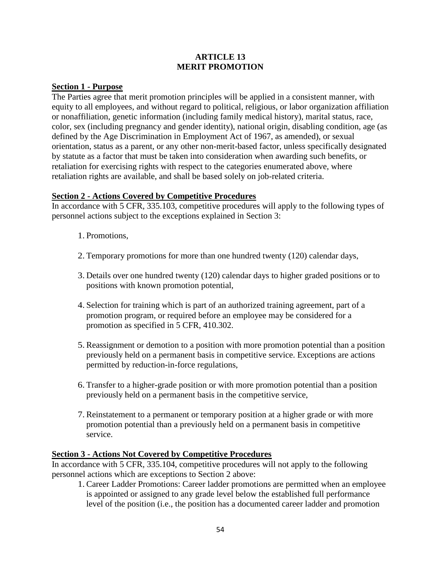## **ARTICLE 13 MERIT PROMOTION**

### **Section 1 - Purpose**

The Parties agree that merit promotion principles will be applied in a consistent manner, with equity to all employees, and without regard to political, religious, or labor organization affiliation or nonaffiliation, genetic information (including family medical history), marital status, race, color, sex (including pregnancy and gender identity), national origin, disabling condition, age (as defined by the Age Discrimination in Employment Act of 1967, as amended), or sexual orientation, status as a parent, or any other non-merit-based factor, unless specifically designated by statute as a factor that must be taken into consideration when awarding such benefits, or retaliation for exercising rights with respect to the categories enumerated above, where retaliation rights are available, and shall be based solely on job-related criteria.

### **Section 2 - Actions Covered by Competitive Procedures**

In accordance with 5 CFR, 335.103, competitive procedures will apply to the following types of personnel actions subject to the exceptions explained in Section 3:

- 1. Promotions,
- 2. Temporary promotions for more than one hundred twenty (120) calendar days,
- 3. Details over one hundred twenty (120) calendar days to higher graded positions or to positions with known promotion potential,
- 4. Selection for training which is part of an authorized training agreement, part of a promotion program, or required before an employee may be considered for a promotion as specified in 5 CFR, 410.302.
- 5. Reassignment or demotion to a position with more promotion potential than a position previously held on a permanent basis in competitive service. Exceptions are actions permitted by reduction-in-force regulations,
- 6. Transfer to a higher-grade position or with more promotion potential than a position previously held on a permanent basis in the competitive service,
- 7. Reinstatement to a permanent or temporary position at a higher grade or with more promotion potential than a previously held on a permanent basis in competitive service.

### **Section 3 - Actions Not Covered by Competitive Procedures**

In accordance with 5 CFR, 335.104, competitive procedures will not apply to the following personnel actions which are exceptions to Section 2 above:

1. Career Ladder Promotions: Career ladder promotions are permitted when an employee is appointed or assigned to any grade level below the established full performance level of the position (i.e., the position has a documented career ladder and promotion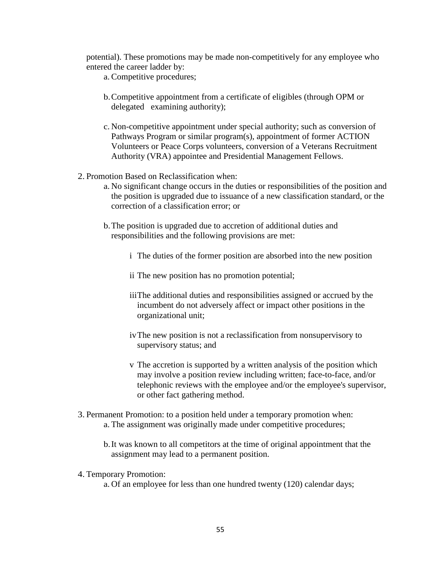potential). These promotions may be made non-competitively for any employee who entered the career ladder by:

- a.Competitive procedures;
- b.Competitive appointment from a certificate of eligibles (through OPM or delegated examining authority);
- c. Non-competitive appointment under special authority; such as conversion of Pathways Program or similar program(s), appointment of former ACTION Volunteers or Peace Corps volunteers, conversion of a Veterans Recruitment Authority (VRA) appointee and Presidential Management Fellows.
- 2. Promotion Based on Reclassification when:
	- a. No significant change occurs in the duties or responsibilities of the position and the position is upgraded due to issuance of a new classification standard, or the correction of a classification error; or
	- b.The position is upgraded due to accretion of additional duties and responsibilities and the following provisions are met:
		- i The duties of the former position are absorbed into the new position
		- ii The new position has no promotion potential;
		- iiiThe additional duties and responsibilities assigned or accrued by the incumbent do not adversely affect or impact other positions in the organizational unit;
		- ivThe new position is not a reclassification from nonsupervisory to supervisory status; and
		- v The accretion is supported by a written analysis of the position which may involve a position review including written; face-to-face, and/or telephonic reviews with the employee and/or the employee's supervisor, or other fact gathering method.
- 3. Permanent Promotion: to a position held under a temporary promotion when: a. The assignment was originally made under competitive procedures;
	- b.It was known to all competitors at the time of original appointment that the assignment may lead to a permanent position.
- 4. Temporary Promotion:
	- a. Of an employee for less than one hundred twenty (120) calendar days;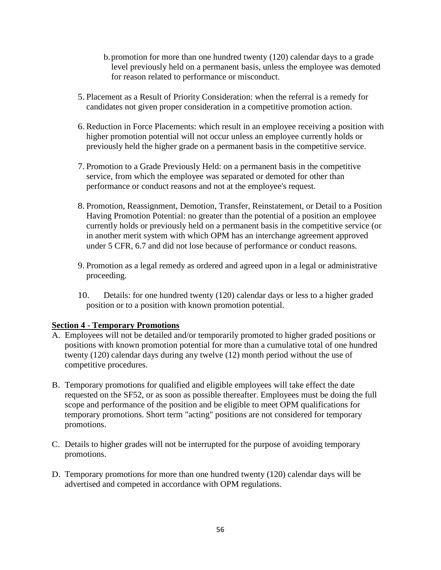- b.promotion for more than one hundred twenty (120) calendar days to a grade level previously held on a permanent basis, unless the employee was demoted for reason related to performance or misconduct.
- 5. Placement as a Result of Priority Consideration: when the referral is a remedy for candidates not given proper consideration in a competitive promotion action.
- 6. Reduction in Force Placements: which result in an employee receiving a position with higher promotion potential will not occur unless an employee currently holds or previously held the higher grade on a permanent basis in the competitive service.
- 7. Promotion to a Grade Previously Held: on a permanent basis in the competitive service, from which the employee was separated or demoted for other than performance or conduct reasons and not at the employee's request.
- 8. Promotion, Reassignment, Demotion, Transfer, Reinstatement, or Detail to a Position Having Promotion Potential: no greater than the potential of a position an employee currently holds or previously held on a permanent basis in the competitive service (or in another merit system with which OPM has an interchange agreement approved under 5 CFR, 6.7 and did not lose because of performance or conduct reasons.
- 9. Promotion as a legal remedy as ordered and agreed upon in a legal or administrative proceeding.
- 10. Details: for one hundred twenty (120) calendar days or less to a higher graded position or to a position with known promotion potential.

## **Section 4 - Temporary Promotions**

- A. Employees will not be detailed and/or temporarily promoted to higher graded positions or positions with known promotion potential for more than a cumulative total of one hundred twenty (120) calendar days during any twelve (12) month period without the use of competitive procedures.
- B. Temporary promotions for qualified and eligible employees will take effect the date requested on the SF52, or as soon as possible thereafter. Employees must be doing the full scope and performance of the position and be eligible to meet OPM qualifications for temporary promotions. Short term "acting" positions are not considered for temporary promotions.
- C. Details to higher grades will not be interrupted for the purpose of avoiding temporary promotions.
- D. Temporary promotions for more than one hundred twenty (120) calendar days will be advertised and competed in accordance with OPM regulations.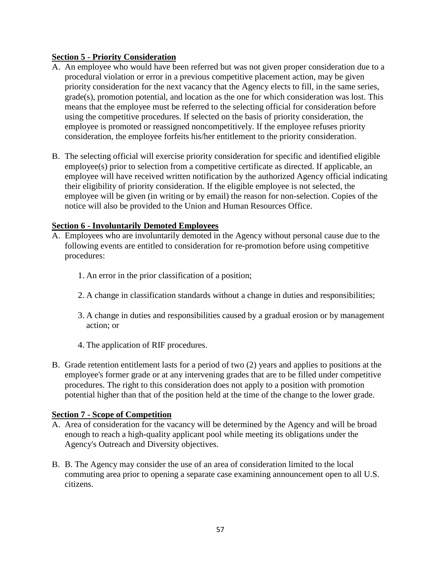## **Section 5 - Priority Consideration**

- A. An employee who would have been referred but was not given proper consideration due to a procedural violation or error in a previous competitive placement action, may be given priority consideration for the next vacancy that the Agency elects to fill, in the same series, grade(s), promotion potential, and location as the one for which consideration was lost. This means that the employee must be referred to the selecting official for consideration before using the competitive procedures. If selected on the basis of priority consideration, the employee is promoted or reassigned noncompetitively. If the employee refuses priority consideration, the employee forfeits his/her entitlement to the priority consideration.
- B. The selecting official will exercise priority consideration for specific and identified eligible employee(s) prior to selection from a competitive certificate as directed. If applicable, an employee will have received written notification by the authorized Agency official indicating their eligibility of priority consideration. If the eligible employee is not selected, the employee will be given (in writing or by email) the reason for non-selection. Copies of the notice will also be provided to the Union and Human Resources Office.

### **Section 6 - Involuntarily Demoted Employees**

- A. Employees who are involuntarily demoted in the Agency without personal cause due to the following events are entitled to consideration for re-promotion before using competitive procedures:
	- 1. An error in the prior classification of a position;
	- 2. A change in classification standards without a change in duties and responsibilities;
	- 3. A change in duties and responsibilities caused by a gradual erosion or by management action; or
	- 4. The application of RIF procedures.
- B. Grade retention entitlement lasts for a period of two (2) years and applies to positions at the employee's former grade or at any intervening grades that are to be filled under competitive procedures. The right to this consideration does not apply to a position with promotion potential higher than that of the position held at the time of the change to the lower grade.

### **Section 7 - Scope of Competition**

- A. Area of consideration for the vacancy will be determined by the Agency and will be broad enough to reach a high-quality applicant pool while meeting its obligations under the Agency's Outreach and Diversity objectives.
- B. B. The Agency may consider the use of an area of consideration limited to the local commuting area prior to opening a separate case examining announcement open to all U.S. citizens.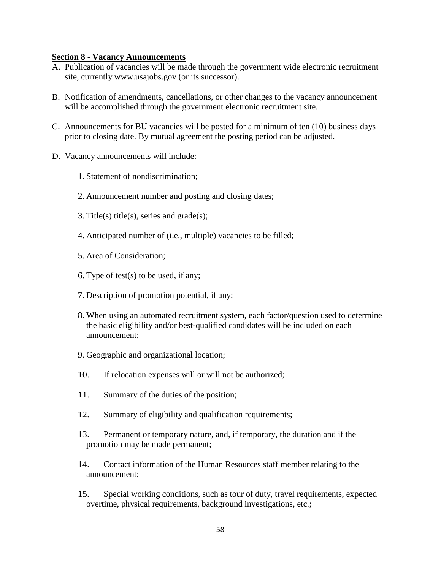#### **Section 8 - Vacancy Announcements**

- A. Publication of vacancies will be made through the government wide electronic recruitment site, currently www.usajobs.gov (or its successor).
- B. Notification of amendments, cancellations, or other changes to the vacancy announcement will be accomplished through the government electronic recruitment site.
- C. Announcements for BU vacancies will be posted for a minimum of ten (10) business days prior to closing date. By mutual agreement the posting period can be adjusted.
- D. Vacancy announcements will include:
	- 1. Statement of nondiscrimination;
	- 2. Announcement number and posting and closing dates;
	- 3. Title(s) title(s), series and grade(s);
	- 4. Anticipated number of (i.e., multiple) vacancies to be filled;
	- 5. Area of Consideration;
	- 6. Type of test(s) to be used, if any;
	- 7. Description of promotion potential, if any;
	- 8. When using an automated recruitment system, each factor/question used to determine the basic eligibility and/or best-qualified candidates will be included on each announcement;
	- 9. Geographic and organizational location;
	- 10. If relocation expenses will or will not be authorized;
	- 11. Summary of the duties of the position;
	- 12. Summary of eligibility and qualification requirements;
	- 13. Permanent or temporary nature, and, if temporary, the duration and if the promotion may be made permanent;
	- 14. Contact information of the Human Resources staff member relating to the announcement;
	- 15. Special working conditions, such as tour of duty, travel requirements, expected overtime, physical requirements, background investigations, etc.;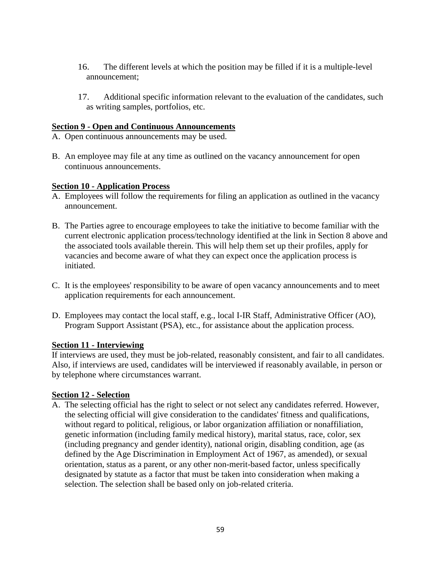- 16. The different levels at which the position may be filled if it is a multiple-level announcement;
- 17. Additional specific information relevant to the evaluation of the candidates, such as writing samples, portfolios, etc.

## **Section 9 - Open and Continuous Announcements**

- A. Open continuous announcements may be used.
- B. An employee may file at any time as outlined on the vacancy announcement for open continuous announcements.

### **Section 10 - Application Process**

- A. Employees will follow the requirements for filing an application as outlined in the vacancy announcement.
- B. The Parties agree to encourage employees to take the initiative to become familiar with the current electronic application process/technology identified at the link in Section 8 above and the associated tools available therein. This will help them set up their profiles, apply for vacancies and become aware of what they can expect once the application process is initiated.
- C. It is the employees' responsibility to be aware of open vacancy announcements and to meet application requirements for each announcement.
- D. Employees may contact the local staff, e.g., local I-IR Staff, Administrative Officer (AO), Program Support Assistant (PSA), etc., for assistance about the application process.

### **Section 11 - Interviewing**

If interviews are used, they must be job-related, reasonably consistent, and fair to all candidates. Also, if interviews are used, candidates will be interviewed if reasonably available, in person or by telephone where circumstances warrant.

### **Section 12 - Selection**

A. The selecting official has the right to select or not select any candidates referred. However, the selecting official will give consideration to the candidates' fitness and qualifications, without regard to political, religious, or labor organization affiliation or nonaffiliation, genetic information (including family medical history), marital status, race, color, sex (including pregnancy and gender identity), national origin, disabling condition, age (as defined by the Age Discrimination in Employment Act of 1967, as amended), or sexual orientation, status as a parent, or any other non-merit-based factor, unless specifically designated by statute as a factor that must be taken into consideration when making a selection. The selection shall be based only on job-related criteria.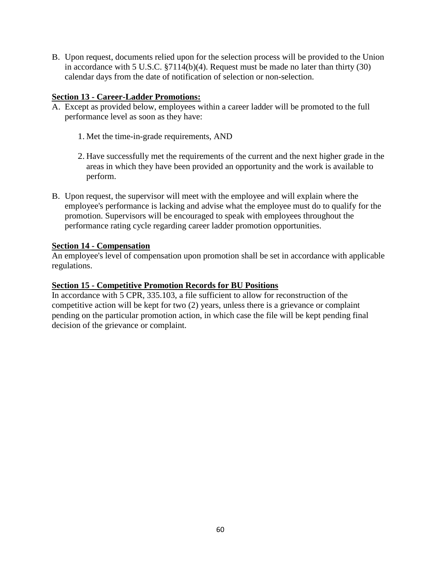B. Upon request, documents relied upon for the selection process will be provided to the Union in accordance with 5 U.S.C. §7114(b)(4). Request must be made no later than thirty (30) calendar days from the date of notification of selection or non-selection.

## **Section 13 - Career-Ladder Promotions:**

- A. Except as provided below, employees within a career ladder will be promoted to the full performance level as soon as they have:
	- 1. Met the time-in-grade requirements, AND
	- 2. Have successfully met the requirements of the current and the next higher grade in the areas in which they have been provided an opportunity and the work is available to perform.
- B. Upon request, the supervisor will meet with the employee and will explain where the employee's performance is lacking and advise what the employee must do to qualify for the promotion. Supervisors will be encouraged to speak with employees throughout the performance rating cycle regarding career ladder promotion opportunities.

### **Section 14 - Compensation**

An employee's level of compensation upon promotion shall be set in accordance with applicable regulations.

### **Section 15 - Competitive Promotion Records for BU Positions**

In accordance with 5 CPR, 335.103, a file sufficient to allow for reconstruction of the competitive action will be kept for two (2) years, unless there is a grievance or complaint pending on the particular promotion action, in which case the file will be kept pending final decision of the grievance or complaint.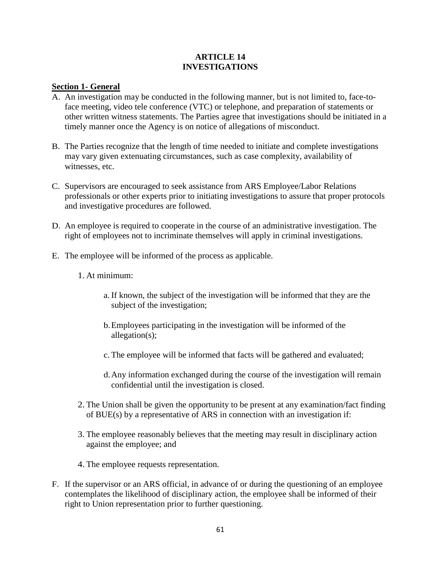### **ARTICLE 14 INVESTIGATIONS**

### **Section 1- General**

- A. An investigation may be conducted in the following manner, but is not limited to, face-toface meeting, video tele conference (VTC) or telephone, and preparation of statements or other written witness statements. The Parties agree that investigations should be initiated in a timely manner once the Agency is on notice of allegations of misconduct.
- B. The Parties recognize that the length of time needed to initiate and complete investigations may vary given extenuating circumstances, such as case complexity, availability of witnesses, etc.
- C. Supervisors are encouraged to seek assistance from ARS Employee/Labor Relations professionals or other experts prior to initiating investigations to assure that proper protocols and investigative procedures are followed.
- D. An employee is required to cooperate in the course of an administrative investigation. The right of employees not to incriminate themselves will apply in criminal investigations.
- E. The employee will be informed of the process as applicable.
	- 1. At minimum:
		- a.If known, the subject of the investigation will be informed that they are the subject of the investigation;
		- b.Employees participating in the investigation will be informed of the allegation(s);
		- c. The employee will be informed that facts will be gathered and evaluated;
		- d.Any information exchanged during the course of the investigation will remain confidential until the investigation is closed.
	- 2. The Union shall be given the opportunity to be present at any examination/fact finding of BUE(s) by a representative of ARS in connection with an investigation if:
	- 3. The employee reasonably believes that the meeting may result in disciplinary action against the employee; and
	- 4. The employee requests representation.
- F. If the supervisor or an ARS official, in advance of or during the questioning of an employee contemplates the likelihood of disciplinary action, the employee shall be informed of their right to Union representation prior to further questioning.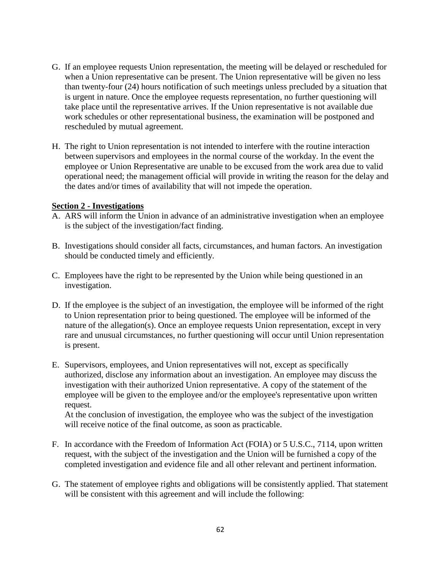- G. If an employee requests Union representation, the meeting will be delayed or rescheduled for when a Union representative can be present. The Union representative will be given no less than twenty-four (24) hours notification of such meetings unless precluded by a situation that is urgent in nature. Once the employee requests representation, no further questioning will take place until the representative arrives. If the Union representative is not available due work schedules or other representational business, the examination will be postponed and rescheduled by mutual agreement.
- H. The right to Union representation is not intended to interfere with the routine interaction between supervisors and employees in the normal course of the workday. In the event the employee or Union Representative are unable to be excused from the work area due to valid operational need; the management official will provide in writing the reason for the delay and the dates and/or times of availability that will not impede the operation.

### **Section 2 - Investigations**

- A. ARS will inform the Union in advance of an administrative investigation when an employee is the subject of the investigation/fact finding.
- B. Investigations should consider all facts, circumstances, and human factors. An investigation should be conducted timely and efficiently.
- C. Employees have the right to be represented by the Union while being questioned in an investigation.
- D. If the employee is the subject of an investigation, the employee will be informed of the right to Union representation prior to being questioned. The employee will be informed of the nature of the allegation(s). Once an employee requests Union representation, except in very rare and unusual circumstances, no further questioning will occur until Union representation is present.
- E. Supervisors, employees, and Union representatives will not, except as specifically authorized, disclose any information about an investigation. An employee may discuss the investigation with their authorized Union representative. A copy of the statement of the employee will be given to the employee and/or the employee's representative upon written request.

At the conclusion of investigation, the employee who was the subject of the investigation will receive notice of the final outcome, as soon as practicable.

- F. In accordance with the Freedom of Information Act (FOIA) or 5 U.S.C., 7114, upon written request, with the subject of the investigation and the Union will be furnished a copy of the completed investigation and evidence file and all other relevant and pertinent information.
- G. The statement of employee rights and obligations will be consistently applied. That statement will be consistent with this agreement and will include the following: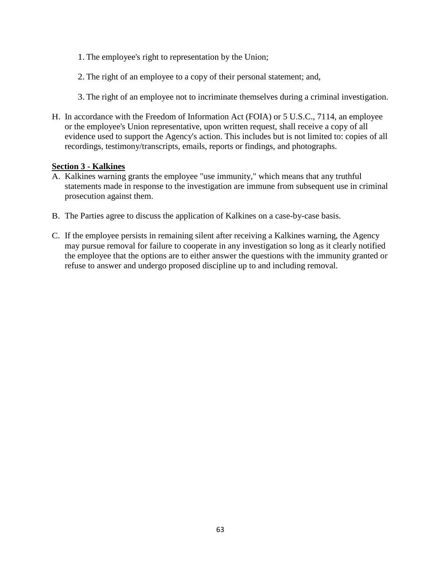- 1. The employee's right to representation by the Union;
- 2. The right of an employee to a copy of their personal statement; and,
- 3. The right of an employee not to incriminate themselves during a criminal investigation.
- H. In accordance with the Freedom of Information Act (FOIA) or 5 U.S.C., 7114, an employee or the employee's Union representative, upon written request, shall receive a copy of all evidence used to support the Agency's action. This includes but is not limited to: copies of all recordings, testimony/transcripts, emails, reports or findings, and photographs.

### **Section 3 - Kalkines**

- A. Kalkines warning grants the employee "use immunity," which means that any truthful statements made in response to the investigation are immune from subsequent use in criminal prosecution against them.
- B. The Parties agree to discuss the application of Kalkines on a case-by-case basis.
- C. If the employee persists in remaining silent after receiving a Kalkines warning, the Agency may pursue removal for failure to cooperate in any investigation so long as it clearly notified the employee that the options are to either answer the questions with the immunity granted or refuse to answer and undergo proposed discipline up to and including removal.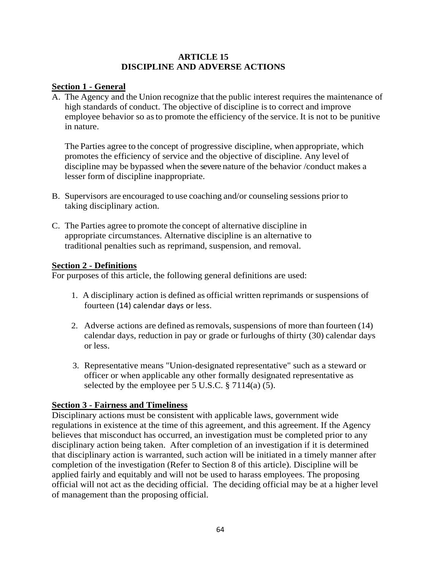### **ARTICLE 15 DISCIPLINE AND ADVERSE ACTIONS**

### **Section 1 - General**

A. The Agency and the Union recognize that the public interest requires the maintenance of high standards of conduct. The objective of discipline is to correct and improve employee behavior so asto promote the efficiency of the service. It is not to be punitive in nature.

The Parties agree to the concept of progressive discipline, when appropriate, which promotes the efficiency of service and the objective of discipline. Any level of discipline may be bypassed when the severe nature of the behavior /conduct makes a lesser form of discipline inappropriate.

- B. Supervisors are encouraged to use coaching and/or counseling sessions prior to taking disciplinary action.
- C. The Parties agree to promote the concept of alternative discipline in appropriate circumstances. Alternative discipline is an alternative to traditional penalties such as reprimand, suspension, and removal.

### **Section 2 - Definitions**

For purposes of this article, the following general definitions are used:

- 1. A disciplinary action is defined as official written reprimands or suspensions of fourteen (14) calendar days or less.
- 2. Adverse actions are defined as removals, suspensions of more than fourteen (14) calendar days, reduction in pay or grade or furloughs of thirty (30) calendar days or less.
- 3. Representative means "Union-designated representative" such as a steward or officer or when applicable any other formally designated representative as selected by the employee per  $5$  U.S.C.  $\S$   $7114(a)$  (5).

## **Section 3 - Fairness and Timeliness**

Disciplinary actions must be consistent with applicable laws, government wide regulations in existence at the time of this agreement, and this agreement. If the Agency believes that misconduct has occurred, an investigation must be completed prior to any disciplinary action being taken. After completion of an investigation if it is determined that disciplinary action is warranted, such action will be initiated in a timely manner after completion of the investigation (Refer to Section 8 of this article). Discipline will be applied fairly and equitably and will not be used to harass employees. The proposing official will not act as the deciding official. The deciding official may be at a higher level of management than the proposing official.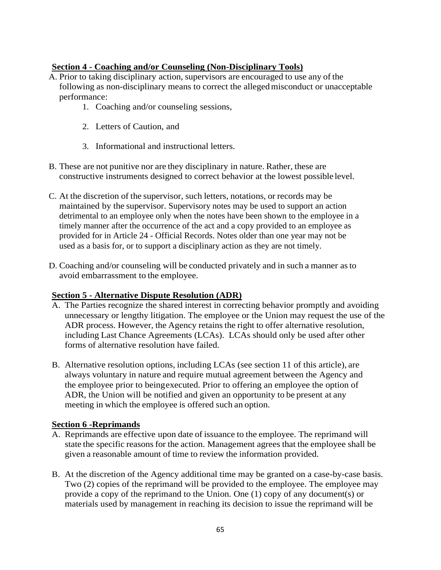# **Section 4 - Coaching and/or Counseling (Non-Disciplinary Tools)**

- A. Prior to taking disciplinary action, supervisors are encouraged to use any of the following as non-disciplinary means to correct the allegedmisconduct or unacceptable performance:
	- 1. Coaching and/or counseling sessions,
	- 2. Letters of Caution, and
	- 3. Informational and instructional letters.
- B. These are not punitive nor are they disciplinary in nature. Rather, these are constructive instruments designed to correct behavior at the lowest possible level.
- C. At the discretion of the supervisor, such letters, notations, or records may be maintained by the supervisor. Supervisory notes may be used to support an action detrimental to an employee only when the notes have been shown to the employee in a timely manner after the occurrence of the act and a copy provided to an employee as provided for in Article 24 - Official Records. Notes older than one year may not be used as a basis for, or to support a disciplinary action as they are not timely.
- D. Coaching and/or counseling will be conducted privately and in such a manner asto avoid embarrassment to the employee.

### **Section 5 - Alternative Dispute Resolution (ADR)**

- A. The Parties recognize the shared interest in correcting behavior promptly and avoiding unnecessary or lengthy litigation. The employee or the Union may request the use of the ADR process. However, the Agency retains the right to offer alternative resolution, including Last Chance Agreements (LCAs). LCAs should only be used after other forms of alternative resolution have failed.
- B. Alternative resolution options, including LCAs (see section 11 of this article), are always voluntary in nature and require mutual agreement between the Agency and the employee prior to beingexecuted. Prior to offering an employee the option of ADR, the Union will be notified and given an opportunity to be present at any meeting in which the employee is offered such an option.

### **Section 6 -Reprimands**

- A. Reprimands are effective upon date of issuance to the employee. The reprimand will state the specific reasons for the action. Management agrees that the employee shall be given a reasonable amount of time to review the information provided.
- B. At the discretion of the Agency additional time may be granted on a case-by-case basis. Two (2) copies of the reprimand will be provided to the employee. The employee may provide a copy of the reprimand to the Union. One (1) copy of any document(s) or materials used by management in reaching its decision to issue the reprimand will be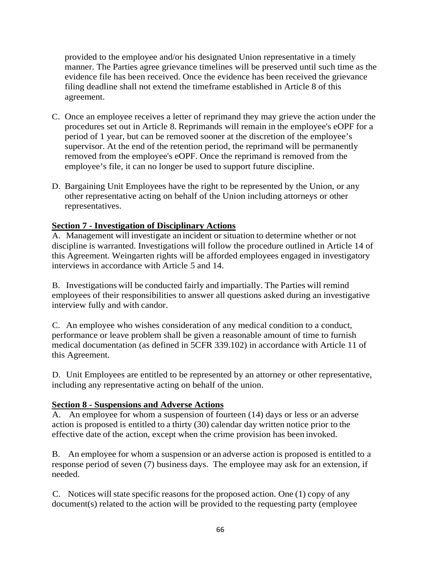provided to the employee and/or his designated Union representative in a timely manner. The Parties agree grievance timelines will be preserved until such time as the evidence file has been received. Once the evidence has been received the grievance filing deadline shall not extend the timeframe established in Article 8 of this agreement.

- C. Once an employee receives a letter of reprimand they may grieve the action under the procedures set out in Article 8. Reprimands will remain in the employee's eOPF for a period of 1 year, but can be removed sooner at the discretion of the employee's supervisor. At the end of the retention period, the reprimand will be permanently removed from the employee's eOPF. Once the reprimand is removed from the employee's file, it can no longer be used to support future discipline.
- D. Bargaining Unit Employees have the right to be represented by the Union, or any other representative acting on behalf of the Union including attorneys or other representatives.

## **Section 7 - Investigation of Disciplinary Actions**

A. Management will investigate an incident or situation to determine whether or not discipline is warranted. Investigations will follow the procedure outlined in Article 14 of this Agreement. Weingarten rights will be afforded employees engaged in investigatory interviews in accordance with Article 5 and 14.

B. Investigations will be conducted fairly and impartially. The Parties will remind employees of their responsibilities to answer all questions asked during an investigative interview fully and with candor.

C. An employee who wishes consideration of any medical condition to a conduct, performance or leave problem shall be given a reasonable amount of time to furnish medical documentation (as defined in 5CFR 339.102) in accordance with Article 11 of this Agreement.

D. Unit Employees are entitled to be represented by an attorney or other representative, including any representative acting on behalf of the union.

## **Section 8 - Suspensions and Adverse Actions**

A. An employee for whom a suspension of fourteen (14) days or less or an adverse action is proposed is entitled to a thirty (30) calendar day written notice prior to the effective date of the action, except when the crime provision has been invoked.

B. An employee for whom a suspension or an adverse action is proposed is entitled to a response period of seven (7) business days. The employee may ask for an extension, if needed.

C. Notices will state specific reasons for the proposed action. One (1) copy of any document(s) related to the action will be provided to the requesting party (employee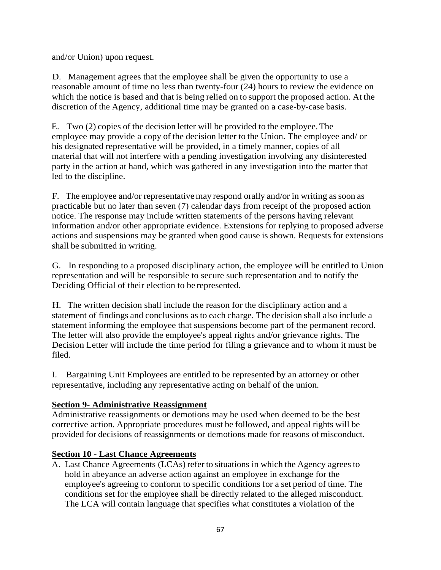and/or Union) upon request.

D. Management agrees that the employee shall be given the opportunity to use a reasonable amount of time no less than twenty-four (24) hours to review the evidence on which the notice is based and that is being relied on to support the proposed action. At the discretion of the Agency, additional time may be granted on a case-by-case basis.

E. Two (2) copies of the decision letter will be provided to the employee.The employee may provide a copy of the decision letter to the Union. The employee and/ or his designated representative will be provided, in a timely manner, copies of all material that will not interfere with a pending investigation involving any disinterested party in the action at hand, which was gathered in any investigation into the matter that led to the discipline.

F. The employee and/or representativemay respond orally and/or in writing assoon as practicable but no later than seven (7) calendar days from receipt of the proposed action notice. The response may include written statements of the persons having relevant information and/or other appropriate evidence. Extensions for replying to proposed adverse actions and suspensions may be granted when good cause is shown. Requests for extensions shall be submitted in writing.

G. In responding to a proposed disciplinary action, the employee will be entitled to Union representation and will be responsible to secure such representation and to notify the Deciding Official of their election to be represented.

H. The written decision shall include the reason for the disciplinary action and a statement of findings and conclusions as to each charge. The decision shall also include a statement informing the employee that suspensions become part of the permanent record. The letter will also provide the employee's appeal rights and/or grievance rights. The Decision Letter will include the time period for filing a grievance and to whom it must be filed.

I. Bargaining Unit Employees are entitled to be represented by an attorney or other representative, including any representative acting on behalf of the union.

## **Section 9- Administrative Reassignment**

Administrative reassignments or demotions may be used when deemed to be the best corrective action. Appropriate procedures must be followed, and appeal rights will be provided for decisions of reassignments or demotions made for reasons of misconduct.

## **Section 10 - Last Chance Agreements**

A. Last Chance Agreements (LCAs) refer to situations in which the Agency agreesto hold in abeyance an adverse action against an employee in exchange for the employee's agreeing to conform to specific conditions for a set period of time. The conditions set for the employee shall be directly related to the alleged misconduct. The LCA will contain language that specifies what constitutes a violation of the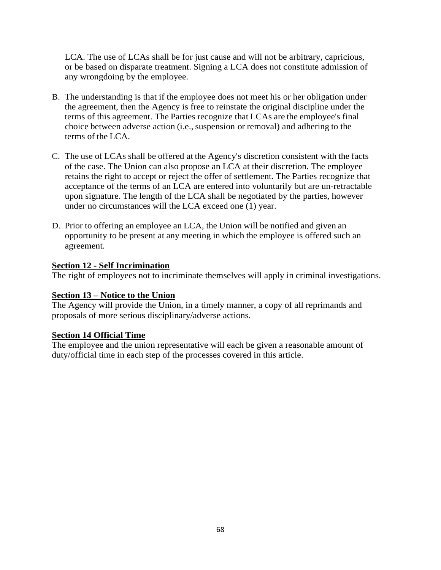LCA. The use of LCAs shall be for just cause and will not be arbitrary, capricious, or be based on disparate treatment. Signing a LCA does not constitute admission of any wrongdoing by the employee.

- B. The understanding is that if the employee does not meet his or her obligation under the agreement, then the Agency is free to reinstate the original discipline under the terms of this agreement. The Parties recognize that LCAs are the employee's final choice between adverse action (i.e., suspension or removal) and adhering to the terms of the LCA.
- C. The use of LCAs shall be offered at the Agency's discretion consistent with the facts of the case. The Union can also propose an LCA at their discretion. The employee retains the right to accept or reject the offer of settlement. The Parties recognize that acceptance of the terms of an LCA are entered into voluntarily but are un-retractable upon signature. The length of the LCA shall be negotiated by the parties, however under no circumstances will the LCA exceed one (1) year.
- D. Prior to offering an employee an LCA, the Union will be notified and given an opportunity to be present at any meeting in which the employee is offered such an agreement.

### **Section 12 - Self Incrimination**

The right of employees not to incriminate themselves will apply in criminal investigations.

### **Section 13 – Notice to the Union**

The Agency will provide the Union, in a timely manner, a copy of all reprimands and proposals of more serious disciplinary/adverse actions.

### **Section 14 Official Time**

The employee and the union representative will each be given a reasonable amount of duty/official time in each step of the processes covered in this article.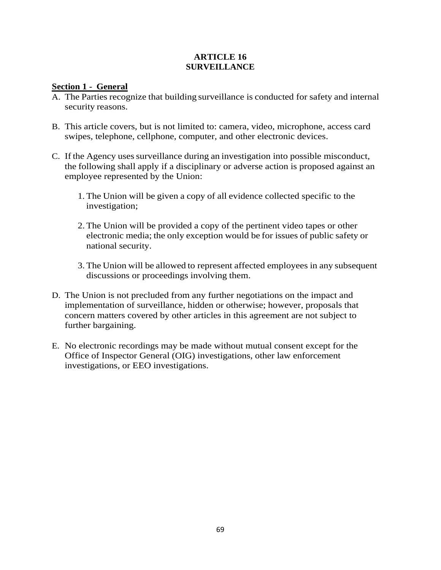### **ARTICLE 16 SURVEILLANCE**

### **Section 1 - General**

- A. The Parties recognize that building surveillance is conducted for safety and internal security reasons.
- B. This article covers, but is not limited to: camera, video, microphone, access card swipes, telephone, cellphone, computer, and other electronic devices.
- C. If the Agency uses surveillance during an investigation into possible misconduct, the following shall apply if a disciplinary or adverse action is proposed against an employee represented by the Union:
	- 1. The Union will be given a copy of all evidence collected specific to the investigation;
	- 2. The Union will be provided a copy of the pertinent video tapes or other electronic media; the only exception would be for issues of public safety or national security.
	- 3. The Union will be allowed to represent affected employees in any subsequent discussions or proceedings involving them.
- D. The Union is not precluded from any further negotiations on the impact and implementation of surveillance, hidden or otherwise; however, proposals that concern matters covered by other articles in this agreement are not subject to further bargaining.
- E. No electronic recordings may be made without mutual consent except for the Office of Inspector General (OIG) investigations, other law enforcement investigations, or EEO investigations.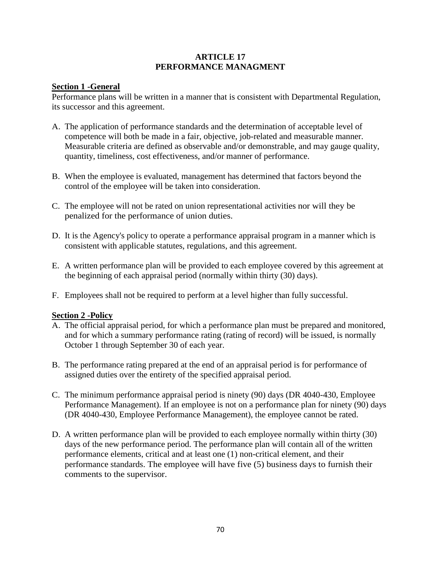### **ARTICLE 17 PERFORMANCE MANAGMENT**

### **Section 1 -General**

Performance plans will be written in a manner that is consistent with Departmental Regulation, its successor and this agreement.

- A. The application of performance standards and the determination of acceptable level of competence will both be made in a fair, objective, job-related and measurable manner. Measurable criteria are defined as observable and/or demonstrable, and may gauge quality, quantity, timeliness, cost effectiveness, and/or manner of performance.
- B. When the employee is evaluated, management has determined that factors beyond the control of the employee will be taken into consideration.
- C. The employee will not be rated on union representational activities nor will they be penalized for the performance of union duties.
- D. It is the Agency's policy to operate a performance appraisal program in a manner which is consistent with applicable statutes, regulations, and this agreement.
- E. A written performance plan will be provided to each employee covered by this agreement at the beginning of each appraisal period (normally within thirty (30) days).
- F. Employees shall not be required to perform at a level higher than fully successful.

### **Section 2 -Policy**

- A. The official appraisal period, for which a performance plan must be prepared and monitored, and for which a summary performance rating (rating of record) will be issued, is normally October 1 through September 30 of each year.
- B. The performance rating prepared at the end of an appraisal period is for performance of assigned duties over the entirety of the specified appraisal period.
- C. The minimum performance appraisal period is ninety (90) days (DR 4040-430, Employee Performance Management). If an employee is not on a performance plan for ninety (90) days (DR 4040-430, Employee Performance Management), the employee cannot be rated.
- D. A written performance plan will be provided to each employee normally within thirty (30) days of the new performance period. The performance plan will contain all of the written performance elements, critical and at least one (1) non-critical element, and their performance standards. The employee will have five (5) business days to furnish their comments to the supervisor.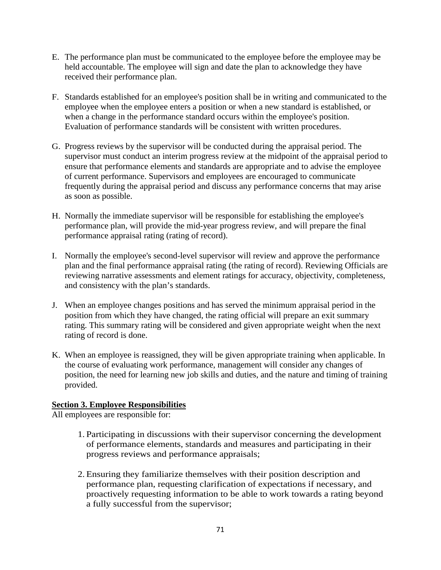- E. The performance plan must be communicated to the employee before the employee may be held accountable. The employee will sign and date the plan to acknowledge they have received their performance plan.
- F. Standards established for an employee's position shall be in writing and communicated to the employee when the employee enters a position or when a new standard is established, or when a change in the performance standard occurs within the employee's position. Evaluation of performance standards will be consistent with written procedures.
- G. Progress reviews by the supervisor will be conducted during the appraisal period. The supervisor must conduct an interim progress review at the midpoint of the appraisal period to ensure that performance elements and standards are appropriate and to advise the employee of current performance. Supervisors and employees are encouraged to communicate frequently during the appraisal period and discuss any performance concerns that may arise as soon as possible.
- H. Normally the immediate supervisor will be responsible for establishing the employee's performance plan, will provide the mid-year progress review, and will prepare the final performance appraisal rating (rating of record).
- I. Normally the employee's second-level supervisor will review and approve the performance plan and the final performance appraisal rating (the rating of record). Reviewing Officials are reviewing narrative assessments and element ratings for accuracy, objectivity, completeness, and consistency with the plan's standards.
- J. When an employee changes positions and has served the minimum appraisal period in the position from which they have changed, the rating official will prepare an exit summary rating. This summary rating will be considered and given appropriate weight when the next rating of record is done.
- K. When an employee is reassigned, they will be given appropriate training when applicable. In the course of evaluating work performance, management will consider any changes of position, the need for learning new job skills and duties, and the nature and timing of training provided.

## **Section 3. Employee Responsibilities**

All employees are responsible for:

- 1. Participating in discussions with their supervisor concerning the development of performance elements, standards and measures and participating in their progress reviews and performance appraisals;
- 2. Ensuring they familiarize themselves with their position description and performance plan, requesting clarification of expectations if necessary, and proactively requesting information to be able to work towards a rating beyond a fully successful from the supervisor;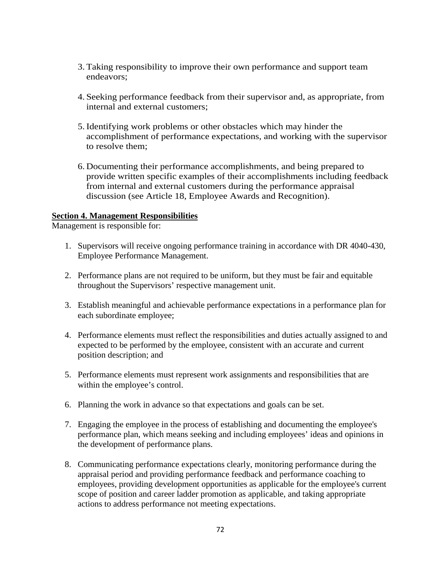- 3. Taking responsibility to improve their own performance and support team endeavors;
- 4. Seeking performance feedback from their supervisor and, as appropriate, from internal and external customers;
- 5. Identifying work problems or other obstacles which may hinder the accomplishment of performance expectations, and working with the supervisor to resolve them;
- 6. Documenting their performance accomplishments, and being prepared to provide written specific examples of their accomplishments including feedback from internal and external customers during the performance appraisal discussion (see Article 18, Employee Awards and Recognition).

#### **Section 4. Management Responsibilities**

Management is responsible for:

- 1. Supervisors will receive ongoing performance training in accordance with DR 4040-430, Employee Performance Management.
- 2. Performance plans are not required to be uniform, but they must be fair and equitable throughout the Supervisors' respective management unit.
- 3. Establish meaningful and achievable performance expectations in a performance plan for each subordinate employee;
- 4. Performance elements must reflect the responsibilities and duties actually assigned to and expected to be performed by the employee, consistent with an accurate and current position description; and
- 5. Performance elements must represent work assignments and responsibilities that are within the employee's control.
- 6. Planning the work in advance so that expectations and goals can be set.
- 7. Engaging the employee in the process of establishing and documenting the employee's performance plan, which means seeking and including employees' ideas and opinions in the development of performance plans.
- 8. Communicating performance expectations clearly, monitoring performance during the appraisal period and providing performance feedback and performance coaching to employees, providing development opportunities as applicable for the employee's current scope of position and career ladder promotion as applicable, and taking appropriate actions to address performance not meeting expectations.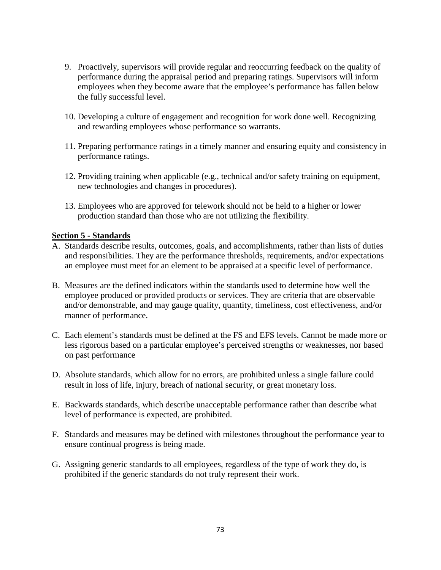- 9. Proactively, supervisors will provide regular and reoccurring feedback on the quality of performance during the appraisal period and preparing ratings. Supervisors will inform employees when they become aware that the employee's performance has fallen below the fully successful level.
- 10. Developing a culture of engagement and recognition for work done well. Recognizing and rewarding employees whose performance so warrants.
- 11. Preparing performance ratings in a timely manner and ensuring equity and consistency in performance ratings.
- 12. Providing training when applicable (e.g., technical and/or safety training on equipment, new technologies and changes in procedures).
- 13. Employees who are approved for telework should not be held to a higher or lower production standard than those who are not utilizing the flexibility.

#### **Section 5 - Standards**

- A. Standards describe results, outcomes, goals, and accomplishments, rather than lists of duties and responsibilities. They are the performance thresholds, requirements, and/or expectations an employee must meet for an element to be appraised at a specific level of performance.
- B. Measures are the defined indicators within the standards used to determine how well the employee produced or provided products or services. They are criteria that are observable and/or demonstrable, and may gauge quality, quantity, timeliness, cost effectiveness, and/or manner of performance.
- C. Each element's standards must be defined at the FS and EFS levels. Cannot be made more or less rigorous based on a particular employee's perceived strengths or weaknesses, nor based on past performance
- D. Absolute standards, which allow for no errors, are prohibited unless a single failure could result in loss of life, injury, breach of national security, or great monetary loss.
- E. Backwards standards, which describe unacceptable performance rather than describe what level of performance is expected, are prohibited.
- F. Standards and measures may be defined with milestones throughout the performance year to ensure continual progress is being made.
- G. Assigning generic standards to all employees, regardless of the type of work they do, is prohibited if the generic standards do not truly represent their work.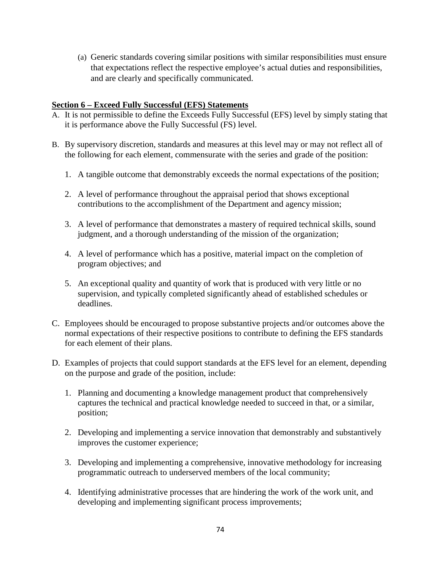(a) Generic standards covering similar positions with similar responsibilities must ensure that expectations reflect the respective employee's actual duties and responsibilities, and are clearly and specifically communicated.

#### **Section 6 – Exceed Fully Successful (EFS) Statements**

- A. It is not permissible to define the Exceeds Fully Successful (EFS) level by simply stating that it is performance above the Fully Successful (FS) level.
- B. By supervisory discretion, standards and measures at this level may or may not reflect all of the following for each element, commensurate with the series and grade of the position:
	- 1. A tangible outcome that demonstrably exceeds the normal expectations of the position;
	- 2. A level of performance throughout the appraisal period that shows exceptional contributions to the accomplishment of the Department and agency mission;
	- 3. A level of performance that demonstrates a mastery of required technical skills, sound judgment, and a thorough understanding of the mission of the organization;
	- 4. A level of performance which has a positive, material impact on the completion of program objectives; and
	- 5. An exceptional quality and quantity of work that is produced with very little or no supervision, and typically completed significantly ahead of established schedules or deadlines.
- C. Employees should be encouraged to propose substantive projects and/or outcomes above the normal expectations of their respective positions to contribute to defining the EFS standards for each element of their plans.
- D. Examples of projects that could support standards at the EFS level for an element, depending on the purpose and grade of the position, include:
	- 1. Planning and documenting a knowledge management product that comprehensively captures the technical and practical knowledge needed to succeed in that, or a similar, position;
	- 2. Developing and implementing a service innovation that demonstrably and substantively improves the customer experience;
	- 3. Developing and implementing a comprehensive, innovative methodology for increasing programmatic outreach to underserved members of the local community;
	- 4. Identifying administrative processes that are hindering the work of the work unit, and developing and implementing significant process improvements;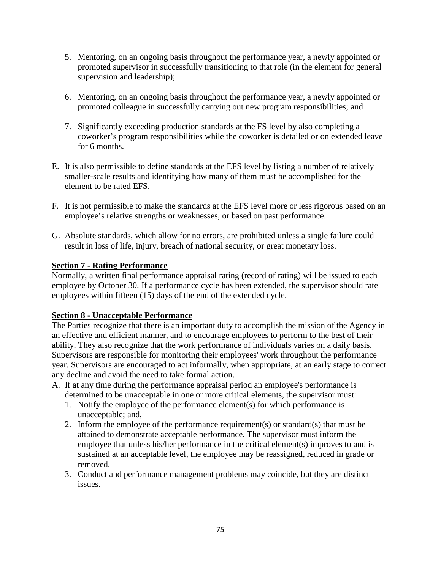- 5. Mentoring, on an ongoing basis throughout the performance year, a newly appointed or promoted supervisor in successfully transitioning to that role (in the element for general supervision and leadership);
- 6. Mentoring, on an ongoing basis throughout the performance year, a newly appointed or promoted colleague in successfully carrying out new program responsibilities; and
- 7. Significantly exceeding production standards at the FS level by also completing a coworker's program responsibilities while the coworker is detailed or on extended leave for 6 months.
- E. It is also permissible to define standards at the EFS level by listing a number of relatively smaller-scale results and identifying how many of them must be accomplished for the element to be rated EFS.
- F. It is not permissible to make the standards at the EFS level more or less rigorous based on an employee's relative strengths or weaknesses, or based on past performance.
- G. Absolute standards, which allow for no errors, are prohibited unless a single failure could result in loss of life, injury, breach of national security, or great monetary loss.

# **Section 7 - Rating Performance**

Normally, a written final performance appraisal rating (record of rating) will be issued to each employee by October 30. If a performance cycle has been extended, the supervisor should rate employees within fifteen (15) days of the end of the extended cycle.

# **Section 8 - Unacceptable Performance**

The Parties recognize that there is an important duty to accomplish the mission of the Agency in an effective and efficient manner, and to encourage employees to perform to the best of their ability. They also recognize that the work performance of individuals varies on a daily basis. Supervisors are responsible for monitoring their employees' work throughout the performance year. Supervisors are encouraged to act informally, when appropriate, at an early stage to correct any decline and avoid the need to take formal action.

- A. If at any time during the performance appraisal period an employee's performance is determined to be unacceptable in one or more critical elements, the supervisor must:
	- 1. Notify the employee of the performance element(s) for which performance is unacceptable; and,
	- 2. Inform the employee of the performance requirement(s) or standard(s) that must be attained to demonstrate acceptable performance. The supervisor must inform the employee that unless his/her performance in the critical element(s) improves to and is sustained at an acceptable level, the employee may be reassigned, reduced in grade or removed.
	- 3. Conduct and performance management problems may coincide, but they are distinct issues.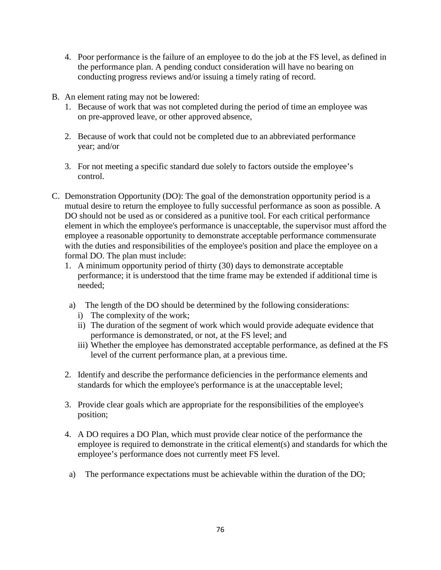- 4. Poor performance is the failure of an employee to do the job at the FS level, as defined in the performance plan. A pending conduct consideration will have no bearing on conducting progress reviews and/or issuing a timely rating of record.
- B. An element rating may not be lowered:
	- 1. Because of work that was not completed during the period of time an employee was on pre-approved leave, or other approved absence,
	- 2. Because of work that could not be completed due to an abbreviated performance year; and/or
	- 3. For not meeting a specific standard due solely to factors outside the employee's control.
- C. Demonstration Opportunity (DO): The goal of the demonstration opportunity period is a mutual desire to return the employee to fully successful performance as soon as possible. A DO should not be used as or considered as a punitive tool. For each critical performance element in which the employee's performance is unacceptable, the supervisor must afford the employee a reasonable opportunity to demonstrate acceptable performance commensurate with the duties and responsibilities of the employee's position and place the employee on a formal DO. The plan must include:
	- 1. A minimum opportunity period of thirty (30) days to demonstrate acceptable performance; it is understood that the time frame may be extended if additional time is needed;
	- a) The length of the DO should be determined by the following considerations:
		- i) The complexity of the work;
		- ii) The duration of the segment of work which would provide adequate evidence that performance is demonstrated, or not, at the FS level; and
		- iii) Whether the employee has demonstrated acceptable performance, as defined at the FS level of the current performance plan, at a previous time.
	- 2. Identify and describe the performance deficiencies in the performance elements and standards for which the employee's performance is at the unacceptable level;
	- 3. Provide clear goals which are appropriate for the responsibilities of the employee's position;
	- 4. A DO requires a DO Plan, which must provide clear notice of the performance the employee is required to demonstrate in the critical element(s) and standards for which the employee's performance does not currently meet FS level.
	- a) The performance expectations must be achievable within the duration of the DO;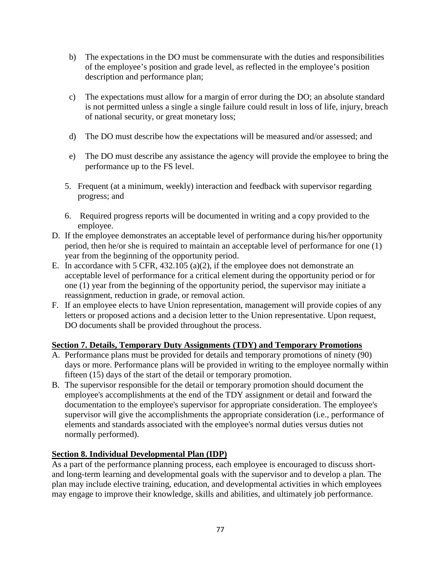- b) The expectations in the DO must be commensurate with the duties and responsibilities of the employee's position and grade level, as reflected in the employee's position description and performance plan;
- c) The expectations must allow for a margin of error during the DO; an absolute standard is not permitted unless a single a single failure could result in loss of life, injury, breach of national security, or great monetary loss;
- d) The DO must describe how the expectations will be measured and/or assessed; and
- e) The DO must describe any assistance the agency will provide the employee to bring the performance up to the FS level.
- 5. Frequent (at a minimum, weekly) interaction and feedback with supervisor regarding progress; and
- 6. Required progress reports will be documented in writing and a copy provided to the employee.
- D. If the employee demonstrates an acceptable level of performance during his/her opportunity period, then he/or she is required to maintain an acceptable level of performance for one (1) year from the beginning of the opportunity period.
- E. In accordance with 5 CFR, 432.105 (a)(2), if the employee does not demonstrate an acceptable level of performance for a critical element during the opportunity period or for one (1) year from the beginning of the opportunity period, the supervisor may initiate a reassignment, reduction in grade, or removal action.
- F. If an employee elects to have Union representation, management will provide copies of any letters or proposed actions and a decision letter to the Union representative. Upon request, DO documents shall be provided throughout the process.

# **Section 7. Details, Temporary Duty Assignments (TDY) and Temporary Promotions**

- A. Performance plans must be provided for details and temporary promotions of ninety (90) days or more. Performance plans will be provided in writing to the employee normally within fifteen (15) days of the start of the detail or temporary promotion.
- B. The supervisor responsible for the detail or temporary promotion should document the employee's accomplishments at the end of the TDY assignment or detail and forward the documentation to the employee's supervisor for appropriate consideration. The employee's supervisor will give the accomplishments the appropriate consideration (i.e., performance of elements and standards associated with the employee's normal duties versus duties not normally performed).

# **Section 8. Individual Developmental Plan (IDP)**

As a part of the performance planning process, each employee is encouraged to discuss shortand long-term learning and developmental goals with the supervisor and to develop a plan. The plan may include elective training, education, and developmental activities in which employees may engage to improve their knowledge, skills and abilities, and ultimately job performance.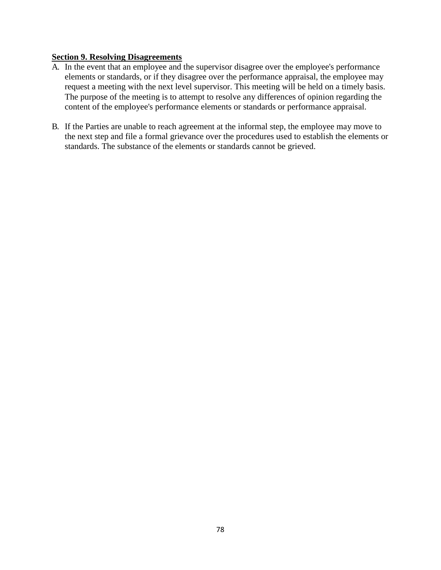#### **Section 9. Resolving Disagreements**

- A. In the event that an employee and the supervisor disagree over the employee's performance elements or standards, or if they disagree over the performance appraisal, the employee may request a meeting with the next level supervisor. This meeting will be held on a timely basis. The purpose of the meeting is to attempt to resolve any differences of opinion regarding the content of the employee's performance elements or standards or performance appraisal.
- B. If the Parties are unable to reach agreement at the informal step, the employee may move to the next step and file a formal grievance over the procedures used to establish the elements or standards. The substance of the elements or standards cannot be grieved.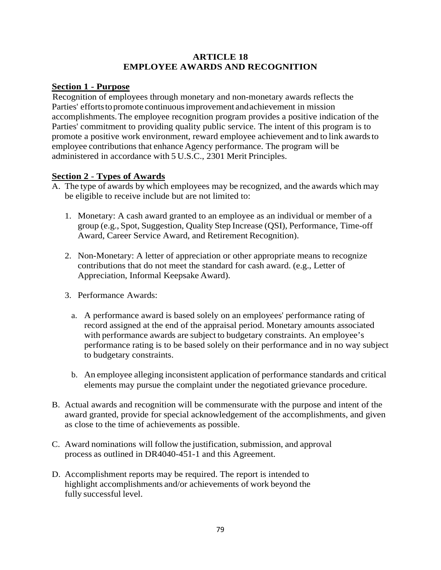#### **ARTICLE 18 EMPLOYEE AWARDS AND RECOGNITION**

#### **Section 1 - Purpose**

Recognition of employees through monetary and non-monetary awards reflects the Parties' efforts to promote continuous improvement and achievement in mission accomplishments.The employee recognition program provides a positive indication of the Parties' commitment to providing quality public service. The intent of this program is to promote a positive work environment, reward employee achievement and to link awardsto employee contributions that enhance Agency performance. The program will be administered in accordance with 5 U.S.C., 2301 Merit Principles.

# **Section 2** - **Types of Awards**

- A. The type of awards by which employees may be recognized, and the awards which may be eligible to receive include but are not limited to:
	- 1. Monetary: A cash award granted to an employee as an individual or member of a group (e.g., Spot, Suggestion, Quality Step Increase (QSI), Performance, Time-off Award, Career Service Award, and Retirement Recognition).
	- 2. Non-Monetary: A letter of appreciation or other appropriate means to recognize contributions that do not meet the standard for cash award. (e.g., Letter of Appreciation, Informal Keepsake Award).
	- 3. Performance Awards:
		- a. A performance award is based solely on an employees' performance rating of record assigned at the end of the appraisal period. Monetary amounts associated with performance awards are subject to budgetary constraints. An employee's performance rating is to be based solely on their performance and in no way subject to budgetary constraints.
		- b. An employee alleging inconsistent application of performance standards and critical elements may pursue the complaint under the negotiated grievance procedure.
- B. Actual awards and recognition will be commensurate with the purpose and intent of the award granted, provide for special acknowledgement of the accomplishments, and given as close to the time of achievements as possible.
- C. Award nominations will follow the justification, submission, and approval process as outlined in DR4040-451-1 and this Agreement.
- D. Accomplishment reports may be required. The report is intended to highlight accomplishments and/or achievements of work beyond the fully successful level.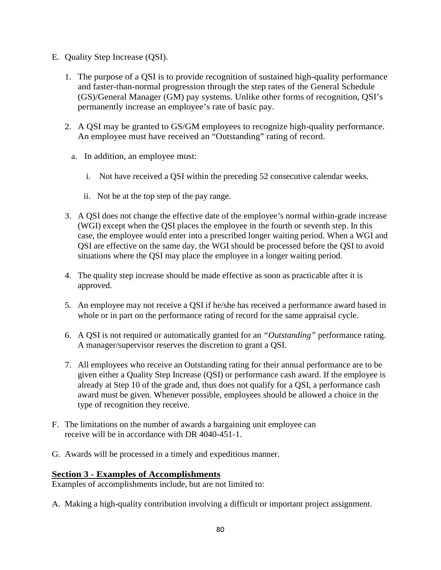- E. Quality Step Increase (QSI).
	- 1. The purpose of a QSI is to provide recognition of sustained high-quality performance and faster-than-normal progression through the step rates of the General Schedule (GS)/General Manager (GM) pay systems. Unlike other forms of recognition, QSI's permanently increase an employee's rate of basic pay.
	- 2. A QSI may be granted to GS/GM employees to recognize high-quality performance. An employee must have received an "Outstanding" rating of record.
		- a. In addition, an employee must:
			- i. Not have received a QSI within the preceding 52 consecutive calendar weeks.
			- ii. Not be at the top step of the pay range.
	- 3. A QSI does not change the effective date of the employee's normal within-grade increase (WGI) except when the QSI places the employee in the fourth or seventh step. In this case, the employee would enter into a prescribed longer waiting period. When a WGI and QSI are effective on the same day, the WGI should be processed before the QSI to avoid situations where the QSI may place the employee in a longer waiting period.
	- 4. The [quality step increase](https://www.law.cornell.edu/definitions/index.php?width=840&height=800&iframe=true&def_id=3d3d6345ec55951eed8d045bfd552bb9&term_occur=2&term_src=Title:5:Chapter:I:Subchapter:B:Part:531:Subpart:E:531.506) should be made effective as soon as practicable after it is approved.
	- 5. An employee may not receive a QSI if he/she has received a performance award based in whole or in part on the performance rating of record for the same appraisal cycle.
	- 6. A QSI is not required or automatically granted for an *"Outstanding"* performance rating. A manager/supervisor reserves the discretion to grant a QSI.
	- 7. All employees who receive an Outstanding rating for their annual performance are to be given either a Quality Step Increase (QSI) or performance cash award. If the employee is already at Step 10 of the grade and, thus does not qualify for a QSI, a performance cash award must be given. Whenever possible, employees should be allowed a choice in the type of recognition they receive.
- F. The limitations on the number of awards a bargaining unit employee can receive will be in accordance with DR 4040-451-1.
- G. Awards will be processed in a timely and expeditious manner.

#### **Section 3 - Examples of Accomplishments**

Examples of accomplishments include, but are not limited to:

A. Making a high-quality contribution involving a difficult or important project assignment.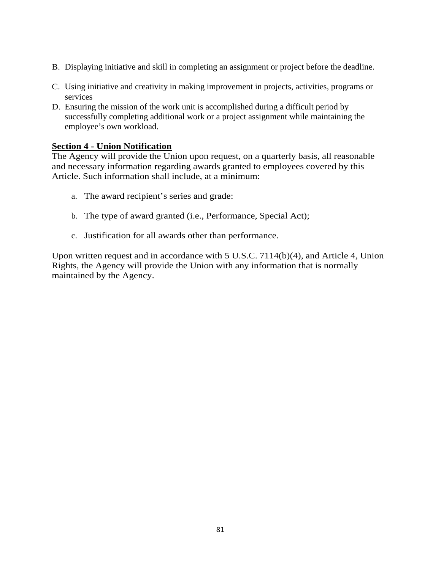- B. Displaying initiative and skill in completing an assignment or project before the deadline.
- C. Using initiative and creativity in making improvement in projects, activities, programs or services
- D. Ensuring the mission of the work unit is accomplished during a difficult period by successfully completing additional work or a project assignment while maintaining the employee's own workload.

#### **Section 4 - Union Notification**

The Agency will provide the Union upon request, on a quarterly basis, all reasonable and necessary information regarding awards granted to employees covered by this Article. Such information shall include, at a minimum:

- a. The award recipient's series and grade:
- b. The type of award granted (i.e., Performance, Special Act);
- c. Justification for all awards other than performance.

Upon written request and in accordance with 5 U.S.C. 7114(b)(4), and Article 4, Union Rights, the Agency will provide the Union with any information that is normally maintained by the Agency.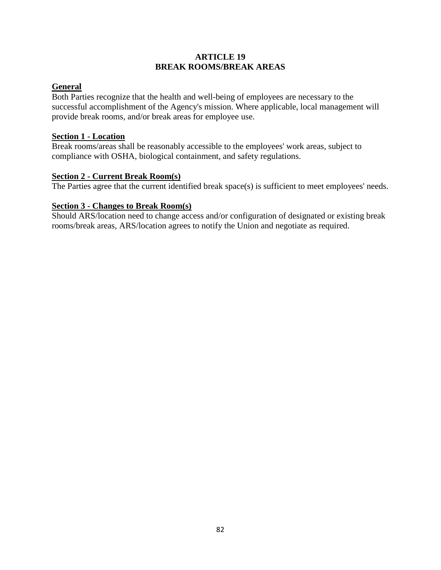#### **ARTICLE 19 BREAK ROOMS/BREAK AREAS**

# **General**

Both Parties recognize that the health and well-being of employees are necessary to the successful accomplishment of the Agency's mission. Where applicable, local management will provide break rooms, and/or break areas for employee use.

#### **Section 1 - Location**

Break rooms/areas shall be reasonably accessible to the employees' work areas, subject to compliance with OSHA, biological containment, and safety regulations.

# **Section 2 - Current Break Room(s)**

The Parties agree that the current identified break space(s) is sufficient to meet employees' needs.

#### **Section 3 - Changes to Break Room(s)**

Should ARS/location need to change access and/or configuration of designated or existing break rooms/break areas, ARS/location agrees to notify the Union and negotiate as required.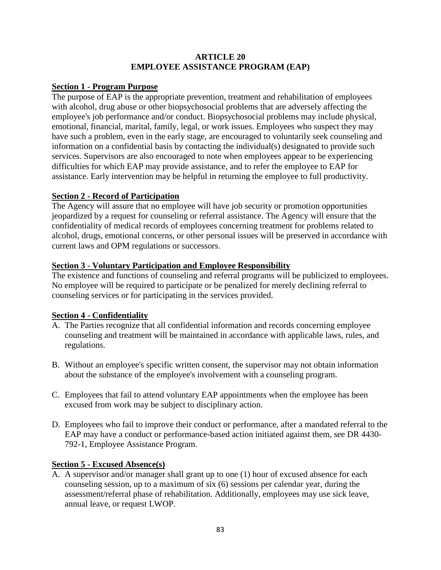#### **ARTICLE 20 EMPLOYEE ASSISTANCE PROGRAM (EAP)**

#### **Section 1 - Program Purpose**

The purpose of EAP is the appropriate prevention, treatment and rehabilitation of employees with alcohol, drug abuse or other biopsychosocial problems that are adversely affecting the employee's job performance and/or conduct. Biopsychosocial problems may include physical, emotional, financial, marital, family, legal, or work issues. Employees who suspect they may have such a problem, even in the early stage, are encouraged to voluntarily seek counseling and information on a confidential basis by contacting the individual(s) designated to provide such services. Supervisors are also encouraged to note when employees appear to be experiencing difficulties for which EAP may provide assistance, and to refer the employee to EAP for assistance. Early intervention may be helpful in returning the employee to full productivity.

#### **Section 2 - Record of Participation**

The Agency will assure that no employee will have job security or promotion opportunities jeopardized by a request for counseling or referral assistance. The Agency will ensure that the confidentiality of medical records of employees concerning treatment for problems related to alcohol, drugs, emotional concerns, or other personal issues will be preserved in accordance with current laws and OPM regulations or successors.

#### **Section 3 - Voluntary Participation and Employee Responsibility**

The existence and functions of counseling and referral programs will be publicized to employees. No employee will be required to participate or be penalized for merely declining referral to counseling services or for participating in the services provided.

# **Section 4 - Confidentiality**

- A. The Parties recognize that all confidential information and records concerning employee counseling and treatment will be maintained in accordance with applicable laws, rules, and regulations.
- B. Without an employee's specific written consent, the supervisor may not obtain information about the substance of the employee's involvement with a counseling program.
- C. Employees that fail to attend voluntary EAP appointments when the employee has been excused from work may be subject to disciplinary action.
- D. Employees who fail to improve their conduct or performance, after a mandated referral to the EAP may have a conduct or performance-based action initiated against them, see DR 4430- 792-1, Employee Assistance Program.

#### **Section 5 - Excused Absence(s)**

A. A supervisor and/or manager shall grant up to one (1) hour of excused absence for each counseling session, up to a maximum of six (6) sessions per calendar year, during the assessment/referral phase of rehabilitation. Additionally, employees may use sick leave, annual leave, or request LWOP.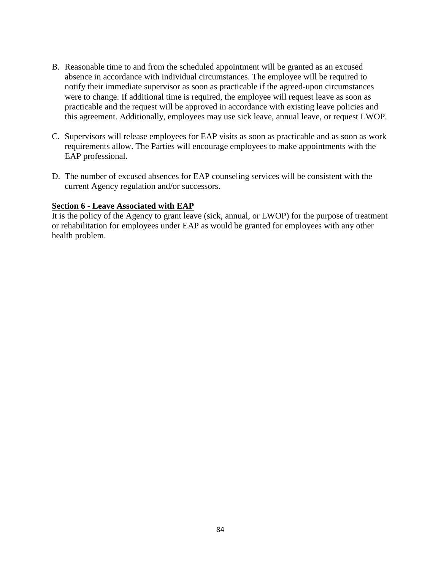- B. Reasonable time to and from the scheduled appointment will be granted as an excused absence in accordance with individual circumstances. The employee will be required to notify their immediate supervisor as soon as practicable if the agreed-upon circumstances were to change. If additional time is required, the employee will request leave as soon as practicable and the request will be approved in accordance with existing leave policies and this agreement. Additionally, employees may use sick leave, annual leave, or request LWOP.
- C. Supervisors will release employees for EAP visits as soon as practicable and as soon as work requirements allow. The Parties will encourage employees to make appointments with the EAP professional.
- D. The number of excused absences for EAP counseling services will be consistent with the current Agency regulation and/or successors.

#### **Section 6 - Leave Associated with EAP**

It is the policy of the Agency to grant leave (sick, annual, or LWOP) for the purpose of treatment or rehabilitation for employees under EAP as would be granted for employees with any other health problem.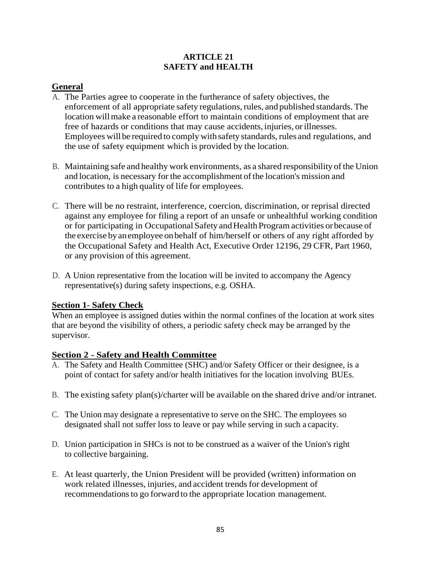#### **ARTICLE 21 SAFETY and HEALTH**

# **General**

- A. The Parties agree to cooperate in the furtherance of safety objectives, the enforcement of all appropriate safety regulations,rules, and published standards. The location will make a reasonable effort to maintain conditions of employment that are free of hazards or conditions that may cause accidents, injuries, orillnesses. Employees will be required to comply withsafety standards, rules and regulations, and the use of safety equipment which is provided by the location.
- B. Maintaining safe and healthy work environments, as a shared responsibility of the Union and location, is necessary for the accomplishment of the location's mission and contributes to a high quality of life for employees.
- C. There will be no restraint, interference, coercion, discrimination, or reprisal directed against any employee for filing a report of an unsafe or unhealthful working condition or for participating in Occupational Safety and Health Program activities or because of the exercise byanemployee onbehalf of him/herself or others of any right afforded by the Occupational Safety and Health Act, Executive Order 12196, 29 CFR, Part 1960, or any provision of this agreement.
- D. A Union representative from the location will be invited to accompany the Agency representative(s) during safety inspections, e.g. OSHA.

# **Section 1- Safety Check**

When an employee is assigned duties within the normal confines of the location at work sites that are beyond the visibility of others, a periodic safety check may be arranged by the supervisor.

# **Section 2 - Safety and Health Committee**

- A. The Safety and Health Committee (SHC) and/or Safety Officer or their designee, is a point of contact for safety and/or health initiatives for the location involving BUEs.
- B. The existing safety plan(s)/charter will be available on the shared drive and/or intranet.
- C. The Union may designate a representative to serve on the SHC. The employees so designated shall not suffer loss to leave or pay while serving in such a capacity.
- D. Union participation in SHCs is not to be construed as a waiver of the Union's right to collective bargaining.
- E. At least quarterly, the Union President will be provided (written) information on work related illnesses, injuries, and accident trends for development of recommendations to go forward to the appropriate location management.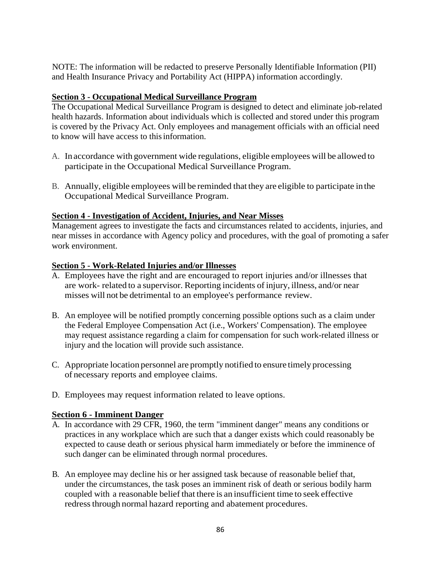NOTE: The information will be redacted to preserve Personally Identifiable Information (PII) and Health Insurance Privacy and Portability Act (HIPPA) information accordingly.

# **Section 3 - Occupational Medical Surveillance Program**

The Occupational Medical Surveillance Program is designed to detect and eliminate job-related health hazards. Information about individuals which is collected and stored under this program is covered by the Privacy Act. Only employees and management officials with an official need to know will have access to this information.

- A. In accordance with government wide regulations, eligible employees will be allowed to participate in the Occupational Medical Surveillance Program.
- B. Annually, eligible employees will be reminded that they are eligible to participate in the Occupational Medical Surveillance Program.

# **Section 4 - Investigation of Accident, Injuries, and Near Misses**

Management agrees to investigate the facts and circumstances related to accidents, injuries, and near misses in accordance with Agency policy and procedures, with the goal of promoting a safer work environment.

# **Section 5 - Work-Related Injuries and/or Illnesses**

- A. Employees have the right and are encouraged to report injuries and/or illnesses that are work- related to a supervisor. Reporting incidents of injury, illness, and/or near misses will not be detrimental to an employee's performance review.
- B. An employee will be notified promptly concerning possible options such as a claim under the Federal Employee Compensation Act (i.e., Workers' Compensation). The employee may request assistance regarding a claim for compensation for such work-related illness or injury and the location will provide such assistance.
- C. Appropriate location personnel are promptly notified to ensure timely processing of necessary reports and employee claims.
- D. Employees may request information related to leave options.

# **Section 6 - Imminent Danger**

- A. In accordance with 29 CFR, 1960, the term "imminent danger" means any conditions or practices in any workplace which are such that a danger exists which could reasonably be expected to cause death or serious physical harm immediately or before the imminence of such danger can be eliminated through normal procedures.
- B. An employee may decline his or her assigned task because of reasonable belief that, under the circumstances, the task poses an imminent risk of death or serious bodily harm coupled with a reasonable belief that there is an insufficient time to seek effective redress through normal hazard reporting and abatement procedures.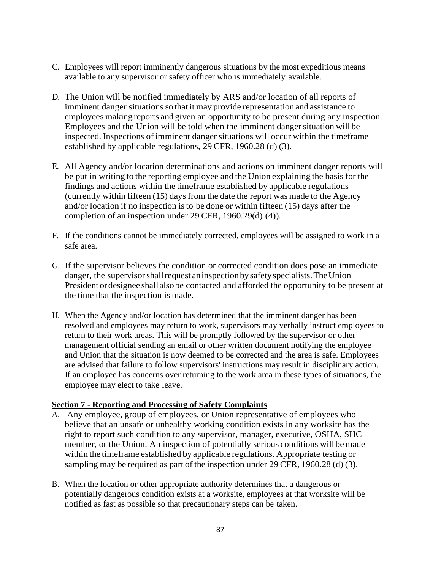- C. Employees will report imminently dangerous situations by the most expeditious means available to any supervisor or safety officer who is immediately available.
- D. The Union will be notified immediately by ARS and/or location of all reports of imminent danger situations so that it may provide representation and assistance to employees making reports and given an opportunity to be present during any inspection. Employees and the Union will be told when the imminent danger situation will be inspected. Inspections of imminent danger situations will occur within the timeframe established by applicable regulations, 29 CFR, 1960.28 (d) (3).
- E. All Agency and/or location determinations and actions on imminent danger reports will be put in writing to the reporting employee and the Union explaining the basis for the findings and actions within the timeframe established by applicable regulations (currently within fifteen (15) days from the date the report was made to the Agency and/or location if no inspection isto be done or within fifteen (15) days after the completion of an inspection under 29 CFR, 1960.29(d) (4)).
- F. If the conditions cannot be immediately corrected, employees will be assigned to work in a safe area.
- G. If the supervisor believes the condition or corrected condition does pose an immediate danger, the supervisor shall request an inspection by safety specialists. The Union President or designee shall also be contacted and afforded the opportunity to be present at the time that the inspection is made.
- H. When the Agency and/or location has determined that the imminent danger has been resolved and employees may return to work, supervisors may verbally instruct employees to return to their work areas. This will be promptly followed by the supervisor or other management official sending an email or other written document notifying the employee and Union that the situation is now deemed to be corrected and the area is safe. Employees are advised that failure to follow supervisors' instructions may result in disciplinary action. If an employee has concerns over returning to the work area in these types of situations, the employee may elect to take leave.

# **Section 7 - Reporting and Processing of Safety Complaints**

- A. Any employee, group of employees, or Union representative of employees who believe that an unsafe or unhealthy working condition exists in any worksite has the right to report such condition to any supervisor, manager, executive, OSHA, SHC member, or the Union. An inspection of potentially serious conditions will be made within the timeframe established by applicable regulations. Appropriate testing or sampling may be required as part of the inspection under 29 CFR, 1960.28 (d) (3).
- B. When the location or other appropriate authority determines that a dangerous or potentially dangerous condition exists at a worksite, employees at that worksite will be notified as fast as possible so that precautionary steps can be taken.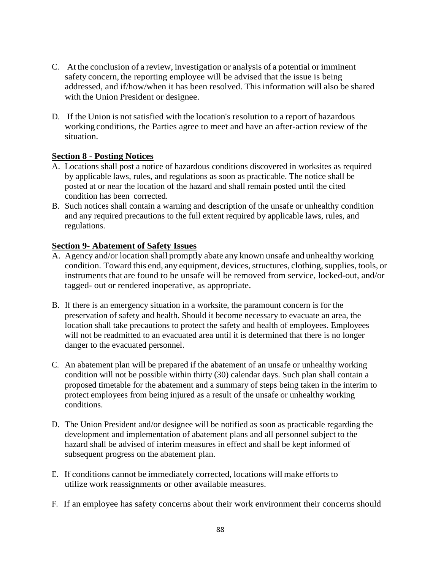- C. At the conclusion of a review, investigation or analysis of a potential or imminent safety concern, the reporting employee will be advised that the issue is being addressed, and if/how/when it has been resolved. This information will also be shared with the Union President or designee.
- D. If the Union is not satisfied with the location's resolution to a report of hazardous working conditions, the Parties agree to meet and have an after-action review of the situation.

# **Section 8 - Posting Notices**

- A. Locations shall post a notice of hazardous conditions discovered in worksites as required by applicable laws, rules, and regulations as soon as practicable. The notice shall be posted at or near the location of the hazard and shall remain posted until the cited condition has been corrected.
- B. Such notices shall contain a warning and description of the unsafe or unhealthy condition and any required precautions to the full extent required by applicable laws, rules, and regulations.

#### **Section 9- Abatement of Safety Issues**

- A. Agency and/or location shall promptly abate any known unsafe and unhealthy working condition. Toward this end, any equipment, devices, structures, clothing, supplies, tools, or instruments that are found to be unsafe will be removed from service, locked-out, and/or tagged- out or rendered inoperative, as appropriate.
- B. If there is an emergency situation in a worksite, the paramount concern is for the preservation of safety and health. Should it become necessary to evacuate an area, the location shall take precautions to protect the safety and health of employees. Employees will not be readmitted to an evacuated area until it is determined that there is no longer danger to the evacuated personnel.
- C. An abatement plan will be prepared if the abatement of an unsafe or unhealthy working condition will not be possible within thirty (30) calendar days. Such plan shall contain a proposed timetable for the abatement and a summary of steps being taken in the interim to protect employees from being injured as a result of the unsafe or unhealthy working conditions.
- D. The Union President and/or designee will be notified as soon as practicable regarding the development and implementation of abatement plans and all personnel subject to the hazard shall be advised of interim measures in effect and shall be kept informed of subsequent progress on the abatement plan.
- E. If conditions cannot be immediately corrected, locations will make efforts to utilize work reassignments or other available measures.
- F. If an employee has safety concerns about their work environment their concerns should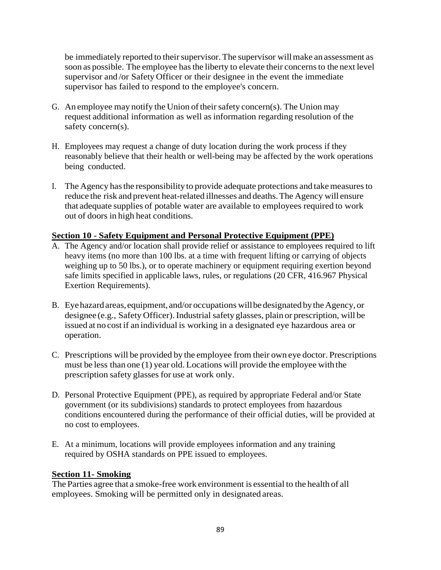be immediately reported to their supervisor. The supervisor will make an assessment as soon as possible. The employee has the liberty to elevate their concerns to the next level supervisor and /or Safety Officer or their designee in the event the immediate supervisor has failed to respond to the employee's concern.

- G. An employee may notify the Union of their safety concern(s). The Union may request additional information as well as information regarding resolution of the safety concern(s).
- H. Employees may request a change of duty location during the work process if they reasonably believe that their health or well-being may be affected by the work operations being conducted.
- I. The Agency hasthe responsibility to provide adequate protections and takemeasuresto reduce the risk and prevent heat-related illnesses and deaths.The Agency will ensure that adequate supplies of potable water are available to employees required to work out of doors in high heat conditions.

# **Section 10 - Safety Equipment and Personal Protective Equipment (PPE)**

- A. The Agency and/or location shall provide relief or assistance to employees required to lift heavy items (no more than 100 lbs. at a time with frequent lifting or carrying of objects weighing up to 50 lbs.), or to operate machinery or equipment requiring exertion beyond safe limits specified in applicable laws, rules, or regulations (20 CFR, 416.967 Physical Exertion Requirements).
- B. Eye hazard areas, equipment, and/or occupations will be designated by the Agency, or designee (e.g., Safety Officer). Industrial safety glasses, plain or prescription, will be issued at no cost if an individual is working in a designated eye hazardous area or operation.
- C. Prescriptions will be provided by the employee from their own eye doctor. Prescriptions must be less than one (1) year old.Locations will provide the employee with the prescription safety glasses for use at work only.
- D. Personal Protective Equipment (PPE), as required by appropriate Federal and/or State government (or its subdivisions) standards to protect employees from hazardous conditions encountered during the performance of their official duties, will be provided at no cost to employees.
- E. At a minimum, locations will provide employees information and any training required by OSHA standards on PPE issued to employees.

#### **Section 11- Smoking**

The Parties agree that a smoke-free work environment is essential to the health of all employees. Smoking will be permitted only in designated areas.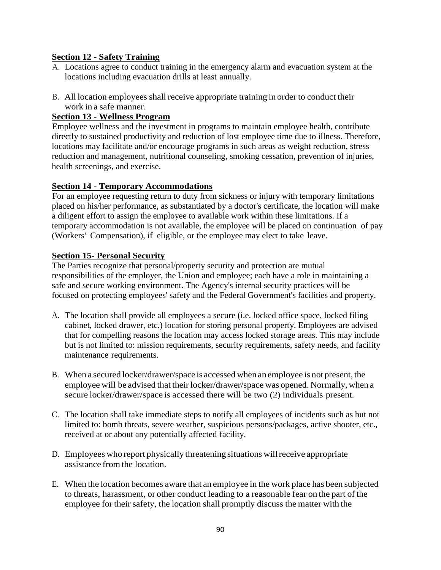#### **Section 12 - Safety Training**

- A. Locations agree to conduct training in the emergency alarm and evacuation system at the locations including evacuation drills at least annually.
- B. All location employees shall receive appropriate training in order to conduct their work in a safe manner.

#### **Section 13 - Wellness Program**

Employee wellness and the investment in programs to maintain employee health, contribute directly to sustained productivity and reduction of lost employee time due to illness. Therefore, locations may facilitate and/or encourage programs in such areas as weight reduction, stress reduction and management, nutritional counseling, smoking cessation, prevention of injuries, health screenings, and exercise.

# **Section 14 - Temporary Accommodations**

For an employee requesting return to duty from sickness or injury with temporary limitations placed on his/her performance, as substantiated by a doctor's certificate, the location will make a diligent effort to assign the employee to available work within these limitations. If a temporary accommodation is not available, the employee will be placed on continuation of pay (Workers' Compensation), if eligible, or the employee may elect to take leave.

#### **Section 15- Personal Security**

The Parties recognize that personal/property security and protection are mutual responsibilities of the employer, the Union and employee; each have a role in maintaining a safe and secure working environment. The Agency's internal security practices will be focused on protecting employees' safety and the Federal Government's facilities and property.

- A. The location shall provide all employees a secure (i.e. locked office space, locked filing cabinet, locked drawer, etc.) location for storing personal property. Employees are advised that for compelling reasons the location may access locked storage areas. This may include but is not limited to: mission requirements, security requirements, safety needs, and facility maintenance requirements.
- B. When a secured locker/drawer/space is accessed when an employee is not present, the employee will be advised that their locker/drawer/space was opened. Normally, when a secure locker/drawer/space is accessed there will be two (2) individuals present.
- C. The location shall take immediate steps to notify all employees of incidents such as but not limited to: bomb threats, severe weather, suspicious persons/packages, active shooter, etc., received at or about any potentially affected facility.
- D. Employees who report physically threatening situations willreceive appropriate assistance from the location.
- E. When the location becomes aware that an employee in the work place has been subjected to threats, harassment, or other conduct leading to a reasonable fear on the part of the employee for their safety, the location shall promptly discuss the matter with the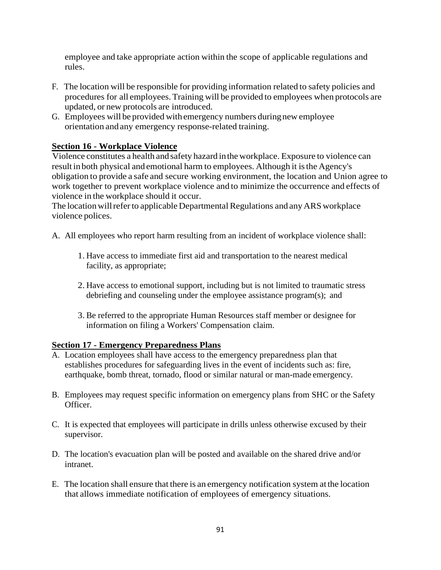employee and take appropriate action within the scope of applicable regulations and rules.

- F. The location will be responsible for providing information related to safety policies and procedures for all employees.Training will be provided to employees when protocols are updated, or new protocols are introduced.
- G. Employees will be provided with emergency numbers duringnew employee orientation and any emergency response-related training.

# **Section 16 - Workplace Violence**

Violence constitutes a health and safety hazard inthe workplace. Exposure to violence can result inboth physical and emotional harm to employees. Although it isthe Agency's obligation to provide a safe and secure working environment, the location and Union agree to work together to prevent workplace violence and to minimize the occurrence and effects of violence in the workplace should it occur.

The location will refer to applicable Departmental Regulations and any ARS workplace violence polices.

- A. All employees who report harm resulting from an incident of workplace violence shall:
	- 1. Have access to immediate first aid and transportation to the nearest medical facility, as appropriate;
	- 2. Have access to emotional support, including but is not limited to traumatic stress debriefing and counseling under the employee assistance program(s); and
	- 3. Be referred to the appropriate Human Resources staff member or designee for information on filing a Workers' Compensation claim.

# **Section 17 - Emergency Preparedness Plans**

- A. Location employees shall have access to the emergency preparedness plan that establishes procedures for safeguarding lives in the event of incidents such as: fire, earthquake, bomb threat, tornado, flood or similar natural or man-made emergency.
- B. Employees may request specific information on emergency plans from SHC or the Safety Officer.
- C. It is expected that employees will participate in drills unless otherwise excused by their supervisor.
- D. The location's evacuation plan will be posted and available on the shared drive and/or intranet.
- E. The location shall ensure that there is an emergency notification system at the location that allows immediate notification of employees of emergency situations.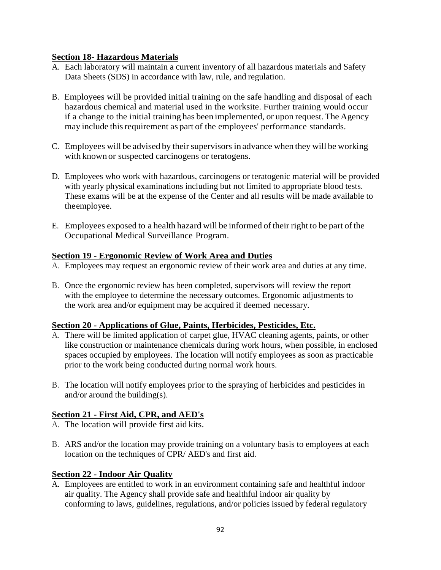# **Section 18- Hazardous Materials**

- A. Each laboratory will maintain a current inventory of all hazardous materials and Safety Data Sheets (SDS) in accordance with law, rule, and regulation.
- B. Employees will be provided initial training on the safe handling and disposal of each hazardous chemical and material used in the worksite. Further training would occur if a change to the initial training has been implemented, or upon request. The Agency may include this requirement as part of the employees' performance standards.
- C. Employees will be advised by their supervisors in advance when they will be working with known or suspected carcinogens or teratogens.
- D. Employees who work with hazardous, carcinogens or teratogenic material will be provided with yearly physical examinations including but not limited to appropriate blood tests. These exams will be at the expense of the Center and all results will be made available to the employee.
- E. Employees exposed to a health hazard will be informed of their right to be part ofthe Occupational Medical Surveillance Program.

#### **Section 19 - Ergonomic Review of Work Area and Duties**

- A. Employees may request an ergonomic review of their work area and duties at any time.
- B. Once the ergonomic review has been completed, supervisors will review the report with the employee to determine the necessary outcomes. Ergonomic adjustments to the work area and/or equipment may be acquired if deemed necessary.

#### **Section 20 - Applications of Glue, Paints, Herbicides, Pesticides, Etc.**

- A. There will be limited application of carpet glue, HVAC cleaning agents, paints, or other like construction or maintenance chemicals during work hours, when possible, in enclosed spaces occupied by employees. The location will notify employees as soon as practicable prior to the work being conducted during normal work hours.
- B. The location will notify employees prior to the spraying of herbicides and pesticides in and/or around the building(s).

# **Section 21 - First Aid, CPR, and AED's**

- A. The location will provide first aid kits.
- B. ARS and/or the location may provide training on a voluntary basis to employees at each location on the techniques of CPR/ AED's and first aid.

# **Section 22 - Indoor Air Quality**

A. Employees are entitled to work in an environment containing safe and healthful indoor air quality. The Agency shall provide safe and healthful indoor air quality by conforming to laws, guidelines, regulations, and/or policies issued by federal regulatory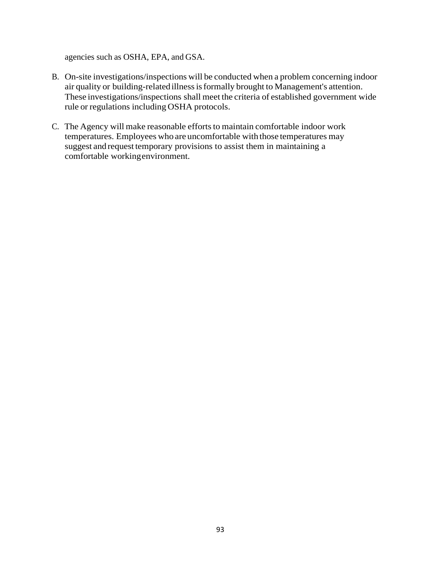agencies such as OSHA, EPA, and GSA.

- B. On-site investigations/inspections will be conducted when a problem concerning indoor air quality or building-relatedillnessisformally brought to Management's attention. These investigations/inspections shall meet the criteria of established government wide rule or regulations including OSHA protocols.
- C. The Agency will make reasonable efforts to maintain comfortable indoor work temperatures. Employees who are uncomfortable with those temperatures may suggest and request temporary provisions to assist them in maintaining a comfortable workingenvironment.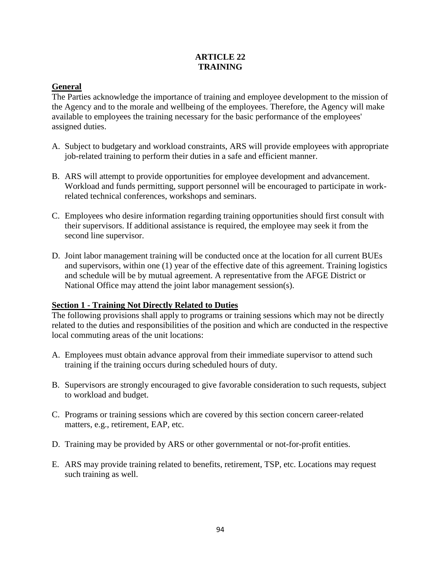# **ARTICLE 22 TRAINING**

# **General**

The Parties acknowledge the importance of training and employee development to the mission of the Agency and to the morale and wellbeing of the employees. Therefore, the Agency will make available to employees the training necessary for the basic performance of the employees' assigned duties.

- A. Subject to budgetary and workload constraints, ARS will provide employees with appropriate job-related training to perform their duties in a safe and efficient manner.
- B. ARS will attempt to provide opportunities for employee development and advancement. Workload and funds permitting, support personnel will be encouraged to participate in workrelated technical conferences, workshops and seminars.
- C. Employees who desire information regarding training opportunities should first consult with their supervisors. If additional assistance is required, the employee may seek it from the second line supervisor.
- D. Joint labor management training will be conducted once at the location for all current BUEs and supervisors, within one (1) year of the effective date of this agreement. Training logistics and schedule will be by mutual agreement. A representative from the AFGE District or National Office may attend the joint labor management session(s).

# **Section 1 - Training Not Directly Related to Duties**

The following provisions shall apply to programs or training sessions which may not be directly related to the duties and responsibilities of the position and which are conducted in the respective local commuting areas of the unit locations:

- A. Employees must obtain advance approval from their immediate supervisor to attend such training if the training occurs during scheduled hours of duty.
- B. Supervisors are strongly encouraged to give favorable consideration to such requests, subject to workload and budget.
- C. Programs or training sessions which are covered by this section concern career-related matters, e.g., retirement, EAP, etc.
- D. Training may be provided by ARS or other governmental or not-for-profit entities.
- E. ARS may provide training related to benefits, retirement, TSP, etc. Locations may request such training as well.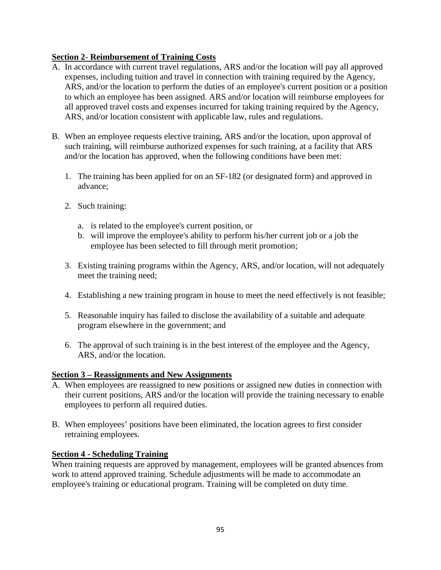# **Section 2- Reimbursement of Training Costs**

- A. In accordance with current travel regulations, ARS and/or the location will pay all approved expenses, including tuition and travel in connection with training required by the Agency, ARS, and/or the location to perform the duties of an employee's current position or a position to which an employee has been assigned. ARS and/or location will reimburse employees for all approved travel costs and expenses incurred for taking training required by the Agency, ARS, and/or location consistent with applicable law, rules and regulations.
- B. When an employee requests elective training, ARS and/or the location, upon approval of such training, will reimburse authorized expenses for such training, at a facility that ARS and/or the location has approved, when the following conditions have been met:
	- 1. The training has been applied for on an SF-182 (or designated form) and approved in advance;
	- 2. Such training:
		- a. is related to the employee's current position, or
		- b. will improve the employee's ability to perform his/her current job or a job the employee has been selected to fill through merit promotion;
	- 3. Existing training programs within the Agency, ARS, and/or location, will not adequately meet the training need;
	- 4. Establishing a new training program in house to meet the need effectively is not feasible;
	- 5. Reasonable inquiry has failed to disclose the availability of a suitable and adequate program elsewhere in the government; and
	- 6. The approval of such training is in the best interest of the employee and the Agency, ARS, and/or the location.

# **Section 3 – Reassignments and New Assignments**

- A. When employees are reassigned to new positions or assigned new duties in connection with their current positions, ARS and/or the location will provide the training necessary to enable employees to perform all required duties.
- B. When employees' positions have been eliminated, the location agrees to first consider retraining employees.

# **Section 4 - Scheduling Training**

When training requests are approved by management, employees will be granted absences from work to attend approved training. Schedule adjustments will be made to accommodate an employee's training or educational program. Training will be completed on duty time.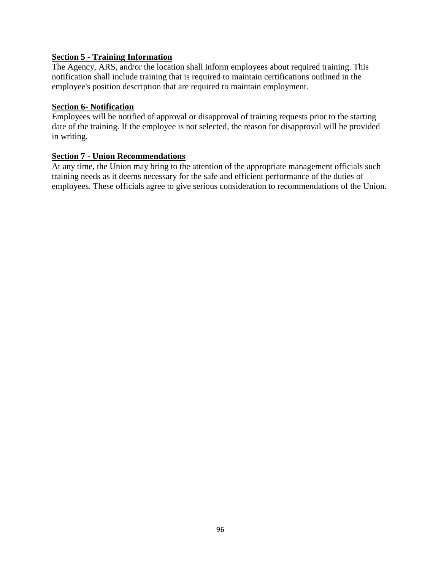#### **Section 5 - Training Information**

The Agency, ARS, and/or the location shall inform employees about required training. This notification shall include training that is required to maintain certifications outlined in the employee's position description that are required to maintain employment.

#### **Section 6- Notification**

Employees will be notified of approval or disapproval of training requests prior to the starting date of the training. If the employee is not selected, the reason for disapproval will be provided in writing.

#### **Section 7 - Union Recommendations**

At any time, the Union may bring to the attention of the appropriate management officials such training needs as it deems necessary for the safe and efficient performance of the duties of employees. These officials agree to give serious consideration to recommendations of the Union.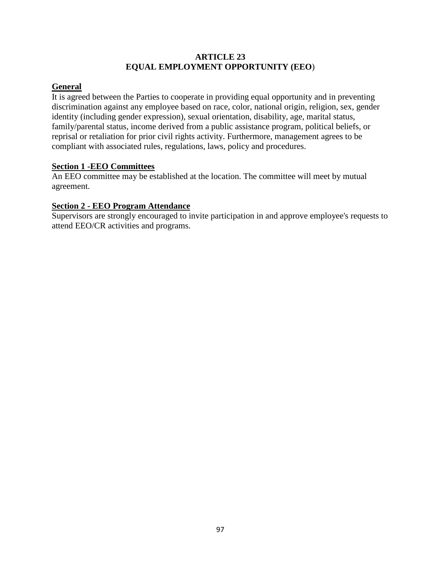#### **ARTICLE 23 EQUAL EMPLOYMENT OPPORTUNITY (EEO**)

# **General**

It is agreed between the Parties to cooperate in providing equal opportunity and in preventing discrimination against any employee based on race, color, national origin, religion, sex, gender identity (including gender expression), sexual orientation, disability, age, marital status, family/parental status, income derived from a public assistance program, political beliefs, or reprisal or retaliation for prior civil rights activity. Furthermore, management agrees to be compliant with associated rules, regulations, laws, policy and procedures.

# **Section 1 -EEO Committees**

An EEO committee may be established at the location. The committee will meet by mutual agreement.

# **Section 2 - EEO Program Attendance**

Supervisors are strongly encouraged to invite participation in and approve employee's requests to attend EEO/CR activities and programs.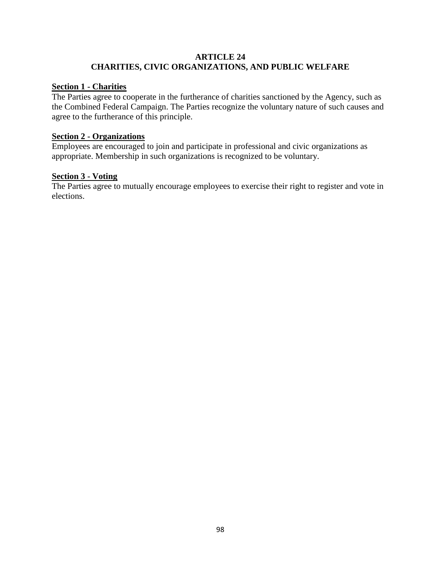#### **ARTICLE 24 CHARITIES, CIVIC ORGANIZATIONS, AND PUBLIC WELFARE**

#### **Section 1 - Charities**

The Parties agree to cooperate in the furtherance of charities sanctioned by the Agency, such as the Combined Federal Campaign. The Parties recognize the voluntary nature of such causes and agree to the furtherance of this principle.

# **Section 2 - Organizations**

Employees are encouraged to join and participate in professional and civic organizations as appropriate. Membership in such organizations is recognized to be voluntary.

# **Section 3 - Voting**

The Parties agree to mutually encourage employees to exercise their right to register and vote in elections.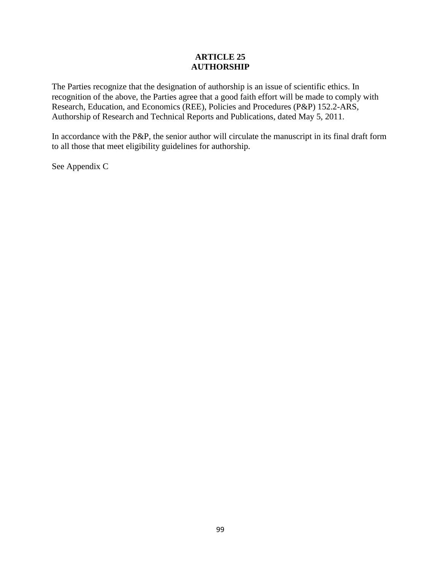#### **ARTICLE 25 AUTHORSHIP**

The Parties recognize that the designation of authorship is an issue of scientific ethics. In recognition of the above, the Parties agree that a good faith effort will be made to comply with Research, Education, and Economics (REE), Policies and Procedures (P&P) 152.2-ARS, Authorship of Research and Technical Reports and Publications, dated May 5, 2011.

In accordance with the P&P, the senior author will circulate the manuscript in its final draft form to all those that meet eligibility guidelines for authorship.

See Appendix C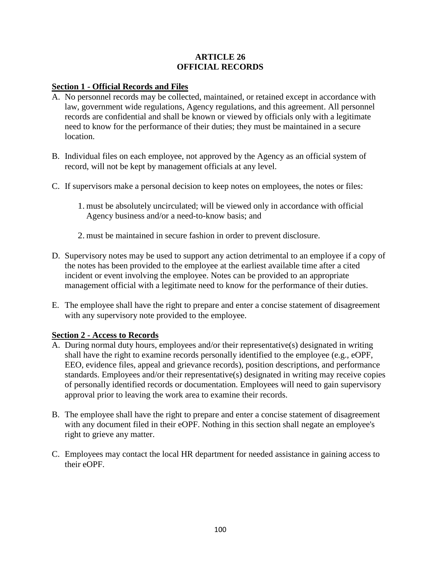#### **ARTICLE 26 OFFICIAL RECORDS**

#### **Section 1 - Official Records and Files**

- A. No personnel records may be collected, maintained, or retained except in accordance with law, government wide regulations, Agency regulations, and this agreement. All personnel records are confidential and shall be known or viewed by officials only with a legitimate need to know for the performance of their duties; they must be maintained in a secure location.
- B. Individual files on each employee, not approved by the Agency as an official system of record, will not be kept by management officials at any level.
- C. If supervisors make a personal decision to keep notes on employees, the notes or files:
	- 1. must be absolutely uncirculated; will be viewed only in accordance with official Agency business and/or a need-to-know basis; and
	- 2. must be maintained in secure fashion in order to prevent disclosure.
- D. Supervisory notes may be used to support any action detrimental to an employee if a copy of the notes has been provided to the employee at the earliest available time after a cited incident or event involving the employee. Notes can be provided to an appropriate management official with a legitimate need to know for the performance of their duties.
- E. The employee shall have the right to prepare and enter a concise statement of disagreement with any supervisory note provided to the employee.

# **Section 2 - Access to Records**

- A. During normal duty hours, employees and/or their representative(s) designated in writing shall have the right to examine records personally identified to the employee (e.g., eOPF, EEO, evidence files, appeal and grievance records), position descriptions, and performance standards. Employees and/or their representative(s) designated in writing may receive copies of personally identified records or documentation. Employees will need to gain supervisory approval prior to leaving the work area to examine their records.
- B. The employee shall have the right to prepare and enter a concise statement of disagreement with any document filed in their eOPF. Nothing in this section shall negate an employee's right to grieve any matter.
- C. Employees may contact the local HR department for needed assistance in gaining access to their eOPF.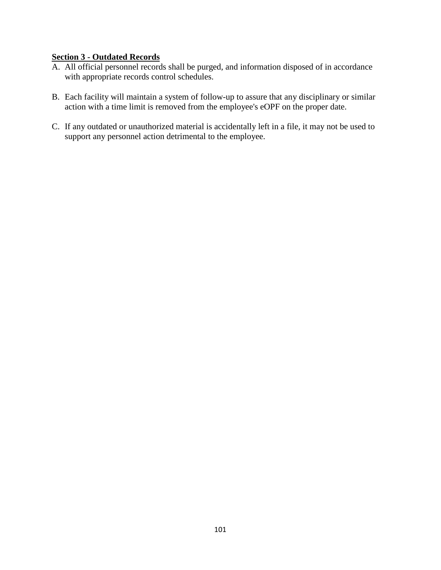# **Section 3 - Outdated Records**

- A. All official personnel records shall be purged, and information disposed of in accordance with appropriate records control schedules.
- B. Each facility will maintain a system of follow-up to assure that any disciplinary or similar action with a time limit is removed from the employee's eOPF on the proper date.
- C. If any outdated or unauthorized material is accidentally left in a file, it may not be used to support any personnel action detrimental to the employee.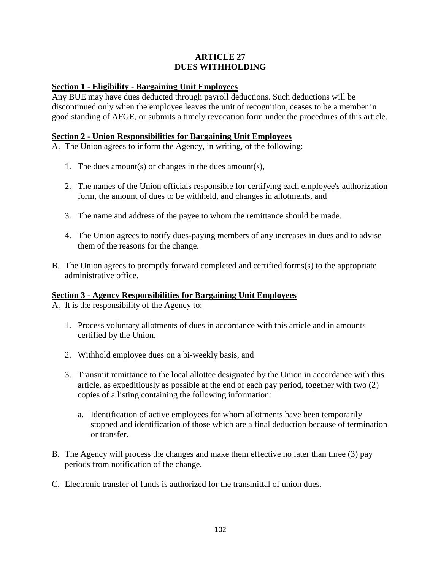#### **ARTICLE 27 DUES WITHHOLDING**

#### **Section 1 - Eligibility - Bargaining Unit Employees**

Any BUE may have dues deducted through payroll deductions. Such deductions will be discontinued only when the employee leaves the unit of recognition, ceases to be a member in good standing of AFGE, or submits a timely revocation form under the procedures of this article.

#### **Section 2 - Union Responsibilities for Bargaining Unit Employees**

A. The Union agrees to inform the Agency, in writing, of the following:

- 1. The dues amount(s) or changes in the dues amount(s),
- 2. The names of the Union officials responsible for certifying each employee's authorization form, the amount of dues to be withheld, and changes in allotments, and
- 3. The name and address of the payee to whom the remittance should be made.
- 4. The Union agrees to notify dues-paying members of any increases in dues and to advise them of the reasons for the change.
- B. The Union agrees to promptly forward completed and certified forms(s) to the appropriate administrative office.

#### **Section 3 - Agency Responsibilities for Bargaining Unit Employees**

A. It is the responsibility of the Agency to:

- 1. Process voluntary allotments of dues in accordance with this article and in amounts certified by the Union,
- 2. Withhold employee dues on a bi-weekly basis, and
- 3. Transmit remittance to the local allottee designated by the Union in accordance with this article, as expeditiously as possible at the end of each pay period, together with two (2) copies of a listing containing the following information:
	- a. Identification of active employees for whom allotments have been temporarily stopped and identification of those which are a final deduction because of termination or transfer.
- B. The Agency will process the changes and make them effective no later than three (3) pay periods from notification of the change.
- C. Electronic transfer of funds is authorized for the transmittal of union dues.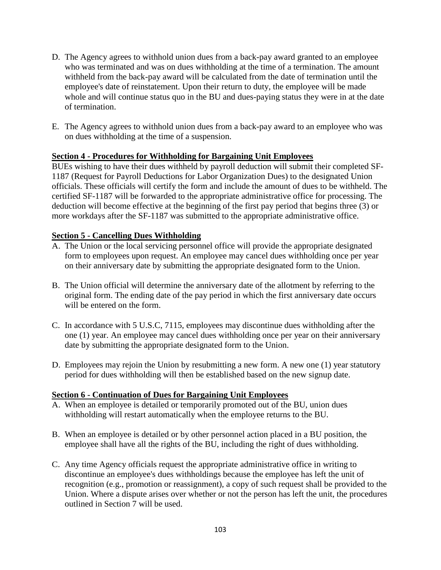- D. The Agency agrees to withhold union dues from a back-pay award granted to an employee who was terminated and was on dues withholding at the time of a termination. The amount withheld from the back-pay award will be calculated from the date of termination until the employee's date of reinstatement. Upon their return to duty, the employee will be made whole and will continue status quo in the BU and dues-paying status they were in at the date of termination.
- E. The Agency agrees to withhold union dues from a back-pay award to an employee who was on dues withholding at the time of a suspension.

#### **Section 4 - Procedures for Withholding for Bargaining Unit Employees**

BUEs wishing to have their dues withheld by payroll deduction will submit their completed SF-1187 (Request for Payroll Deductions for Labor Organization Dues) to the designated Union officials. These officials will certify the form and include the amount of dues to be withheld. The certified SF-1187 will be forwarded to the appropriate administrative office for processing. The deduction will become effective at the beginning of the first pay period that begins three (3) or more workdays after the SF-1187 was submitted to the appropriate administrative office.

#### **Section 5 - Cancelling Dues Withholding**

- A. The Union or the local servicing personnel office will provide the appropriate designated form to employees upon request. An employee may cancel dues withholding once per year on their anniversary date by submitting the appropriate designated form to the Union.
- B. The Union official will determine the anniversary date of the allotment by referring to the original form. The ending date of the pay period in which the first anniversary date occurs will be entered on the form.
- C. In accordance with 5 U.S.C, 7115, employees may discontinue dues withholding after the one (1) year. An employee may cancel dues withholding once per year on their anniversary date by submitting the appropriate designated form to the Union.
- D. Employees may rejoin the Union by resubmitting a new form. A new one (1) year statutory period for dues withholding will then be established based on the new signup date.

#### **Section 6 - Continuation of Dues for Bargaining Unit Employees**

- A. When an employee is detailed or temporarily promoted out of the BU, union dues withholding will restart automatically when the employee returns to the BU.
- B. When an employee is detailed or by other personnel action placed in a BU position, the employee shall have all the rights of the BU, including the right of dues withholding.
- C. Any time Agency officials request the appropriate administrative office in writing to discontinue an employee's dues withholdings because the employee has left the unit of recognition (e.g., promotion or reassignment), a copy of such request shall be provided to the Union. Where a dispute arises over whether or not the person has left the unit, the procedures outlined in Section 7 will be used.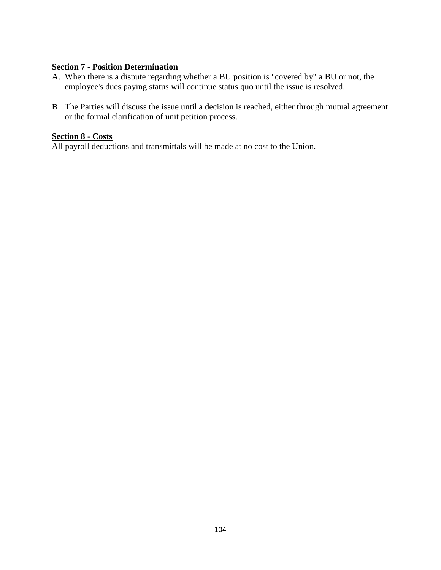#### **Section 7 - Position Determination**

- A. When there is a dispute regarding whether a BU position is "covered by" a BU or not, the employee's dues paying status will continue status quo until the issue is resolved.
- B. The Parties will discuss the issue until a decision is reached, either through mutual agreement or the formal clarification of unit petition process.

# **Section 8 - Costs**

All payroll deductions and transmittals will be made at no cost to the Union.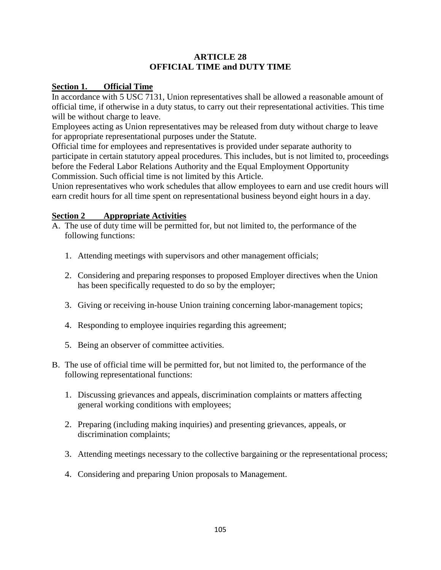#### **ARTICLE 28 OFFICIAL TIME and DUTY TIME**

#### **Section 1. Official Time**

In accordance with 5 USC 7131, Union representatives shall be allowed a reasonable amount of official time, if otherwise in a duty status, to carry out their representational activities. This time will be without charge to leave.

Employees acting as Union representatives may be released from duty without charge to leave for appropriate representational purposes under the Statute.

Official time for employees and representatives is provided under separate authority to participate in certain statutory appeal procedures. This includes, but is not limited to, proceedings before the Federal Labor Relations Authority and the Equal Employment Opportunity Commission. Such official time is not limited by this Article.

Union representatives who work schedules that allow employees to earn and use credit hours will earn credit hours for all time spent on representational business beyond eight hours in a day.

#### **Section 2 Appropriate Activities**

- A. The use of duty time will be permitted for, but not limited to, the performance of the following functions:
	- 1. Attending meetings with supervisors and other management officials;
	- 2. Considering and preparing responses to proposed Employer directives when the Union has been specifically requested to do so by the employer;
	- 3. Giving or receiving in-house Union training concerning labor-management topics;
	- 4. Responding to employee inquiries regarding this agreement;
	- 5. Being an observer of committee activities.
- B. The use of official time will be permitted for, but not limited to, the performance of the following representational functions:
	- 1. Discussing grievances and appeals, discrimination complaints or matters affecting general working conditions with employees;
	- 2. Preparing (including making inquiries) and presenting grievances, appeals, or discrimination complaints;
	- 3. Attending meetings necessary to the collective bargaining or the representational process;
	- 4. Considering and preparing Union proposals to Management.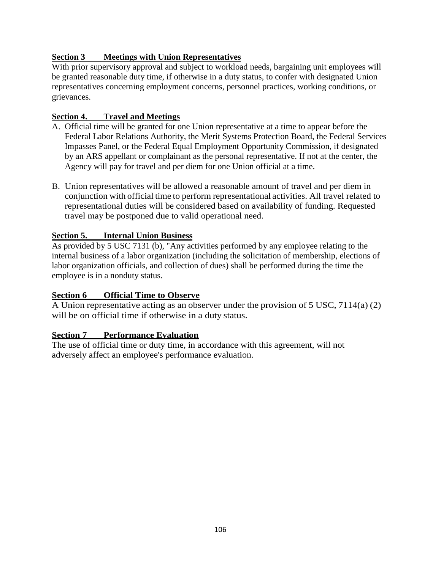# **Section 3 Meetings with Union Representatives**

With prior supervisory approval and subject to workload needs, bargaining unit employees will be granted reasonable duty time, if otherwise in a duty status, to confer with designated Union representatives concerning employment concerns, personnel practices, working conditions, or grievances.

# **Section 4. Travel and Meetings**

- A. Official time will be granted for one Union representative at a time to appear before the Federal Labor Relations Authority, the Merit Systems Protection Board, the Federal Services Impasses Panel, or the Federal Equal Employment Opportunity Commission, if designated by an ARS appellant or complainant as the personal representative. If not at the center, the Agency will pay for travel and per diem for one Union official at a time.
- B. Union representatives will be allowed a reasonable amount of travel and per diem in conjunction with official time to perform representational activities. All travel related to representational duties will be considered based on availability of funding. Requested travel may be postponed due to valid operational need.

# **Section 5. Internal Union Business**

As provided by 5 USC 7131 (b), "Any activities performed by any employee relating to the internal business of a labor organization (including the solicitation of membership, elections of labor organization officials, and collection of dues) shall be performed during the time the employee is in a nonduty status.

# **<u>Section 6 Official Time to Observe</u>**

A Union representative acting as an observer under the provision of 5 USC, 7114(a) (2) will be on official time if otherwise in a duty status.

# **Section 7 Performance Evaluation**

The use of official time or duty time, in accordance with this agreement, will not adversely affect an employee's performance evaluation.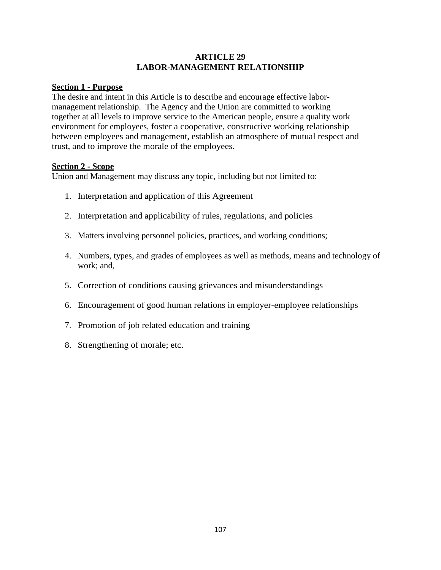#### **ARTICLE 29 LABOR-MANAGEMENT RELATIONSHIP**

# **Section 1 - Purpose**

The desire and intent in this Article is to describe and encourage effective labormanagement relationship. The Agency and the Union are committed to working together at all levels to improve service to the American people, ensure a quality work environment for employees, foster a cooperative, constructive working relationship between employees and management, establish an atmosphere of mutual respect and trust, and to improve the morale of the employees.

#### **Section 2 - Scope**

Union and Management may discuss any topic, including but not limited to:

- 1. Interpretation and application of this Agreement
- 2. Interpretation and applicability of rules, regulations, and policies
- 3. Matters involving personnel policies, practices, and working conditions;
- 4. Numbers, types, and grades of employees as well as methods, means and technology of work; and,
- 5. Correction of conditions causing grievances and misunderstandings
- 6. Encouragement of good human relations in employer-employee relationships
- 7. Promotion of job related education and training
- 8. Strengthening of morale; etc.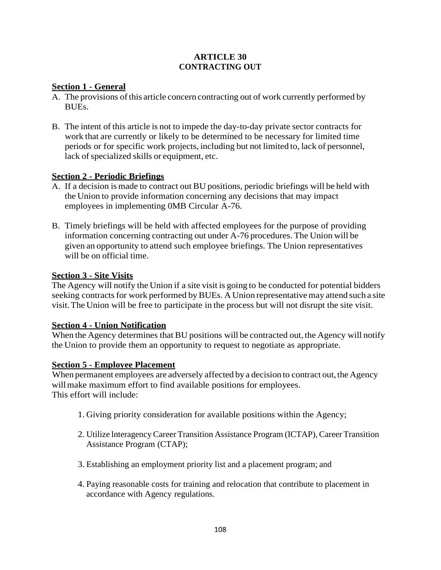#### **ARTICLE 30 CONTRACTING OUT**

#### **Section 1 - General**

- A. The provisions of this article concern contracting out of work currently performed by BUEs.
- B. The intent of this article is not to impede the day-to-day private sector contracts for work that are currently or likely to be determined to be necessary for limited time periods or for specific work projects, including but not limited to, lack of personnel, lack of specialized skills or equipment, etc.

#### **Section 2 - Periodic Briefings**

- A. If a decision ismade to contract out BU positions, periodic briefings will be held with the Union to provide information concerning any decisions that may impact employees in implementing 0MB Circular A-76.
- B. Timely briefings will be held with affected employees for the purpose of providing information concerning contracting out under A-76 procedures. The Union will be given an opportunity to attend such employee briefings. The Union representatives will be on official time.

#### **Section 3 - Site Visits**

The Agency will notify the Union if a site visit is going to be conducted for potential bidders seeking contracts for work performed by BUEs. A Union representative may attend such a site visit.The Union will be free to participate in the process but will not disrupt the site visit.

#### **Section 4 - Union Notification**

When the Agency determines that BU positions will be contracted out, the Agency will notify the Union to provide them an opportunity to request to negotiate as appropriate.

#### **Section 5 - Employee Placement**

When permanent employees are adversely affected by a decision to contract out, the Agency will make maximum effort to find available positions for employees. This effort will include:

- 1. Giving priority consideration for available positions within the Agency;
- 2. Utilize lnteragency Career Transition Assistance Program (ICTAP), Career Transition Assistance Program (CTAP);
- 3. Establishing an employment priority list and a placement program; and
- 4. Paying reasonable costs for training and relocation that contribute to placement in accordance with Agency regulations.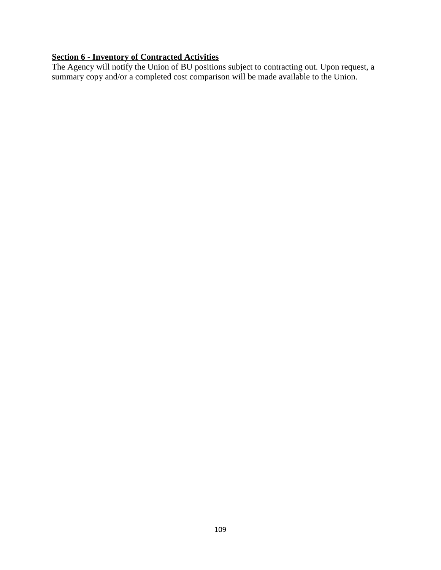#### **Section 6 - Inventory of Contracted Activities**

The Agency will notify the Union of BU positions subject to contracting out. Upon request, a summary copy and/or a completed cost comparison will be made available to the Union.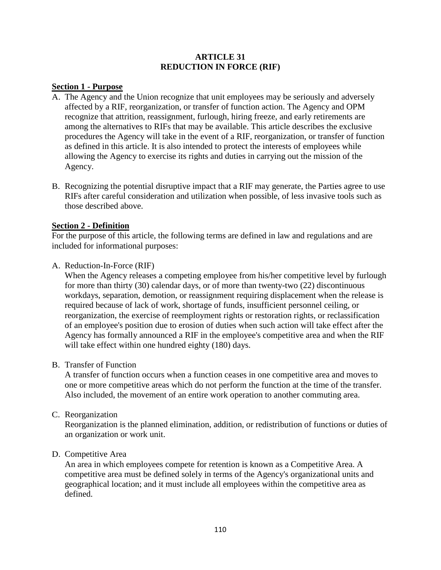#### **ARTICLE 31 REDUCTION IN FORCE (RIF)**

#### **Section 1 - Purpose**

- A. The Agency and the Union recognize that unit employees may be seriously and adversely affected by a RIF, reorganization, or transfer of function action. The Agency and OPM recognize that attrition, reassignment, furlough, hiring freeze, and early retirements are among the alternatives to RIFs that may be available. This article describes the exclusive procedures the Agency will take in the event of a RIF, reorganization, or transfer of function as defined in this article. It is also intended to protect the interests of employees while allowing the Agency to exercise its rights and duties in carrying out the mission of the Agency.
- B. Recognizing the potential disruptive impact that a RIF may generate, the Parties agree to use RIFs after careful consideration and utilization when possible, of less invasive tools such as those described above.

#### **Section 2 - Definition**

For the purpose of this article, the following terms are defined in law and regulations and are included for informational purposes:

A. Reduction-In-Force (RIF)

When the Agency releases a competing employee from his/her competitive level by furlough for more than thirty (30) calendar days, or of more than twenty-two (22) discontinuous workdays, separation, demotion, or reassignment requiring displacement when the release is required because of lack of work, shortage of funds, insufficient personnel ceiling, or reorganization, the exercise of reemployment rights or restoration rights, or reclassification of an employee's position due to erosion of duties when such action will take effect after the Agency has formally announced a RIF in the employee's competitive area and when the RIF will take effect within one hundred eighty (180) days.

#### B. Transfer of Function

A transfer of function occurs when a function ceases in one competitive area and moves to one or more competitive areas which do not perform the function at the time of the transfer. Also included, the movement of an entire work operation to another commuting area.

#### C. Reorganization

Reorganization is the planned elimination, addition, or redistribution of functions or duties of an organization or work unit.

#### D. Competitive Area

An area in which employees compete for retention is known as a Competitive Area. A competitive area must be defined solely in terms of the Agency's organizational units and geographical location; and it must include all employees within the competitive area as defined.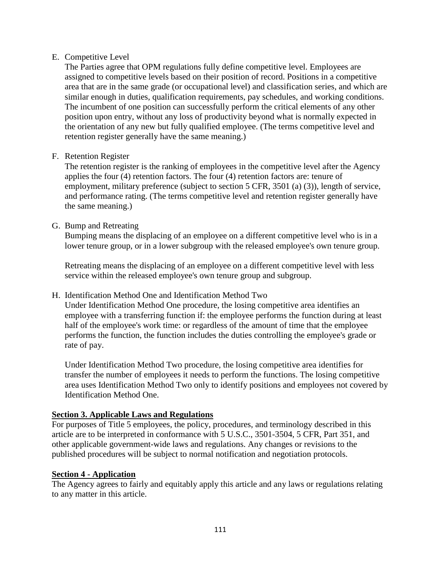#### E. Competitive Level

The Parties agree that OPM regulations fully define competitive level. Employees are assigned to competitive levels based on their position of record. Positions in a competitive area that are in the same grade (or occupational level) and classification series, and which are similar enough in duties, qualification requirements, pay schedules, and working conditions. The incumbent of one position can successfully perform the critical elements of any other position upon entry, without any loss of productivity beyond what is normally expected in the orientation of any new but fully qualified employee. (The terms competitive level and retention register generally have the same meaning.)

#### F. Retention Register

The retention register is the ranking of employees in the competitive level after the Agency applies the four (4) retention factors. The four (4) retention factors are: tenure of employment, military preference (subject to section 5 CFR, 3501 (a) (3)), length of service, and performance rating. (The terms competitive level and retention register generally have the same meaning.)

#### G. Bump and Retreating

Bumping means the displacing of an employee on a different competitive level who is in a lower tenure group, or in a lower subgroup with the released employee's own tenure group.

Retreating means the displacing of an employee on a different competitive level with less service within the released employee's own tenure group and subgroup.

#### H. Identification Method One and Identification Method Two

Under Identification Method One procedure, the losing competitive area identifies an employee with a transferring function if: the employee performs the function during at least half of the employee's work time: or regardless of the amount of time that the employee performs the function, the function includes the duties controlling the employee's grade or rate of pay.

Under Identification Method Two procedure, the losing competitive area identifies for transfer the number of employees it needs to perform the functions. The losing competitive area uses Identification Method Two only to identify positions and employees not covered by Identification Method One.

#### **Section 3. Applicable Laws and Regulations**

For purposes of Title 5 employees, the policy, procedures, and terminology described in this article are to be interpreted in conformance with 5 U.S.C., 3501-3504, 5 CFR, Part 351, and other applicable government-wide laws and regulations. Any changes or revisions to the published procedures will be subject to normal notification and negotiation protocols.

#### **Section 4 - Application**

The Agency agrees to fairly and equitably apply this article and any laws or regulations relating to any matter in this article.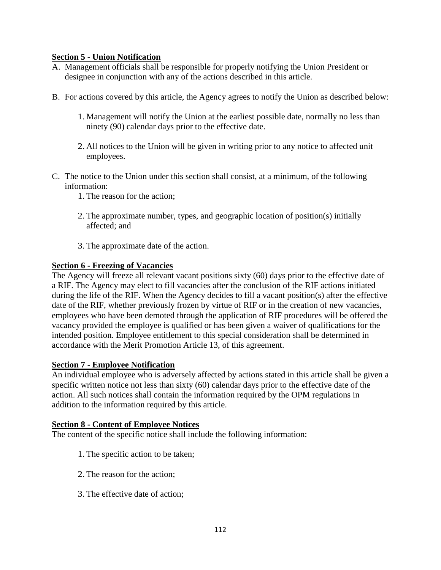#### **Section 5 - Union Notification**

- A. Management officials shall be responsible for properly notifying the Union President or designee in conjunction with any of the actions described in this article.
- B. For actions covered by this article, the Agency agrees to notify the Union as described below:
	- 1. Management will notify the Union at the earliest possible date, normally no less than ninety (90) calendar days prior to the effective date.
	- 2. All notices to the Union will be given in writing prior to any notice to affected unit employees.
- C. The notice to the Union under this section shall consist, at a minimum, of the following information:
	- 1. The reason for the action;
	- 2. The approximate number, types, and geographic location of position(s) initially affected; and
	- 3. The approximate date of the action.

#### **Section 6 - Freezing of Vacancies**

The Agency will freeze all relevant vacant positions sixty (60) days prior to the effective date of a RIF. The Agency may elect to fill vacancies after the conclusion of the RIF actions initiated during the life of the RIF. When the Agency decides to fill a vacant position(s) after the effective date of the RIF, whether previously frozen by virtue of RIF or in the creation of new vacancies, employees who have been demoted through the application of RIF procedures will be offered the vacancy provided the employee is qualified or has been given a waiver of qualifications for the intended position. Employee entitlement to this special consideration shall be determined in accordance with the Merit Promotion Article 13, of this agreement.

#### **Section 7 - Employee Notification**

An individual employee who is adversely affected by actions stated in this article shall be given a specific written notice not less than sixty (60) calendar days prior to the effective date of the action. All such notices shall contain the information required by the OPM regulations in addition to the information required by this article.

#### **Section 8 - Content of Employee Notices**

The content of the specific notice shall include the following information:

- 1. The specific action to be taken;
- 2. The reason for the action;
- 3. The effective date of action;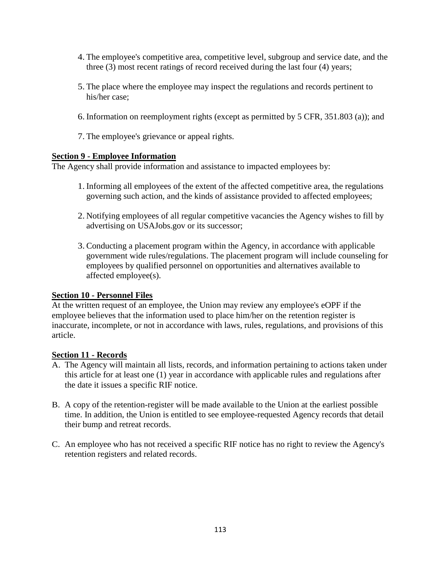- 4. The employee's competitive area, competitive level, subgroup and service date, and the three (3) most recent ratings of record received during the last four (4) years;
- 5. The place where the employee may inspect the regulations and records pertinent to his/her case;
- 6. Information on reemployment rights (except as permitted by 5 CFR, 351.803 (a)); and
- 7. The employee's grievance or appeal rights.

#### **Section 9 - Employee Information**

The Agency shall provide information and assistance to impacted employees by:

- 1. Informing all employees of the extent of the affected competitive area, the regulations governing such action, and the kinds of assistance provided to affected employees;
- 2. Notifying employees of all regular competitive vacancies the Agency wishes to fill by advertising on USAJobs.gov or its successor;
- 3. Conducting a placement program within the Agency, in accordance with applicable government wide rules/regulations. The placement program will include counseling for employees by qualified personnel on opportunities and alternatives available to affected employee(s).

#### **Section 10 - Personnel Files**

At the written request of an employee, the Union may review any employee's eOPF if the employee believes that the information used to place him/her on the retention register is inaccurate, incomplete, or not in accordance with laws, rules, regulations, and provisions of this article.

#### **Section 11 - Records**

- A. The Agency will maintain all lists, records, and information pertaining to actions taken under this article for at least one (1) year in accordance with applicable rules and regulations after the date it issues a specific RIF notice.
- B. A copy of the retention-register will be made available to the Union at the earliest possible time. In addition, the Union is entitled to see employee-requested Agency records that detail their bump and retreat records.
- C. An employee who has not received a specific RIF notice has no right to review the Agency's retention registers and related records.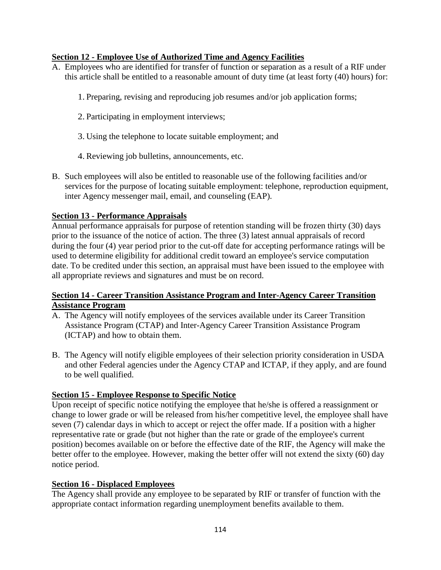#### **Section 12 - Employee Use of Authorized Time and Agency Facilities**

A. Employees who are identified for transfer of function or separation as a result of a RIF under this article shall be entitled to a reasonable amount of duty time (at least forty (40) hours) for:

1. Preparing, revising and reproducing job resumes and/or job application forms;

- 2. Participating in employment interviews;
- 3. Using the telephone to locate suitable employment; and
- 4. Reviewing job bulletins, announcements, etc.
- B. Such employees will also be entitled to reasonable use of the following facilities and/or services for the purpose of locating suitable employment: telephone, reproduction equipment, inter Agency messenger mail, email, and counseling (EAP).

#### **Section 13 - Performance Appraisals**

Annual performance appraisals for purpose of retention standing will be frozen thirty (30) days prior to the issuance of the notice of action. The three (3) latest annual appraisals of record during the four (4) year period prior to the cut-off date for accepting performance ratings will be used to determine eligibility for additional credit toward an employee's service computation date. To be credited under this section, an appraisal must have been issued to the employee with all appropriate reviews and signatures and must be on record.

#### **Section 14 - Career Transition Assistance Program and Inter-Agency Career Transition Assistance Program**

- A. The Agency will notify employees of the services available under its Career Transition Assistance Program (CTAP) and Inter-Agency Career Transition Assistance Program (ICTAP) and how to obtain them.
- B. The Agency will notify eligible employees of their selection priority consideration in USDA and other Federal agencies under the Agency CTAP and ICTAP, if they apply, and are found to be well qualified.

#### **Section 15 - Employee Response to Specific Notice**

Upon receipt of specific notice notifying the employee that he/she is offered a reassignment or change to lower grade or will be released from his/her competitive level, the employee shall have seven (7) calendar days in which to accept or reject the offer made. If a position with a higher representative rate or grade (but not higher than the rate or grade of the employee's current position) becomes available on or before the effective date of the RIF, the Agency will make the better offer to the employee. However, making the better offer will not extend the sixty (60) day notice period.

#### **Section 16 - Displaced Employees**

The Agency shall provide any employee to be separated by RIF or transfer of function with the appropriate contact information regarding unemployment benefits available to them.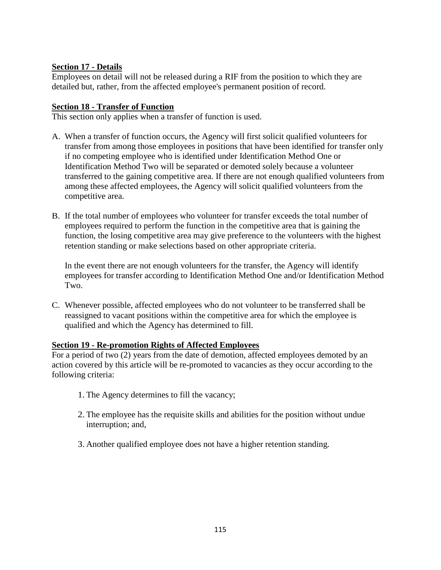#### **Section 17 - Details**

Employees on detail will not be released during a RIF from the position to which they are detailed but, rather, from the affected employee's permanent position of record.

#### **Section 18 - Transfer of Function**

This section only applies when a transfer of function is used.

- A. When a transfer of function occurs, the Agency will first solicit qualified volunteers for transfer from among those employees in positions that have been identified for transfer only if no competing employee who is identified under Identification Method One or Identification Method Two will be separated or demoted solely because a volunteer transferred to the gaining competitive area. If there are not enough qualified volunteers from among these affected employees, the Agency will solicit qualified volunteers from the competitive area.
- B. If the total number of employees who volunteer for transfer exceeds the total number of employees required to perform the function in the competitive area that is gaining the function, the losing competitive area may give preference to the volunteers with the highest retention standing or make selections based on other appropriate criteria.

In the event there are not enough volunteers for the transfer, the Agency will identify employees for transfer according to Identification Method One and/or Identification Method Two.

C. Whenever possible, affected employees who do not volunteer to be transferred shall be reassigned to vacant positions within the competitive area for which the employee is qualified and which the Agency has determined to fill.

#### **Section 19 - Re-promotion Rights of Affected Employees**

For a period of two (2) years from the date of demotion, affected employees demoted by an action covered by this article will be re-promoted to vacancies as they occur according to the following criteria:

- 1. The Agency determines to fill the vacancy;
- 2. The employee has the requisite skills and abilities for the position without undue interruption; and,
- 3. Another qualified employee does not have a higher retention standing.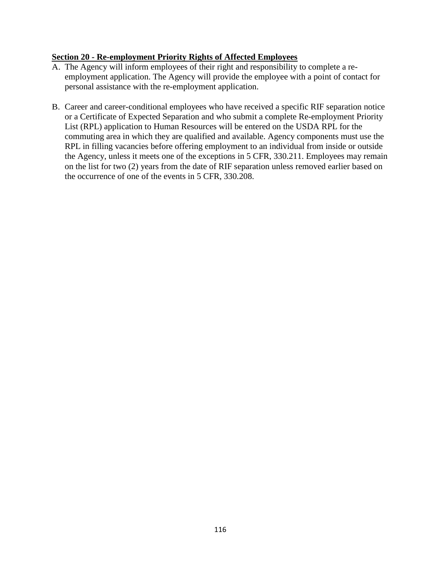#### **Section 20 - Re-employment Priority Rights of Affected Employees**

- A. The Agency will inform employees of their right and responsibility to complete a reemployment application. The Agency will provide the employee with a point of contact for personal assistance with the re-employment application.
- B. Career and career-conditional employees who have received a specific RIF separation notice or a Certificate of Expected Separation and who submit a complete Re-employment Priority List (RPL) application to Human Resources will be entered on the USDA RPL for the commuting area in which they are qualified and available. Agency components must use the RPL in filling vacancies before offering employment to an individual from inside or outside the Agency, unless it meets one of the exceptions in 5 CFR, 330.211. Employees may remain on the list for two (2) years from the date of RIF separation unless removed earlier based on the occurrence of one of the events in 5 CFR, 330.208.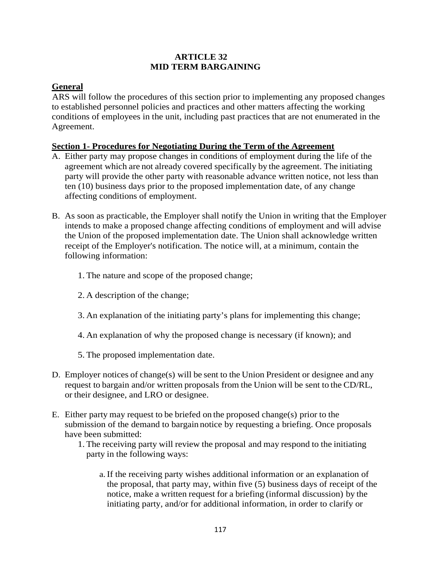#### **ARTICLE 32 MID TERM BARGAINING**

#### **General**

ARS will follow the procedures of this section prior to implementing any proposed changes to established personnel policies and practices and other matters affecting the working conditions of employees in the unit, including past practices that are not enumerated in the Agreement.

#### **Section 1- Procedures for Negotiating During the Term of the Agreement**

- A. Either party may propose changes in conditions of employment during the life of the agreement which are not already covered specifically by the agreement. The initiating party will provide the other party with reasonable advance written notice, not less than ten (10) business days prior to the proposed implementation date, of any change affecting conditions of employment.
- B. As soon as practicable, the Employer shall notify the Union in writing that the Employer intends to make a proposed change affecting conditions of employment and will advise the Union of the proposed implementation date. The Union shall acknowledge written receipt of the Employer's notification. The notice will, at a minimum, contain the following information:
	- 1. The nature and scope of the proposed change;
	- 2. A description of the change;
	- 3. An explanation of the initiating party's plans for implementing this change;
	- 4. An explanation of why the proposed change is necessary (if known); and
	- 5. The proposed implementation date.
- D. Employer notices of change(s) will be sent to the Union President or designee and any request to bargain and/or written proposals from the Union will be sent to the CD/RL, or their designee, and LRO or designee.
- E. Either party may request to be briefed on the proposed change(s) prior to the submission of the demand to bargain notice by requesting a briefing. Once proposals have been submitted:
	- 1. The receiving party will review the proposal and may respond to the initiating party in the following ways:
		- a.If the receiving party wishes additional information or an explanation of the proposal, that party may, within five (5) business days of receipt of the notice, make a written request for a briefing (informal discussion) by the initiating party, and/or for additional information, in order to clarify or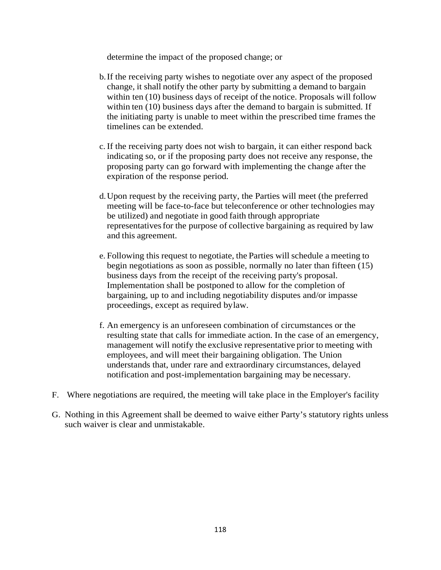determine the impact of the proposed change; or

- b.If the receiving party wishes to negotiate over any aspect of the proposed change, it shall notify the other party by submitting a demand to bargain within ten (10) business days of receipt of the notice. Proposals will follow within ten (10) business days after the demand to bargain is submitted. If the initiating party is unable to meet within the prescribed time frames the timelines can be extended.
- c.If the receiving party does not wish to bargain, it can either respond back indicating so, or if the proposing party does not receive any response, the proposing party can go forward with implementing the change after the expiration of the response period.
- d.Upon request by the receiving party, the Parties will meet (the preferred meeting will be face-to-face but teleconference or other technologies may be utilized) and negotiate in good faith through appropriate representatives for the purpose of collective bargaining as required by law and this agreement.
- e. Following this request to negotiate, the Parties will schedule a meeting to begin negotiations as soon as possible, normally no later than fifteen (15) business days from the receipt of the receiving party's proposal. Implementation shall be postponed to allow for the completion of bargaining, up to and including negotiability disputes and/or impasse proceedings, except as required bylaw.
- f. An emergency is an unforeseen combination of circumstances or the resulting state that calls for immediate action. In the case of an emergency, management will notify the exclusive representative prior to meeting with employees, and will meet their bargaining obligation. The Union understands that, under rare and extraordinary circumstances, delayed notification and post-implementation bargaining may be necessary.
- F. Where negotiations are required, the meeting will take place in the Employer's facility
- G. Nothing in this Agreement shall be deemed to waive either Party's statutory rights unless such waiver is clear and unmistakable.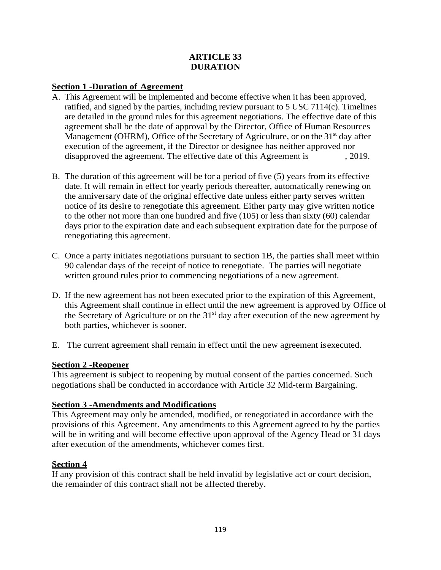#### **ARTICLE 33 DURATION**

#### **Section 1 -Duration of Agreement**

- A. This Agreement will be implemented and become effective when it has been approved, ratified, and signed by the parties, including review pursuant to 5 USC 7114(c). Timelines are detailed in the ground rules for this agreement negotiations. The effective date of this agreement shall be the date of approval by the Director, Office of Human Resources Management (OHRM), Office of the Secretary of Agriculture, or on the 31<sup>st</sup> day after execution of the agreement, if the Director or designee has neither approved nor disapproved the agreement. The effective date of this Agreement is , 2019.
- B. The duration of this agreement will be for a period of five (5) years from its effective date. It will remain in effect for yearly periods thereafter, automatically renewing on the anniversary date of the original effective date unless either party serves written notice of its desire to renegotiate this agreement. Either party may give written notice to the other not more than one hundred and five (105) or less than sixty (60) calendar days prior to the expiration date and each subsequent expiration date for the purpose of renegotiating this agreement.
- C. Once a party initiates negotiations pursuant to section 1B, the parties shall meet within 90 calendar days of the receipt of notice to renegotiate. The parties will negotiate written ground rules prior to commencing negotiations of a new agreement.
- D. If the new agreement has not been executed prior to the expiration of this Agreement, this Agreement shall continue in effect until the new agreement is approved by Office of the Secretary of Agriculture or on the  $31<sup>st</sup>$  day after execution of the new agreement by both parties, whichever is sooner.
- E. The current agreement shall remain in effect until the new agreement isexecuted.

#### **Section 2 -Reopener**

This agreement is subject to reopening by mutual consent of the parties concerned. Such negotiations shall be conducted in accordance with Article 32 Mid-term Bargaining.

#### **Section 3 -Amendments and Modifications**

This Agreement may only be amended, modified, or renegotiated in accordance with the provisions of this Agreement. Any amendments to this Agreement agreed to by the parties will be in writing and will become effective upon approval of the Agency Head or 31 days after execution of the amendments, whichever comes first.

#### **Section 4**

If any provision of this contract shall be held invalid by legislative act or court decision, the remainder of this contract shall not be affected thereby.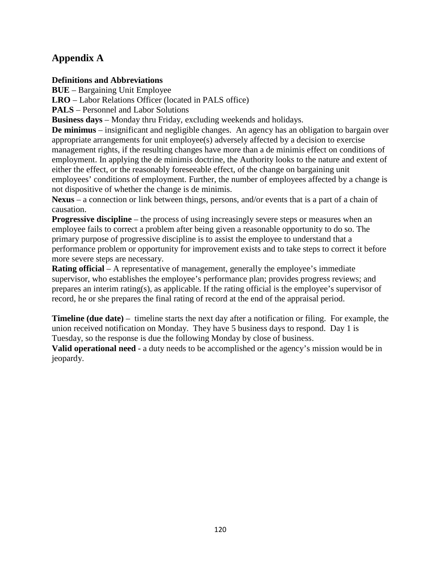## **Appendix A**

#### **Definitions and Abbreviations**

**BUE** – Bargaining Unit Employee

**LRO** – Labor Relations Officer (located in PALS office)

**PALS** – Personnel and Labor Solutions

**Business days** – Monday thru Friday, excluding weekends and holidays.

**De minimus** – insignificant and negligible changes. An agency has an obligation to bargain over appropriate arrangements for unit employee(s) adversely affected by a decision to exercise management rights, if the resulting changes have more than a de minimis effect on conditions of employment. In applying the de minimis doctrine, the Authority looks to the nature and extent of either the effect, or the reasonably foreseeable effect, of the change on bargaining unit employees' conditions of employment. Further, the number of employees affected by a change is not dispositive of whether the change is de minimis.

**Nexus** – a connection or link between things, persons, and/or events that is a part of a chain of causation.

**Progressive discipline** – the process of using increasingly severe steps or measures when an employee fails to correct a problem after being given a reasonable opportunity to do so. The primary purpose of progressive discipline is to assist the employee to understand that a performance problem or opportunity for improvement exists and to take steps to correct it before more severe steps are necessary.

**Rating official** – A representative of management, generally the employee's immediate supervisor, who establishes the employee's performance plan; provides progress reviews; and prepares an interim rating(s), as applicable. If the rating official is the employee's supervisor of record, he or she prepares the final rating of record at the end of the appraisal period.

**Timeline (due date)** – timeline starts the next day after a notification or filing. For example, the union received notification on Monday. They have 5 business days to respond. Day 1 is Tuesday, so the response is due the following Monday by close of business.

**Valid operational need** - a duty needs to be accomplished or the agency's mission would be in jeopardy.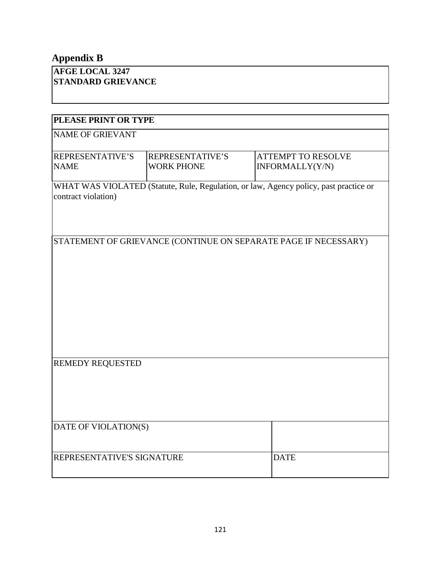## **Appendix B**

| <b>AFGE LOCAL 3247</b>    |
|---------------------------|
| <b>STANDARD GRIEVANCE</b> |

| PLEASE PRINT OR TYPE                                              |                                                                                       |                 |  |  |  |
|-------------------------------------------------------------------|---------------------------------------------------------------------------------------|-----------------|--|--|--|
| <b>NAME OF GRIEVANT</b>                                           |                                                                                       |                 |  |  |  |
| REPRESENTATIVE'S<br>REPRESENTATIVE'S<br><b>ATTEMPT TO RESOLVE</b> |                                                                                       |                 |  |  |  |
| <b>NAME</b>                                                       | <b>WORK PHONE</b>                                                                     | INFORMALLY(Y/N) |  |  |  |
|                                                                   | WHAT WAS VIOLATED (Statute, Rule, Regulation, or law, Agency policy, past practice or |                 |  |  |  |
| contract violation)                                               |                                                                                       |                 |  |  |  |
|                                                                   |                                                                                       |                 |  |  |  |
|                                                                   |                                                                                       |                 |  |  |  |
| STATEMENT OF GRIEVANCE (CONTINUE ON SEPARATE PAGE IF NECESSARY)   |                                                                                       |                 |  |  |  |
|                                                                   |                                                                                       |                 |  |  |  |
|                                                                   |                                                                                       |                 |  |  |  |
|                                                                   |                                                                                       |                 |  |  |  |
|                                                                   |                                                                                       |                 |  |  |  |
|                                                                   |                                                                                       |                 |  |  |  |
|                                                                   |                                                                                       |                 |  |  |  |
|                                                                   |                                                                                       |                 |  |  |  |
| <b>REMEDY REQUESTED</b>                                           |                                                                                       |                 |  |  |  |
|                                                                   |                                                                                       |                 |  |  |  |
|                                                                   |                                                                                       |                 |  |  |  |
|                                                                   |                                                                                       |                 |  |  |  |
| DATE OF VIOLATION(S)                                              |                                                                                       |                 |  |  |  |
|                                                                   |                                                                                       |                 |  |  |  |
|                                                                   |                                                                                       |                 |  |  |  |
| REPRESENTATIVE'S SIGNATURE                                        |                                                                                       | <b>DATE</b>     |  |  |  |
|                                                                   |                                                                                       |                 |  |  |  |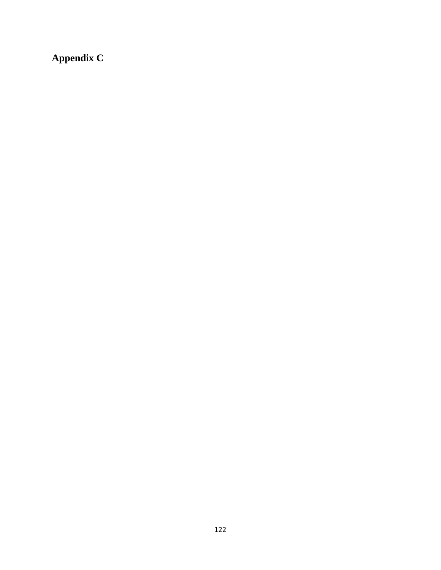**Appendix C**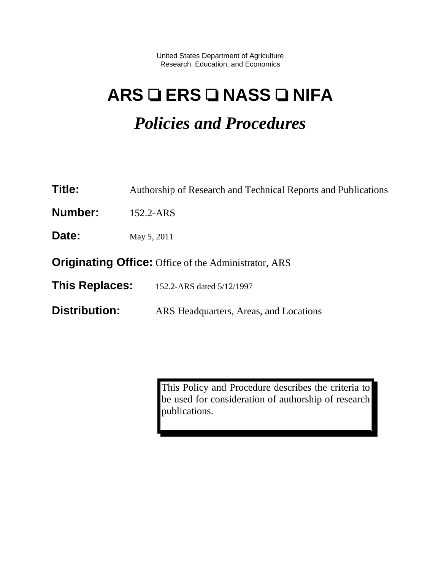United States Department of Agriculture Research, Education, and Economics

# **ARS ERS NASS NIFA**

## *Policies and Procedures*

| <b>Title:</b>                                               | Authorship of Research and Technical Reports and Publications |  |  |  |  |
|-------------------------------------------------------------|---------------------------------------------------------------|--|--|--|--|
| Number:                                                     | 152.2-ARS                                                     |  |  |  |  |
| Date:                                                       | May 5, 2011                                                   |  |  |  |  |
| <b>Originating Office:</b> Office of the Administrator, ARS |                                                               |  |  |  |  |
| <b>This Replaces:</b>                                       | 152.2-ARS dated 5/12/1997                                     |  |  |  |  |
| <b>Distribution:</b>                                        | ARS Headquarters, Areas, and Locations                        |  |  |  |  |

This Policy and Procedure describes the criteria to be used for consideration of authorship of research publications.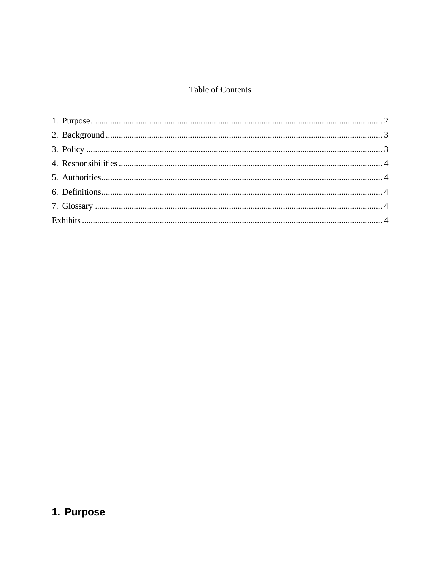#### Table of Contents

## <span id="page-124-0"></span>1. Purpose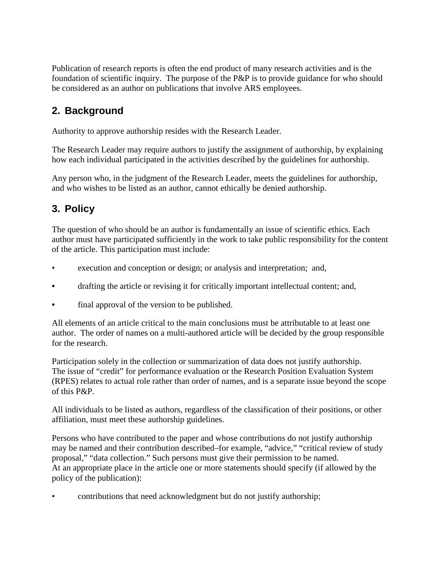Publication of research reports is often the end product of many research activities and is the foundation of scientific inquiry. The purpose of the P&P is to provide guidance for who should be considered as an author on publications that involve ARS employees.

## <span id="page-125-0"></span>**2. Background**

Authority to approve authorship resides with the Research Leader.

The Research Leader may require authors to justify the assignment of authorship, by explaining how each individual participated in the activities described by the guidelines for authorship.

Any person who, in the judgment of the Research Leader, meets the guidelines for authorship, and who wishes to be listed as an author, cannot ethically be denied authorship.

## <span id="page-125-1"></span>**3. Policy**

The question of who should be an author is fundamentally an issue of scientific ethics. Each author must have participated sufficiently in the work to take public responsibility for the content of the article. This participation must include:

- execution and conception or design; or analysis and interpretation; and,
- drafting the article or revising it for critically important intellectual content; and,
- final approval of the version to be published.

All elements of an article critical to the main conclusions must be attributable to at least one author. The order of names on a multi-authored article will be decided by the group responsible for the research.

Participation solely in the collection or summarization of data does not justify authorship. The issue of "credit" for performance evaluation or the Research Position Evaluation System (RPES) relates to actual role rather than order of names, and is a separate issue beyond the scope of this P&P.

All individuals to be listed as authors, regardless of the classification of their positions, or other affiliation, must meet these authorship guidelines.

Persons who have contributed to the paper and whose contributions do not justify authorship may be named and their contribution described–for example, "advice," "critical review of study proposal," "data collection." Such persons must give their permission to be named. At an appropriate place in the article one or more statements should specify (if allowed by the policy of the publication):

• contributions that need acknowledgment but do not justify authorship;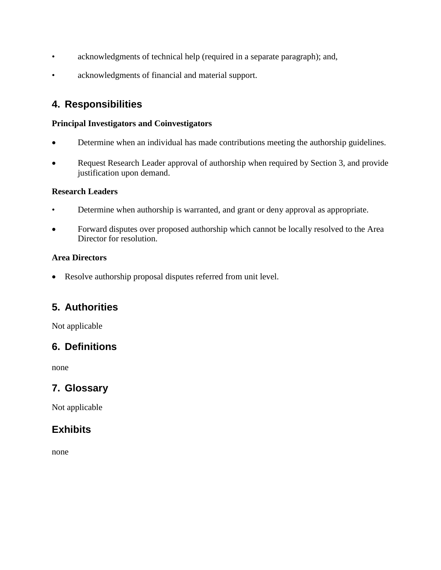- acknowledgments of technical help (required in a separate paragraph); and,
- acknowledgments of financial and material support.

## <span id="page-126-0"></span>**4. Responsibilities**

#### **Principal Investigators and Coinvestigators**

- Determine when an individual has made contributions meeting the authorship guidelines.
- Request Research Leader approval of authorship when required by Section 3, and provide justification upon demand.

#### **Research Leaders**

- Determine when authorship is warranted, and grant or deny approval as appropriate.
- Forward disputes over proposed authorship which cannot be locally resolved to the Area Director for resolution.

#### **Area Directors**

• Resolve authorship proposal disputes referred from unit level.

## <span id="page-126-1"></span>**5. Authorities**

Not applicable

## <span id="page-126-2"></span>**6. Definitions**

none

## <span id="page-126-3"></span>**7. Glossary**

Not applicable

## <span id="page-126-4"></span>**Exhibits**

none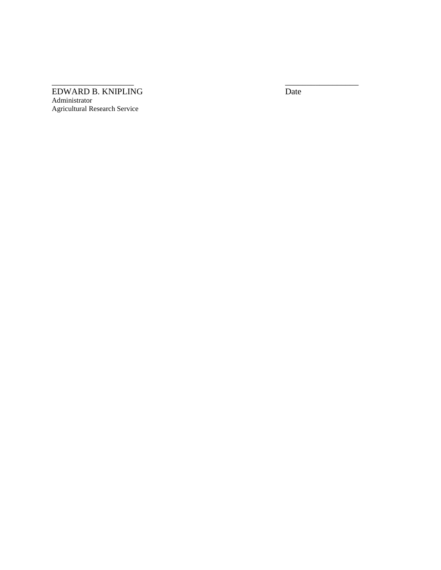#### EDWARD B. KNIPLING Date Administrator Agricultural Research Service

 $\overline{\phantom{a}}$  , and the contract of the contract of the contract of the contract of the contract of the contract of the contract of the contract of the contract of the contract of the contract of the contract of the contrac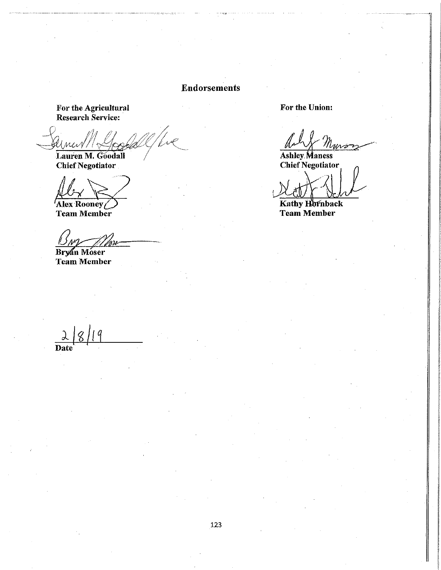#### **Endorsements**

For the Agricultural<br>Research Service:

Max Lauren M. Goodall

**Chief Negotiator** 

Alex Rooney

**Team Member** 

Bryan Moser<br>Team Member

For the Union:

**Ashley Maness Chief Negotiator** 

Kathy Hornback **Team Member** 

Date